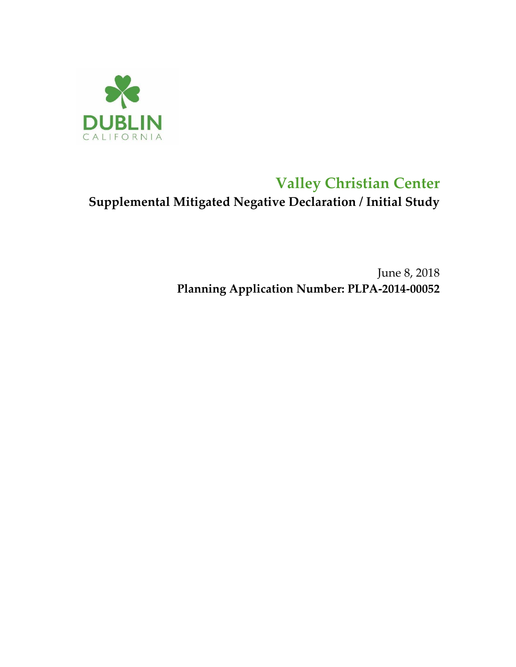

# **Valley Christian Center Supplemental Mitigated Negative Declaration / Initial Study**

June 8, 2018 **Planning Application Number: PLPA-2014-00052**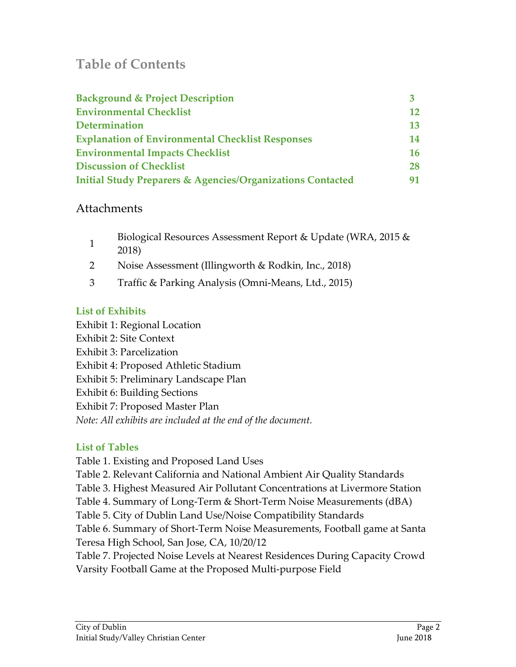## **Table of Contents**

| <b>Background &amp; Project Description</b>                           |           |
|-----------------------------------------------------------------------|-----------|
| <b>Environmental Checklist</b>                                        |           |
| <b>Determination</b>                                                  | 13        |
| <b>Explanation of Environmental Checklist Responses</b>               | 14        |
| <b>Environmental Impacts Checklist</b>                                | <b>16</b> |
| <b>Discussion of Checklist</b>                                        | 28        |
| <b>Initial Study Preparers &amp; Agencies/Organizations Contacted</b> |           |

### Attachments

- 1 Biological Resources Assessment Report & Update (WRA, 2015 & 2018)
- 2 Noise Assessment (Illingworth & Rodkin, Inc., 2018)
- 3 Traffic & Parking Analysis (Omni-Means, Ltd., 2015)

### **List of Exhibits**

Exhibit 1: Regional Location Exhibit 2: Site Context Exhibit 3: Parcelization Exhibit 4: Proposed Athletic Stadium Exhibit 5: Preliminary Landscape Plan Exhibit 6: Building Sections Exhibit 7: Proposed Master Plan *Note: All exhibits are included at the end of the document.*

### **List of Tables**

Table 1. Existing and Proposed Land Uses

- Table 2. Relevant California and National Ambient Air Quality Standards
- Table 3. Highest Measured Air Pollutant Concentrations at Livermore Station
- Table 4. Summary of Long-Term & Short-Term Noise Measurements (dBA)
- Table 5. City of Dublin Land Use/Noise Compatibility Standards
- Table 6. Summary of Short-Term Noise Measurements, Football game at Santa Teresa High School, San Jose, CA, 10/20/12

Table 7. Projected Noise Levels at Nearest Residences During Capacity Crowd Varsity Football Game at the Proposed Multi-purpose Field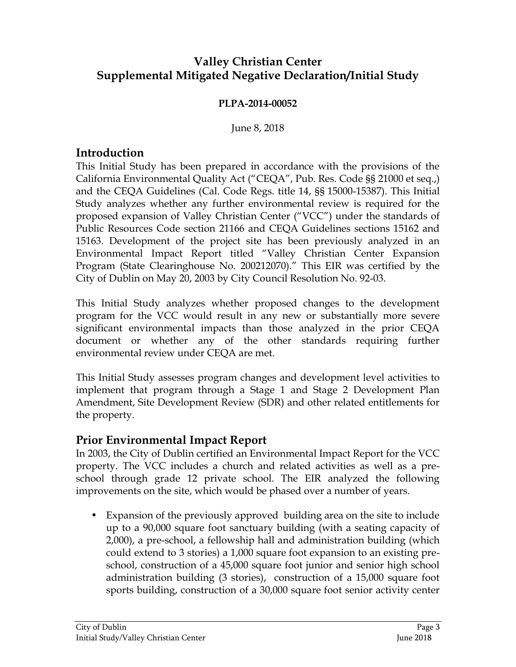## **Valley Christian Center Supplemental Mitigated Negative Declaration/Initial Study**

#### **PLPA-2014-00052**

June 8, 2018

### **Introduction**

This Initial Study has been prepared in accordance with the provisions of the California Environmental Quality Act ("CEQA", Pub. Res. Code §§ 21000 et seq.,) and the CEQA Guidelines (Cal. Code Regs. title 14, §§ 15000-15387). This Initial Study analyzes whether any further environmental review is required for the proposed expansion of Valley Christian Center ("VCC") under the standards of Public Resources Code section 21166 and CEQA Guidelines sections 15162 and 15163. Development of the project site has been previously analyzed in an Environmental Impact Report titled "Valley Christian Center Expansion Program (State Clearinghouse No. 200212070)." This EIR was certified by the City of Dublin on May 20, 2003 by City Council Resolution No. 92-03.

This Initial Study analyzes whether proposed changes to the development program for the VCC would result in any new or substantially more severe significant environmental impacts than those analyzed in the prior CEQA document or whether any of the other standards requiring further environmental review under CEQA are met.

This Initial Study assesses program changes and development level activities to implement that program through a Stage 1 and Stage 2 Development Plan Amendment, Site Development Review (SDR) and other related entitlements for the property.

### **Prior Environmental Impact Report**

In 2003, the City of Dublin certified an Environmental Impact Report for the VCC property. The VCC includes a church and related activities as well as a preschool through grade 12 private school. The EIR analyzed the following improvements on the site, which would be phased over a number of years.

• Expansion of the previously approved building area on the site to include up to a 90,000 square foot sanctuary building (with a seating capacity of 2,000), a pre-school, a fellowship hall and administration building (which could extend to 3 stories) a 1,000 square foot expansion to an existing preschool, construction of a 45,000 square foot junior and senior high school administration building (3 stories), construction of a 15,000 square foot sports building, construction of a 30,000 square foot senior activity center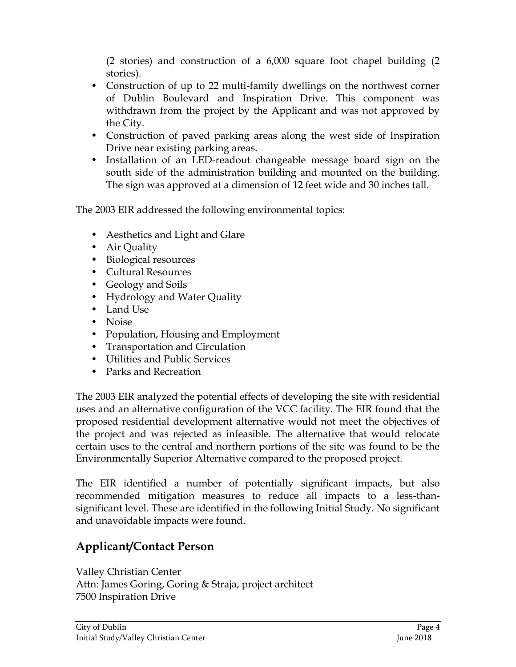(2 stories) and construction of a 6,000 square foot chapel building (2 stories).

- Construction of up to 22 multi-family dwellings on the northwest corner of Dublin Boulevard and Inspiration Drive. This component was withdrawn from the project by the Applicant and was not approved by the City.
- Construction of paved parking areas along the west side of Inspiration Drive near existing parking areas.
- Installation of an LED-readout changeable message board sign on the south side of the administration building and mounted on the building. The sign was approved at a dimension of 12 feet wide and 30 inches tall.

The 2003 EIR addressed the following environmental topics:

- Aesthetics and Light and Glare
- Air Quality
- Biological resources
- Cultural Resources
- Geology and Soils
- Hydrology and Water Quality
- Land Use
- Noise
- Population, Housing and Employment
- Transportation and Circulation
- Utilities and Public Services
- Parks and Recreation

The 2003 EIR analyzed the potential effects of developing the site with residential uses and an alternative configuration of the VCC facility. The EIR found that the proposed residential development alternative would not meet the objectives of the project and was rejected as infeasible. The alternative that would relocate certain uses to the central and northern portions of the site was found to be the Environmentally Superior Alternative compared to the proposed project.

The EIR identified a number of potentially significant impacts, but also recommended mitigation measures to reduce all impacts to a less-thansignificant level. These are identified in the following Initial Study. No significant and unavoidable impacts were found.

## **Applicant/Contact Person**

Valley Christian Center Attn: James Goring, Goring & Straja, project architect 7500 Inspiration Drive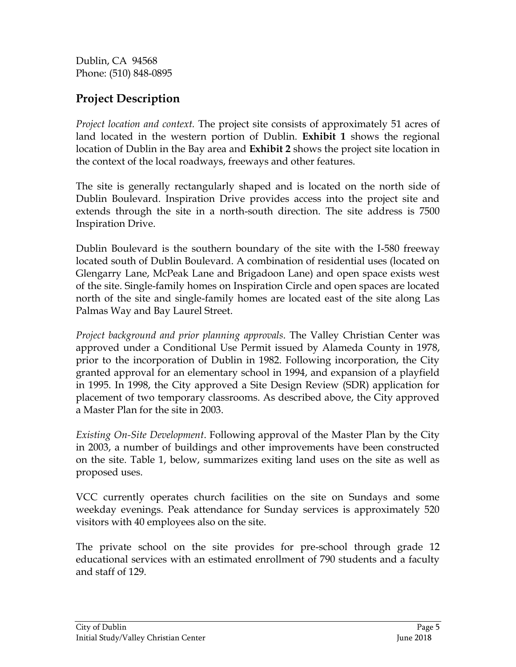Dublin, CA 94568 Phone: (510) 848-0895

## **Project Description**

*Project location and context.* The project site consists of approximately 51 acres of land located in the western portion of Dublin. **Exhibit 1** shows the regional location of Dublin in the Bay area and **Exhibit 2** shows the project site location in the context of the local roadways, freeways and other features.

The site is generally rectangularly shaped and is located on the north side of Dublin Boulevard. Inspiration Drive provides access into the project site and extends through the site in a north-south direction. The site address is 7500 Inspiration Drive.

Dublin Boulevard is the southern boundary of the site with the I-580 freeway located south of Dublin Boulevard. A combination of residential uses (located on Glengarry Lane, McPeak Lane and Brigadoon Lane) and open space exists west of the site. Single-family homes on Inspiration Circle and open spaces are located north of the site and single-family homes are located east of the site along Las Palmas Way and Bay Laurel Street.

*Project background and prior planning approvals*. The Valley Christian Center was approved under a Conditional Use Permit issued by Alameda County in 1978, prior to the incorporation of Dublin in 1982. Following incorporation, the City granted approval for an elementary school in 1994, and expansion of a playfield in 1995. In 1998, the City approved a Site Design Review (SDR) application for placement of two temporary classrooms. As described above, the City approved a Master Plan for the site in 2003.

*Existing On-Site Development*. Following approval of the Master Plan by the City in 2003, a number of buildings and other improvements have been constructed on the site. Table 1, below, summarizes exiting land uses on the site as well as proposed uses.

VCC currently operates church facilities on the site on Sundays and some weekday evenings. Peak attendance for Sunday services is approximately 520 visitors with 40 employees also on the site.

The private school on the site provides for pre-school through grade 12 educational services with an estimated enrollment of 790 students and a faculty and staff of 129.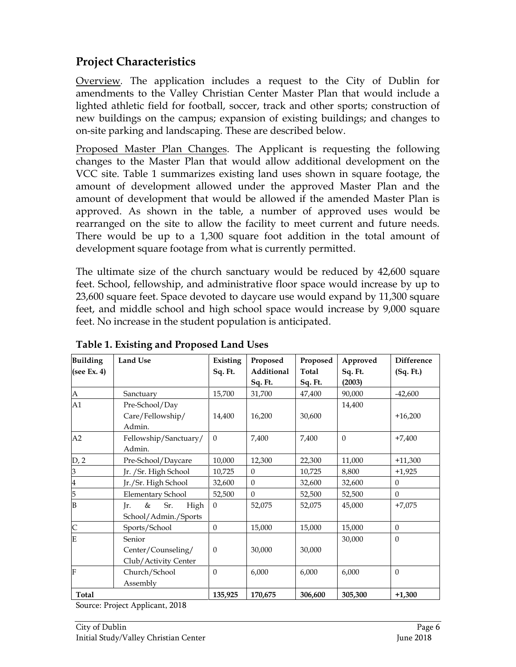## **Project Characteristics**

Overview*.* The application includes a request to the City of Dublin for amendments to the Valley Christian Center Master Plan that would include a lighted athletic field for football, soccer, track and other sports; construction of new buildings on the campus; expansion of existing buildings; and changes to on-site parking and landscaping. These are described below.

Proposed Master Plan Changes. The Applicant is requesting the following changes to the Master Plan that would allow additional development on the VCC site. Table 1 summarizes existing land uses shown in square footage, the amount of development allowed under the approved Master Plan and the amount of development that would be allowed if the amended Master Plan is approved. As shown in the table, a number of approved uses would be rearranged on the site to allow the facility to meet current and future needs. There would be up to a 1,300 square foot addition in the total amount of development square footage from what is currently permitted.

The ultimate size of the church sanctuary would be reduced by 42,600 square feet. School, fellowship, and administrative floor space would increase by up to 23,600 square feet. Space devoted to daycare use would expand by 11,300 square feet, and middle school and high school space would increase by 9,000 square feet. No increase in the student population is anticipated.

| <b>Building</b><br>(see Ex. 4) | <b>Land Use</b>          | Existing<br>Sq. Ft. | Proposed<br>Additional | Proposed<br>Total | Approved<br>Sq. Ft. | <b>Difference</b><br>(Sq. Ft.) |
|--------------------------------|--------------------------|---------------------|------------------------|-------------------|---------------------|--------------------------------|
|                                |                          |                     | Sq. Ft.                | Sq. Ft.           | (2003)              |                                |
| $\mathbf{A}$                   | Sanctuary                | 15,700              | 31,700                 | 47,400            | 90,000              | $-42,600$                      |
| A1                             | Pre-School/Day           |                     |                        |                   | 14,400              |                                |
|                                | Care/Fellowship/         | 14,400              | 16,200                 | 30,600            |                     | $+16,200$                      |
|                                | Admin.                   |                     |                        |                   |                     |                                |
| A2                             | Fellowship/Sanctuary/    | $\mathbf{0}$        | 7,400                  | 7,400             | $\theta$            | $+7,400$                       |
|                                | Admin.                   |                     |                        |                   |                     |                                |
| D, 2                           | Pre-School/Daycare       | 10,000              | 12,300                 | 22,300            | 11,000              | $+11,300$                      |
| 3                              | Jr. / Sr. High School    | 10,725              | $\Omega$               | 10,725            | 8,800               | $+1,925$                       |
| $\vert 4$                      | Jr./Sr. High School      | 32,600              | $\Omega$               | 32,600            | 32,600              | $\theta$                       |
| 5                              | <b>Elementary School</b> | 52,500              | $\Omega$               | 52,500            | 52,500              | $\Omega$                       |
| B                              | Sr.<br>&<br>High<br>Jr.  | $\mathbf{0}$        | 52,075                 | 52,075            | 45,000              | $+7,075$                       |
|                                | School/Admin./Sports     |                     |                        |                   |                     |                                |
| $\mathsf{C}$                   | Sports/School            | $\theta$            | 15,000                 | 15,000            | 15,000              | $\theta$                       |
| E                              | Senior                   |                     |                        |                   | 30,000              | $\theta$                       |
|                                | Center/Counseling/       | $\theta$            | 30,000                 | 30,000            |                     |                                |
|                                | Club/Activity Center     |                     |                        |                   |                     |                                |
| F                              | Church/School            | $\theta$            | 6,000                  | 6,000             | 6,000               | $\theta$                       |
|                                | Assembly                 |                     |                        |                   |                     |                                |
| Total                          |                          | 135,925             | 170,675                | 306,600           | 305,300             | $+1,300$                       |

**Table 1. Existing and Proposed Land Uses**

Source: Project Applicant, 2018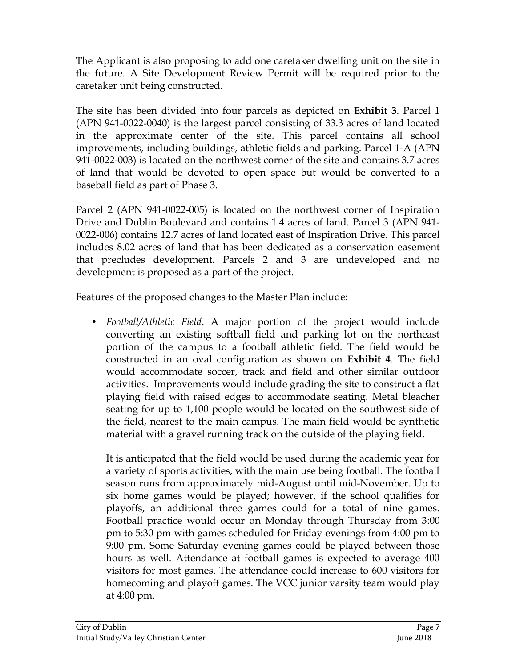The Applicant is also proposing to add one caretaker dwelling unit on the site in the future. A Site Development Review Permit will be required prior to the caretaker unit being constructed.

The site has been divided into four parcels as depicted on **Exhibit 3**. Parcel 1 (APN 941-0022-0040) is the largest parcel consisting of 33.3 acres of land located in the approximate center of the site. This parcel contains all school improvements, including buildings, athletic fields and parking. Parcel 1-A (APN 941-0022-003) is located on the northwest corner of the site and contains 3.7 acres of land that would be devoted to open space but would be converted to a baseball field as part of Phase 3.

Parcel 2 (APN 941-0022-005) is located on the northwest corner of Inspiration Drive and Dublin Boulevard and contains 1.4 acres of land. Parcel 3 (APN 941- 0022-006) contains 12.7 acres of land located east of Inspiration Drive. This parcel includes 8.02 acres of land that has been dedicated as a conservation easement that precludes development. Parcels 2 and 3 are undeveloped and no development is proposed as a part of the project.

Features of the proposed changes to the Master Plan include:

• *Football/Athletic Field*. A major portion of the project would include converting an existing softball field and parking lot on the northeast portion of the campus to a football athletic field. The field would be constructed in an oval configuration as shown on **Exhibit 4**. The field would accommodate soccer, track and field and other similar outdoor activities. Improvements would include grading the site to construct a flat playing field with raised edges to accommodate seating. Metal bleacher seating for up to 1,100 people would be located on the southwest side of the field, nearest to the main campus. The main field would be synthetic material with a gravel running track on the outside of the playing field.

It is anticipated that the field would be used during the academic year for a variety of sports activities, with the main use being football. The football season runs from approximately mid-August until mid-November. Up to six home games would be played; however, if the school qualifies for playoffs, an additional three games could for a total of nine games. Football practice would occur on Monday through Thursday from 3:00 pm to 5:30 pm with games scheduled for Friday evenings from 4:00 pm to 9:00 pm. Some Saturday evening games could be played between those hours as well. Attendance at football games is expected to average 400 visitors for most games. The attendance could increase to 600 visitors for homecoming and playoff games. The VCC junior varsity team would play at 4:00 pm.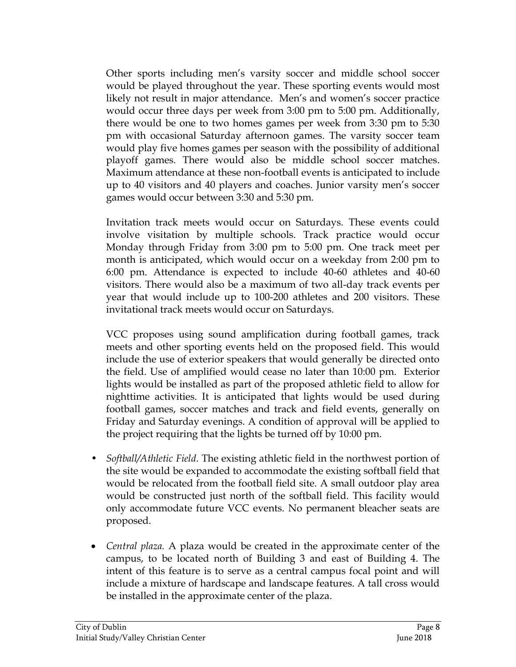Other sports including men's varsity soccer and middle school soccer would be played throughout the year. These sporting events would most likely not result in major attendance. Men's and women's soccer practice would occur three days per week from 3:00 pm to 5:00 pm. Additionally, there would be one to two homes games per week from 3:30 pm to 5:30 pm with occasional Saturday afternoon games. The varsity soccer team would play five homes games per season with the possibility of additional playoff games. There would also be middle school soccer matches. Maximum attendance at these non-football events is anticipated to include up to 40 visitors and 40 players and coaches. Junior varsity men's soccer games would occur between 3:30 and 5:30 pm.

Invitation track meets would occur on Saturdays. These events could involve visitation by multiple schools. Track practice would occur Monday through Friday from 3:00 pm to 5:00 pm. One track meet per month is anticipated, which would occur on a weekday from 2:00 pm to 6:00 pm. Attendance is expected to include 40-60 athletes and 40-60 visitors. There would also be a maximum of two all-day track events per year that would include up to 100-200 athletes and 200 visitors. These invitational track meets would occur on Saturdays.

VCC proposes using sound amplification during football games, track meets and other sporting events held on the proposed field. This would include the use of exterior speakers that would generally be directed onto the field. Use of amplified would cease no later than 10:00 pm. Exterior lights would be installed as part of the proposed athletic field to allow for nighttime activities. It is anticipated that lights would be used during football games, soccer matches and track and field events, generally on Friday and Saturday evenings. A condition of approval will be applied to the project requiring that the lights be turned off by 10:00 pm.

- *Softball/Athletic Field*. The existing athletic field in the northwest portion of the site would be expanded to accommodate the existing softball field that would be relocated from the football field site. A small outdoor play area would be constructed just north of the softball field. This facility would only accommodate future VCC events. No permanent bleacher seats are proposed.
- *Central plaza.* A plaza would be created in the approximate center of the campus, to be located north of Building 3 and east of Building 4. The intent of this feature is to serve as a central campus focal point and will include a mixture of hardscape and landscape features. A tall cross would be installed in the approximate center of the plaza.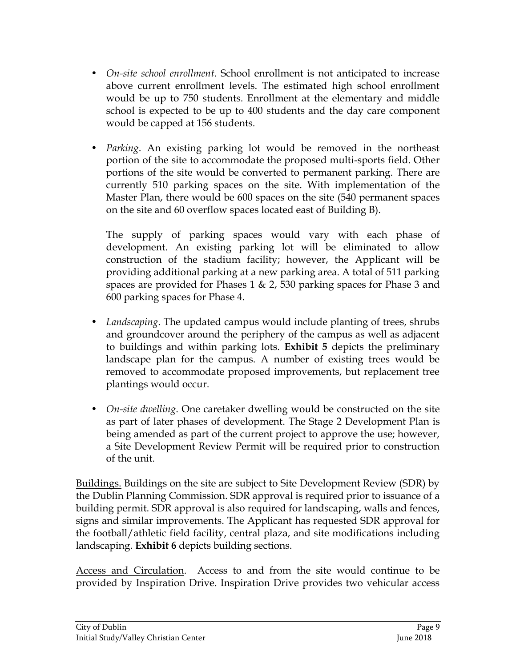- *On-site school enrollment*. School enrollment is not anticipated to increase above current enrollment levels. The estimated high school enrollment would be up to 750 students. Enrollment at the elementary and middle school is expected to be up to 400 students and the day care component would be capped at 156 students.
- *Parking*. An existing parking lot would be removed in the northeast portion of the site to accommodate the proposed multi-sports field. Other portions of the site would be converted to permanent parking. There are currently 510 parking spaces on the site. With implementation of the Master Plan, there would be 600 spaces on the site (540 permanent spaces on the site and 60 overflow spaces located east of Building B).

The supply of parking spaces would vary with each phase of development. An existing parking lot will be eliminated to allow construction of the stadium facility; however, the Applicant will be providing additional parking at a new parking area. A total of 511 parking spaces are provided for Phases 1 & 2, 530 parking spaces for Phase 3 and 600 parking spaces for Phase 4.

- *Landscaping*. The updated campus would include planting of trees, shrubs and groundcover around the periphery of the campus as well as adjacent to buildings and within parking lots. **Exhibit 5** depicts the preliminary landscape plan for the campus. A number of existing trees would be removed to accommodate proposed improvements, but replacement tree plantings would occur.
- *On-site dwelling*. One caretaker dwelling would be constructed on the site as part of later phases of development. The Stage 2 Development Plan is being amended as part of the current project to approve the use; however, a Site Development Review Permit will be required prior to construction of the unit.

Buildings. Buildings on the site are subject to Site Development Review (SDR) by the Dublin Planning Commission. SDR approval is required prior to issuance of a building permit. SDR approval is also required for landscaping, walls and fences, signs and similar improvements. The Applicant has requested SDR approval for the football/athletic field facility, central plaza, and site modifications including landscaping. **Exhibit 6** depicts building sections.

Access and Circulation. Access to and from the site would continue to be provided by Inspiration Drive. Inspiration Drive provides two vehicular access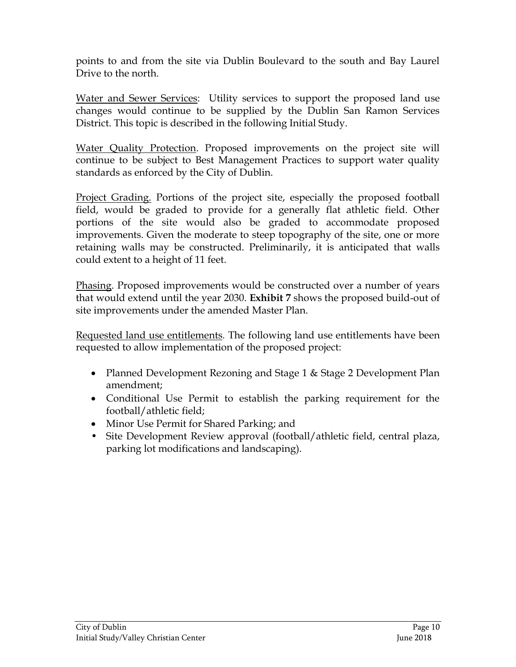points to and from the site via Dublin Boulevard to the south and Bay Laurel Drive to the north.

Water and Sewer Services: Utility services to support the proposed land use changes would continue to be supplied by the Dublin San Ramon Services District. This topic is described in the following Initial Study.

Water Quality Protection. Proposed improvements on the project site will continue to be subject to Best Management Practices to support water quality standards as enforced by the City of Dublin.

Project Grading. Portions of the project site, especially the proposed football field, would be graded to provide for a generally flat athletic field. Other portions of the site would also be graded to accommodate proposed improvements. Given the moderate to steep topography of the site, one or more retaining walls may be constructed. Preliminarily, it is anticipated that walls could extent to a height of 11 feet.

Phasing. Proposed improvements would be constructed over a number of years that would extend until the year 2030. **Exhibit 7** shows the proposed build-out of site improvements under the amended Master Plan.

Requested land use entitlements*.* The following land use entitlements have been requested to allow implementation of the proposed project:

- Planned Development Rezoning and Stage 1 & Stage 2 Development Plan amendment;
- Conditional Use Permit to establish the parking requirement for the football/athletic field;
- Minor Use Permit for Shared Parking; and
- Site Development Review approval (football/athletic field, central plaza, parking lot modifications and landscaping).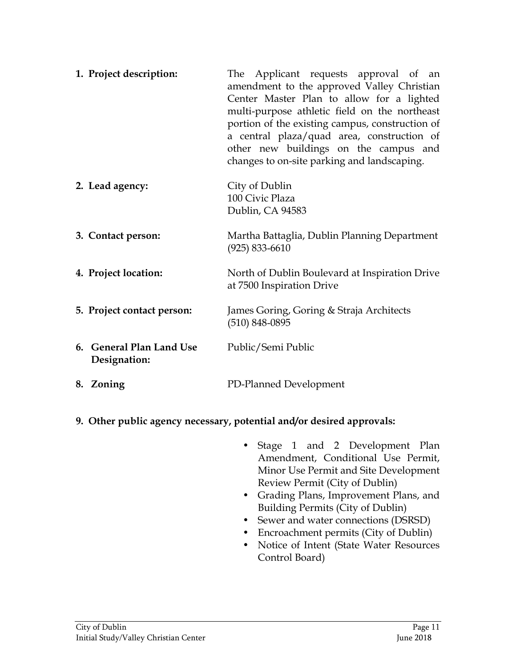|           | 1. Project description:                  | The Applicant requests approval of an<br>amendment to the approved Valley Christian<br>Center Master Plan to allow for a lighted<br>multi-purpose athletic field on the northeast<br>portion of the existing campus, construction of<br>a central plaza/quad area, construction of<br>other new buildings on the campus and<br>changes to on-site parking and landscaping. |
|-----------|------------------------------------------|----------------------------------------------------------------------------------------------------------------------------------------------------------------------------------------------------------------------------------------------------------------------------------------------------------------------------------------------------------------------------|
|           | 2. Lead agency:                          | City of Dublin<br>100 Civic Plaza<br>Dublin, CA 94583                                                                                                                                                                                                                                                                                                                      |
|           | 3. Contact person:                       | Martha Battaglia, Dublin Planning Department<br>$(925) 833 - 6610$                                                                                                                                                                                                                                                                                                         |
|           | 4. Project location:                     | North of Dublin Boulevard at Inspiration Drive<br>at 7500 Inspiration Drive                                                                                                                                                                                                                                                                                                |
|           | 5. Project contact person:               | James Goring, Goring & Straja Architects<br>$(510) 848 - 0895$                                                                                                                                                                                                                                                                                                             |
|           | 6. General Plan Land Use<br>Designation: | Public/Semi Public                                                                                                                                                                                                                                                                                                                                                         |
| 8. Zoning |                                          | PD-Planned Development                                                                                                                                                                                                                                                                                                                                                     |

- **9. Other public agency necessary, potential and/or desired approvals:**
	- Stage 1 and 2 Development Plan Amendment, Conditional Use Permit, Minor Use Permit and Site Development Review Permit (City of Dublin)
	- Grading Plans, Improvement Plans, and Building Permits (City of Dublin)
	- Sewer and water connections (DSRSD)
	- Encroachment permits (City of Dublin)
	- Notice of Intent (State Water Resources Control Board)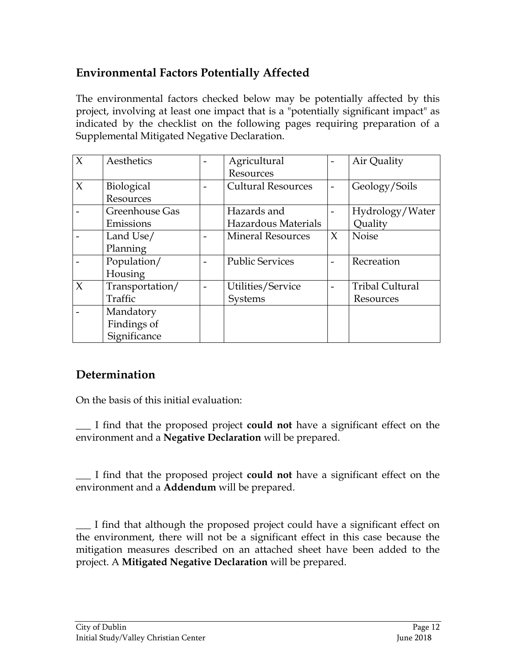## **Environmental Factors Potentially Affected**

The environmental factors checked below may be potentially affected by this project, involving at least one impact that is a "potentially significant impact" as indicated by the checklist on the following pages requiring preparation of a Supplemental Mitigated Negative Declaration.

| $\chi$ | Aesthetics        | $\overline{\phantom{0}}$ | Agricultural              |                          | Air Quality            |
|--------|-------------------|--------------------------|---------------------------|--------------------------|------------------------|
|        |                   |                          | Resources                 |                          |                        |
| $\chi$ | <b>Biological</b> |                          | <b>Cultural Resources</b> |                          | Geology/Soils          |
|        | Resources         |                          |                           |                          |                        |
|        | Greenhouse Gas    |                          | Hazards and               |                          | Hydrology/Water        |
|        | Emissions         |                          | Hazardous Materials       |                          | Quality                |
|        | Land Use/         |                          | <b>Mineral Resources</b>  | $\chi$                   | <b>Noise</b>           |
|        | Planning          |                          |                           |                          |                        |
|        | Population/       |                          | <b>Public Services</b>    |                          | Recreation             |
|        | Housing           |                          |                           |                          |                        |
| $\chi$ | Transportation/   |                          | Utilities/Service         | $\overline{\phantom{0}}$ | <b>Tribal Cultural</b> |
|        | Traffic           |                          | Systems                   |                          | Resources              |
|        | Mandatory         |                          |                           |                          |                        |
|        | Findings of       |                          |                           |                          |                        |
|        | Significance      |                          |                           |                          |                        |

## **Determination**

On the basis of this initial evaluation:

\_\_\_ I find that the proposed project **could not** have a significant effect on the environment and a **Negative Declaration** will be prepared.

\_\_\_ I find that the proposed project **could not** have a significant effect on the environment and a **Addendum** will be prepared.

\_\_\_ I find that although the proposed project could have a significant effect on the environment, there will not be a significant effect in this case because the mitigation measures described on an attached sheet have been added to the project. A **Mitigated Negative Declaration** will be prepared.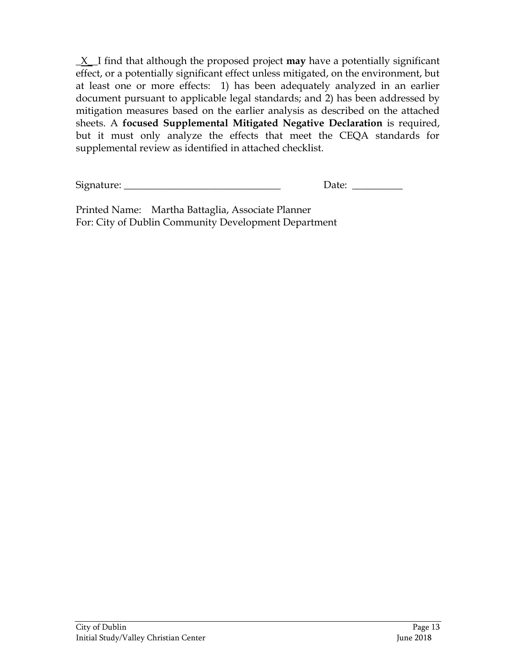\_X\_\_I find that although the proposed project **may** have a potentially significant effect, or a potentially significant effect unless mitigated, on the environment, but at least one or more effects: 1) has been adequately analyzed in an earlier document pursuant to applicable legal standards; and 2) has been addressed by mitigation measures based on the earlier analysis as described on the attached sheets. A **focused Supplemental Mitigated Negative Declaration** is required, but it must only analyze the effects that meet the CEQA standards for supplemental review as identified in attached checklist.

Signature: \_\_\_\_\_\_\_\_\_\_\_\_\_\_\_\_\_\_\_\_\_\_\_\_\_\_\_\_\_\_\_ Date: \_\_\_\_\_\_\_\_\_\_

Printed Name: Martha Battaglia, Associate Planner For: City of Dublin Community Development Department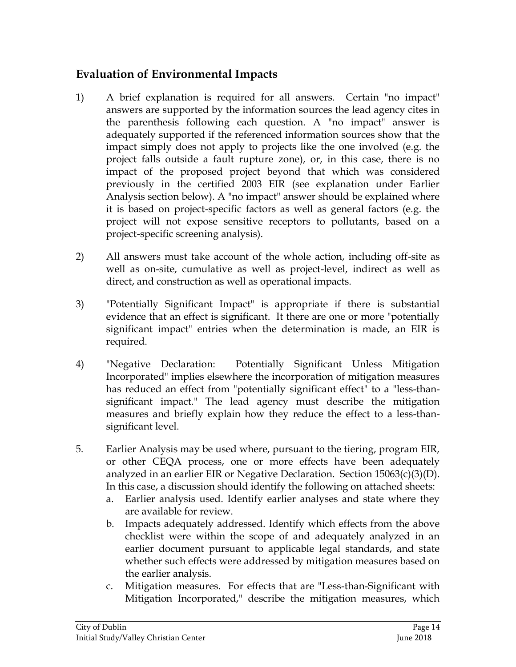## **Evaluation of Environmental Impacts**

- 1) A brief explanation is required for all answers. Certain "no impact" answers are supported by the information sources the lead agency cites in the parenthesis following each question. A "no impact" answer is adequately supported if the referenced information sources show that the impact simply does not apply to projects like the one involved (e.g. the project falls outside a fault rupture zone), or, in this case, there is no impact of the proposed project beyond that which was considered previously in the certified 2003 EIR (see explanation under Earlier Analysis section below). A "no impact" answer should be explained where it is based on project-specific factors as well as general factors (e.g. the project will not expose sensitive receptors to pollutants, based on a project-specific screening analysis).
- 2) All answers must take account of the whole action, including off-site as well as on-site, cumulative as well as project-level, indirect as well as direct, and construction as well as operational impacts.
- 3) "Potentially Significant Impact" is appropriate if there is substantial evidence that an effect is significant. It there are one or more "potentially significant impact" entries when the determination is made, an EIR is required.
- 4) "Negative Declaration: Potentially Significant Unless Mitigation Incorporated" implies elsewhere the incorporation of mitigation measures has reduced an effect from "potentially significant effect" to a "less-thansignificant impact." The lead agency must describe the mitigation measures and briefly explain how they reduce the effect to a less-thansignificant level.
- 5. Earlier Analysis may be used where, pursuant to the tiering, program EIR, or other CEQA process, one or more effects have been adequately analyzed in an earlier EIR or Negative Declaration. Section 15063(c)(3)(D). In this case, a discussion should identify the following on attached sheets:
	- a. Earlier analysis used. Identify earlier analyses and state where they are available for review.
	- b. Impacts adequately addressed. Identify which effects from the above checklist were within the scope of and adequately analyzed in an earlier document pursuant to applicable legal standards, and state whether such effects were addressed by mitigation measures based on the earlier analysis.
	- c. Mitigation measures. For effects that are "Less-than-Significant with Mitigation Incorporated," describe the mitigation measures, which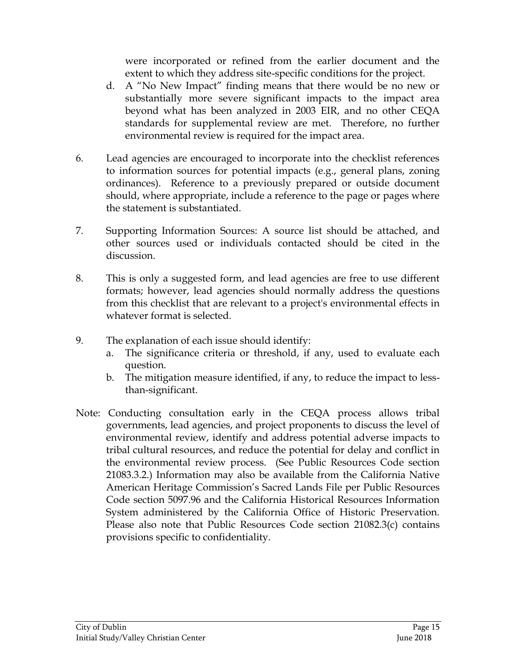were incorporated or refined from the earlier document and the extent to which they address site-specific conditions for the project.

- d. A "No New Impact" finding means that there would be no new or substantially more severe significant impacts to the impact area beyond what has been analyzed in 2003 EIR, and no other CEQA standards for supplemental review are met. Therefore, no further environmental review is required for the impact area.
- 6. Lead agencies are encouraged to incorporate into the checklist references to information sources for potential impacts (e.g., general plans, zoning ordinances). Reference to a previously prepared or outside document should, where appropriate, include a reference to the page or pages where the statement is substantiated.
- 7. Supporting Information Sources: A source list should be attached, and other sources used or individuals contacted should be cited in the discussion.
- 8. This is only a suggested form, and lead agencies are free to use different formats; however, lead agencies should normally address the questions from this checklist that are relevant to a project's environmental effects in whatever format is selected.
- 9. The explanation of each issue should identify:
	- a. The significance criteria or threshold, if any, used to evaluate each question.
	- b. The mitigation measure identified, if any, to reduce the impact to lessthan-significant.
- Note: Conducting consultation early in the CEQA process allows tribal governments, lead agencies, and project proponents to discuss the level of environmental review, identify and address potential adverse impacts to tribal cultural resources, and reduce the potential for delay and conflict in the environmental review process. (See Public Resources Code section 21083.3.2.) Information may also be available from the California Native American Heritage Commission's Sacred Lands File per Public Resources Code section 5097.96 and the California Historical Resources Information System administered by the California Office of Historic Preservation. Please also note that Public Resources Code section 21082.3(c) contains provisions specific to confidentiality.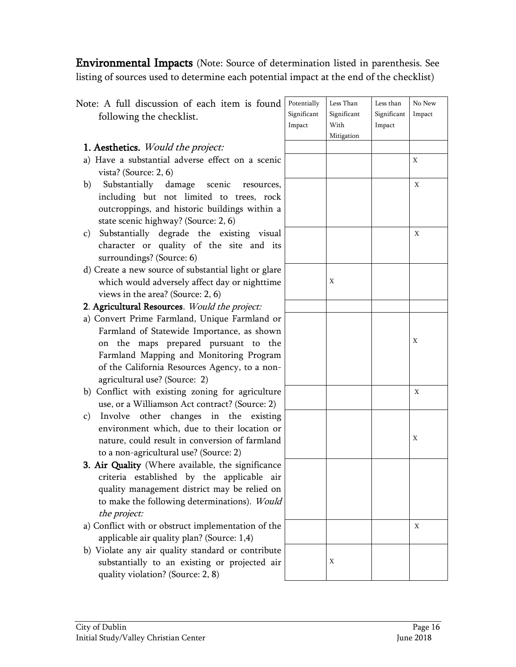Environmental Impacts (Note: Source of determination listed in parenthesis. See listing of sources used to determine each potential impact at the end of the checklist)

| Note: A full discussion of each item is found                                      | Potentially | Less Than   | Less than   | No New |
|------------------------------------------------------------------------------------|-------------|-------------|-------------|--------|
| following the checklist.                                                           | Significant | Significant | Significant | Impact |
|                                                                                    | Impact      | With        | Impact      |        |
|                                                                                    |             | Mitigation  |             |        |
| 1. Aesthetics. Would the project:                                                  |             |             |             |        |
| a) Have a substantial adverse effect on a scenic<br>vista? (Source: 2, 6)          |             |             |             | Χ      |
| Substantially damage scenic<br>b)<br>resources,                                    |             |             |             | Χ      |
| including but not limited to trees, rock                                           |             |             |             |        |
| outcroppings, and historic buildings within a                                      |             |             |             |        |
| state scenic highway? (Source: 2, 6)                                               |             |             |             |        |
| Substantially degrade the existing visual<br>$\mathbf{c})$                         |             |             |             | Χ      |
| character or quality of the site and its                                           |             |             |             |        |
| surroundings? (Source: 6)                                                          |             |             |             |        |
| d) Create a new source of substantial light or glare                               |             |             |             |        |
| which would adversely affect day or nighttime                                      |             | X           |             |        |
| views in the area? (Source: $2, 6$ )                                               |             |             |             |        |
| 2. Agricultural Resources. Would the project:                                      |             |             |             |        |
| a) Convert Prime Farmland, Unique Farmland or                                      |             |             |             |        |
| Farmland of Statewide Importance, as shown                                         |             |             |             |        |
| on the maps prepared pursuant to the                                               |             |             |             | Χ      |
| Farmland Mapping and Monitoring Program                                            |             |             |             |        |
| of the California Resources Agency, to a non-                                      |             |             |             |        |
| agricultural use? (Source: 2)                                                      |             |             |             |        |
| b) Conflict with existing zoning for agriculture                                   |             |             |             | X      |
| use, or a Williamson Act contract? (Source: 2)                                     |             |             |             |        |
| other changes in the existing<br>Involve<br>$\mathbf{c})$                          |             |             |             |        |
| environment which, due to their location or                                        |             |             |             |        |
| nature, could result in conversion of farmland                                     |             |             |             | Χ      |
| to a non-agricultural use? (Source: 2)                                             |             |             |             |        |
| 3. Air Quality (Where available, the significance                                  |             |             |             |        |
| criteria established by the applicable air                                         |             |             |             |        |
| quality management district may be relied on                                       |             |             |             |        |
| to make the following determinations). Would                                       |             |             |             |        |
| the project:                                                                       |             |             |             |        |
| a) Conflict with or obstruct implementation of the                                 |             |             |             | X      |
| applicable air quality plan? (Source: 1,4)                                         |             |             |             |        |
| b) Violate any air quality standard or contribute                                  |             | Χ           |             |        |
| substantially to an existing or projected air<br>quality violation? (Source: 2, 8) |             |             |             |        |
|                                                                                    |             |             |             |        |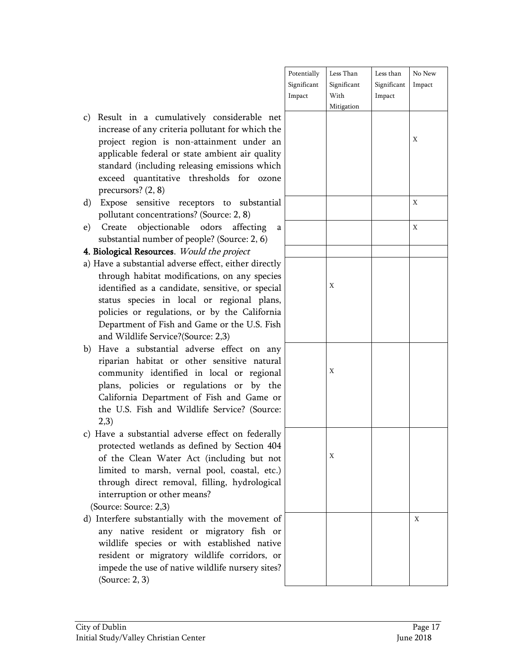|                                              | Potentially | Less Than   | Less than   | No New |
|----------------------------------------------|-------------|-------------|-------------|--------|
|                                              | Significant | Significant | Significant | Impact |
|                                              | Impact      | With        | Impact      |        |
|                                              |             | Mitigation  |             |        |
| considerable<br>net                          |             |             |             |        |
| utant for which the                          |             |             |             |        |
| ainment under an                             |             |             |             | X      |
| ambient air quality                          |             |             |             |        |
| ng emissions which                           |             |             |             |        |
| sholds for<br>ozone                          |             |             |             |        |
|                                              |             |             |             |        |
| ors to substantial<br>Source: 2, 8)          |             |             |             | X      |
| dors<br>affecting<br>a<br>le? (Source: 2, 6) |             |             |             | X      |
| d the project                                |             |             |             |        |
| ffect, either directly                       |             |             |             |        |
| ons, on any species                          |             |             |             |        |
| sensitive, or special                        |             | X           |             |        |
| or regional plans,                           |             |             |             |        |
| by the California                            |             |             |             |        |
| ume or the U.S. Fish                         |             |             |             |        |
| ce: 2,3)                                     |             |             |             |        |
| rse effect on any                            |             |             |             |        |
| r sensitive natural                          |             |             |             |        |
| local or regional                            |             | X           |             |        |
| ations or by the                             |             |             |             |        |
| Fish and Game or                             |             |             |             |        |
| e Service? (Source:                          |             |             |             |        |
|                                              |             |             |             |        |
| effect on federally                          |             |             |             |        |
| ned by Section 404                           |             |             |             |        |
|                                              |             | X           |             |        |
| (including but not                           |             |             |             |        |
| pool, coastal, etc.)                         |             |             |             |        |
| filling, hydrological                        |             |             |             |        |
| s?                                           |             |             |             |        |
|                                              |             |             |             |        |
| the movement of                              |             |             |             | X      |
| migratory fish or                            |             |             |             |        |
| established native                           |             |             |             |        |
| ldlife corridors, or                         |             |             |             |        |
| ildlife nursery sites?                       |             |             |             |        |
|                                              |             |             |             |        |

- c) Result in a cumulatively increase of any criteria poll project region is non-atta applicable federal or state standard (including releasii exceed quantitative thre precursors? (2, 8)
- d) Expose sensitive receptors pollutant concentrations? (Source:
- e) Create objectionable o substantial number of peopl

#### 4. Biological Resources. Would

- a) Have a substantial adverse ef through habitat modification identified as a candidate, status species in local policies or regulations, or Department of Fish and Ga and Wildlife Service?(Sourc
- b) Have a substantial adver riparian habitat or other community identified in plans, policies or regula California Department of the U.S. Fish and Wildlife 2,3)
- c) Have a substantial adverse protected wetlands as defined by of the Clean Water Act limited to marsh, vernal through direct removal, f interruption or other means

(Source: Source: 2,3)

d) Interfere substantially with any native resident or wildlife species or with resident or migratory wil impede the use of native wi (Source: 2, 3)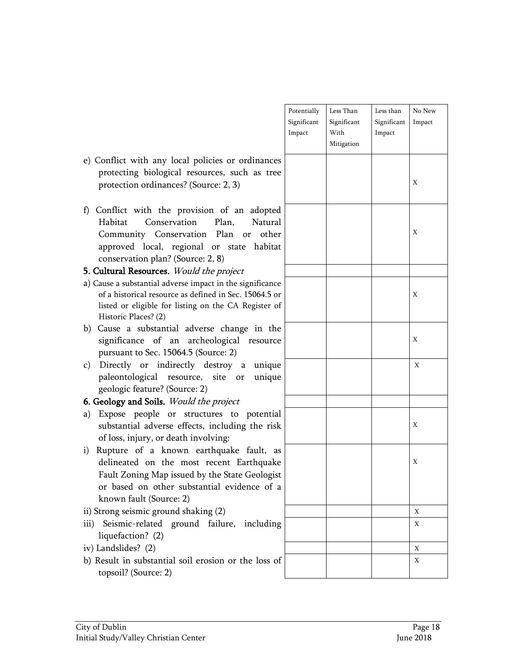|                                                                                                                                                                                                                          | Potentially<br>Significant<br>Impact | Less Than<br>Significant<br>With<br>Mitigation | Less than<br>Significant<br>Impact | No New<br>Impact |
|--------------------------------------------------------------------------------------------------------------------------------------------------------------------------------------------------------------------------|--------------------------------------|------------------------------------------------|------------------------------------|------------------|
| e) Conflict with any local policies or ordinances<br>protecting biological resources, such as tree<br>protection ordinances? (Source: 2, 3)                                                                              |                                      |                                                |                                    | Χ                |
| f) Conflict with the provision of an adopted<br>Conservation<br>Habitat<br>Plan,<br>Natural<br>Community Conservation Plan or<br>other<br>approved local, regional or state habitat<br>conservation plan? (Source: 2, 8) |                                      |                                                |                                    | X                |
| 5. Cultural Resources. Would the project                                                                                                                                                                                 |                                      |                                                |                                    |                  |
| a) Cause a substantial adverse impact in the significance<br>of a historical resource as defined in Sec. 15064.5 or<br>listed or eligible for listing on the CA Register of<br>Historic Places? (2)                      |                                      |                                                |                                    | X                |
| b) Cause a substantial adverse change in the<br>significance of an archeological resource<br>pursuant to Sec. 15064.5 (Source: 2)                                                                                        |                                      |                                                |                                    | X                |
| Directly or indirectly destroy a unique<br>c)<br>paleontological resource, site or unique<br>geologic feature? (Source: 2)                                                                                               |                                      |                                                |                                    | X                |
| 6. Geology and Soils. Would the project                                                                                                                                                                                  |                                      |                                                |                                    |                  |
| Expose people or structures to potential<br>a)<br>substantial adverse effects, including the risk<br>of loss, injury, or death involving:                                                                                |                                      |                                                |                                    | X                |
| Rupture of a known earthquake fault, as<br>i)<br>delineated on the most recent Earthquake<br>Fault Zoning Map issued by the State Geologist<br>or based on other substantial evidence of a<br>known fault (Source: 2)    |                                      |                                                |                                    | X                |
| ii) Strong seismic ground shaking (2)                                                                                                                                                                                    |                                      |                                                |                                    | X                |
| Seismic-related ground failure, including<br>iii)<br>liquefaction? (2)                                                                                                                                                   |                                      |                                                |                                    | Χ                |
| iv) Landslides? (2)                                                                                                                                                                                                      |                                      |                                                |                                    | X                |
| b) Result in substantial soil erosion or the loss of<br>topsoil? (Source: 2)                                                                                                                                             |                                      |                                                |                                    | X                |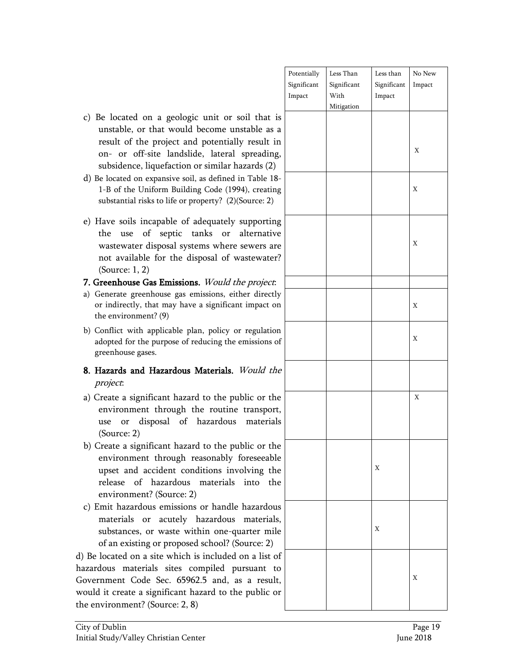|                                      | Potentially | Less Than          | Less than   | No New |
|--------------------------------------|-------------|--------------------|-------------|--------|
|                                      | Significant | Significant        | Significant | Impact |
|                                      | Impact      | With<br>Mitigation | Impact      |        |
| or soil that is                      |             |                    |             |        |
| e unstable as a                      |             |                    |             |        |
| itially result in                    |             |                    |             |        |
| eral spreading,                      |             |                    |             | Χ      |
|                                      |             |                    |             |        |
| lar hazards (2)                      |             |                    |             |        |
| ned in Table 18-<br>(1994), creating |             |                    |             | X      |
|                                      |             |                    |             |        |
| (2)(Source: 2)                       |             |                    |             |        |
| tely supporting                      |             |                    |             |        |
| alternative<br>or                    |             |                    |             |        |
| nere sewers are                      |             |                    |             | Χ      |
| of wastewater?                       |             |                    |             |        |
|                                      |             |                    |             |        |
| d the project.                       |             |                    |             |        |
| s, either directly                   |             |                    |             |        |
| ficant impact on                     |             |                    |             | X      |
|                                      |             |                    |             |        |
|                                      |             |                    |             |        |
| cy or regulation<br>the emissions of |             |                    |             | X      |
|                                      |             |                    |             |        |
|                                      |             |                    |             |        |
| als. Would the                       |             |                    |             |        |
|                                      |             |                    |             |        |
| e public or the                      |             |                    |             | X      |
| tine transport,                      |             |                    |             |        |
| materials<br>lous                    |             |                    |             |        |
|                                      |             |                    |             |        |
| e public or the                      |             |                    |             |        |
| bly foreseeable                      |             |                    |             |        |
| involving the                        |             |                    | Х           |        |
| into the                             |             |                    |             |        |
| ials                                 |             |                    |             |        |
|                                      |             |                    |             |        |
| ndle hazardous                       |             |                    |             |        |
| ous<br>materials,                    |             |                    | Х           |        |
| ne-quarter mile                      |             |                    |             |        |
| ol? (Source: 2)                      |             |                    |             |        |
| ded on a list of                     |             |                    |             |        |
| d pursuant to                        |             |                    |             |        |
| d, as a result,                      |             |                    |             | Χ      |
| o the public or                      |             |                    |             |        |
|                                      |             |                    |             |        |

- c) Be located on a geologic unit unstable, or that would become result of the project and poten on- or off-site landslide, late subsidence, liquefaction or simil
- d) Be located on expansive soil, as defined as 1-B of the Uniform Building Code substantial risks to life or property?
- e) Have soils incapable of adequat the use of septic tanks wastewater disposal systems wh not available for the disposal (Source: 1, 2)

#### 7. Greenhouse Gas Emissions. Would

- a) Generate greenhouse gas emissions or indirectly, that may have a signif the environment? (9)
- b) Conflict with applicable plan, poliadopted for the purpose of reducing greenhouse gases.
- 8. Hazards and Hazardous Materia project:
- a) Create a significant hazard to the environment through the rou use or disposal of hazard (Source: 2)
- b) Create a significant hazard to the environment through reasonal upset and accident conditions release of hazardous materi environment? (Source: 2)
- c) Emit hazardous emissions or handle materials or acutely hazard substances, or waste within on of an existing or proposed school

d) Be located on a site which is incluhazardous materials sites compiled Government Code Sec. 65962.5 and would it create a significant hazard to the environment? (Source: 2, 8)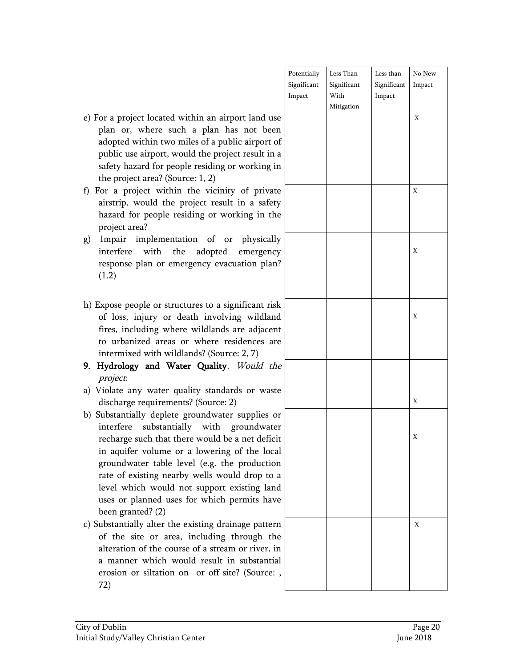|               | Potentially | Less Than   | Less than   | No New      |
|---------------|-------------|-------------|-------------|-------------|
|               | Significant | Significant | Significant | Impact      |
|               | Impact      | With        | Impact      |             |
|               |             | Mitigation  |             |             |
| use           |             |             |             | $\mathbf X$ |
| een           |             |             |             |             |
| t of          |             |             |             |             |
| in a          |             |             |             |             |
| g in          |             |             |             |             |
|               |             |             |             |             |
| ate           |             |             |             | $\mathbf X$ |
| fety          |             |             |             |             |
| the           |             |             |             |             |
|               |             |             |             |             |
| ally          |             |             |             |             |
| ncy           |             |             |             | $\mathbf X$ |
| an?           |             |             |             |             |
|               |             |             |             |             |
|               |             |             |             |             |
|               |             |             |             |             |
| risk          |             |             |             |             |
| and           |             |             |             | $\mathbf X$ |
| ent           |             |             |             |             |
| are           |             |             |             |             |
|               |             |             |             |             |
| the           |             |             |             |             |
|               |             |             |             |             |
| aste          |             |             |             |             |
|               |             |             |             | $\mathbf X$ |
| or            |             |             |             |             |
| ater          |             |             |             |             |
| icit          |             |             |             | $\mathbf X$ |
| ocal          |             |             |             |             |
| ion           |             |             |             |             |
| o a           |             |             |             |             |
| and           |             |             |             |             |
| ave           |             |             |             |             |
|               |             |             |             |             |
| ern           |             |             |             | $\mathbf X$ |
| the           |             |             |             |             |
| $, \text{in}$ |             |             |             |             |
|               |             |             |             |             |
| tial          |             |             |             |             |
| e: ,          |             |             |             |             |
|               |             |             |             |             |

- e) For a project located within an airport land plan or, where such a plan has not be adopted within two miles of a public airpor public use airport, would the project result safety hazard for people residing or working the project area? (Source: 1, 2)
- f) For a project within the vicinity of priv airstrip, would the project result in a saf hazard for people residing or working in project area?
- g) Impair implementation of or physically interfere with the adopted emergen response plan or emergency evacuation pla (1.2)
- h) Expose people or structures to a significant i of loss, injury or death involving wildla fires, including where wildlands are adjac to urbanized areas or where residences intermixed with wildlands? (Source: 2, 7)
- 9. Hydrology and Water Quality. Would project:
- a) Violate any water quality standards or wa discharge requirements? (Source: 2)
- b) Substantially deplete groundwater supplies interfere substantially with groundwa recharge such that there would be a net def in aquifer volume or a lowering of the lo groundwater table level (e.g. the product rate of existing nearby wells would drop t level which would not support existing la uses or planned uses for which permits have been granted? (2)
- c) Substantially alter the existing drainage patt of the site or area, including through alteration of the course of a stream or river. a manner which would result in substant erosion or siltation on- or off-site? (Sourc 72)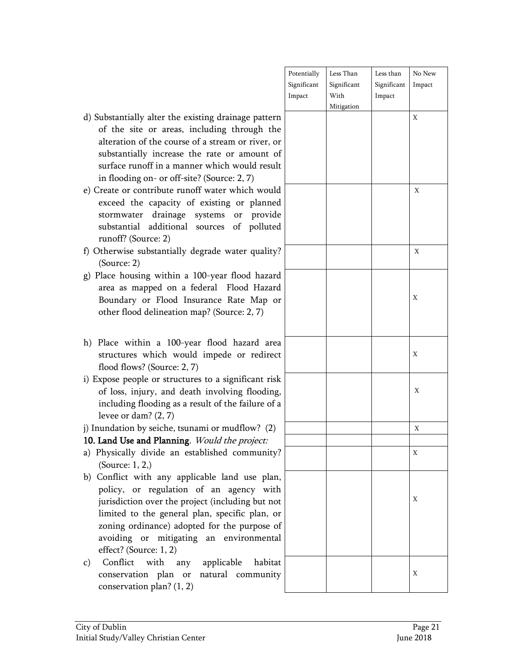|                                     | Potentially | Less Than   | Less than   | No New      |
|-------------------------------------|-------------|-------------|-------------|-------------|
|                                     | Significant | Significant | Significant | Impact      |
|                                     | Impact      | With        | Impact      |             |
|                                     |             | Mitigation  |             |             |
| er the existing drainage pattern    |             |             |             | $\mathbf X$ |
| areas, including through the        |             |             |             |             |
| e course of a stream or river, or   |             |             |             |             |
| ncrease the rate or amount of       |             |             |             |             |
| n a manner which would result       |             |             |             |             |
| or off-site? (Source: 2, 7)         |             |             |             |             |
| bute runoff water which would       |             |             |             | Χ           |
| pacity of existing or planned       |             |             |             |             |
| rainage systems or provide          |             |             |             |             |
| ditional sources of polluted        |             |             |             |             |
| : 2)                                |             |             |             |             |
| antially degrade water quality?     |             |             |             | Χ           |
|                                     |             |             |             |             |
| vithin a 100-year flood hazard      |             |             |             |             |
| d on a federal Flood Hazard         |             |             |             |             |
| Flood Insurance Rate Map or         |             |             |             | X           |
| ineation map? (Source: 2, 7)        |             |             |             |             |
|                                     |             |             |             |             |
|                                     |             |             |             |             |
| a 100-year flood hazard area        |             |             |             |             |
| ch would impede or redirect         |             |             |             | X           |
| purce: 2, 7)                        |             |             |             |             |
| r structures to a significant risk  |             |             |             |             |
| and death involving flooding,       |             |             |             | X           |
| ing as a result of the failure of a |             |             |             |             |
| 2, 7)                               |             |             |             |             |
| iche, tsunami or mudflow? (2)       |             |             |             | $\mathbf X$ |
| lanning. Would the project:         |             |             |             |             |
| de an established community?        |             |             |             | X           |
|                                     |             |             |             |             |
| any applicable land use plan,       |             |             |             |             |
| gulation of an agency with          |             |             |             |             |
| er the project (including but not   |             |             |             | X           |
| general plan, specific plan, or     |             |             |             |             |
| ice) adopted for the purpose of     |             |             |             |             |
| mitigating an environmental         |             |             |             |             |
| 1, 2)                               |             |             |             |             |
| h any applicable<br>habitat         |             |             |             |             |
| plan or natural community           |             |             |             | X           |
| an? $(1, 2)$                        |             |             |             |             |
|                                     |             |             |             |             |

- d) Substantially alter of the site or alteration of the substantially in surface runoff in in flooding on-
- e) Create or contril exceed the cap stormwater d substantial ad runoff? (Source
- f) Otherwise substa (Source: 2)
- g) Place housing v area as mapped Boundary or I other flood deli
- h) Place within a structures which flood flows? (Sc
- i) Expose people or of loss, injury, including flood levee or dam? (2
- j) Inundation by sei

#### 10. Land Use and P

- a) Physically divid (Source: 1, 2,)
- b) Conflict with policy, or reg jurisdiction ove limited to the zoning ordinan avoiding or effect? (Source:
- c) Conflict with conservation conservation pl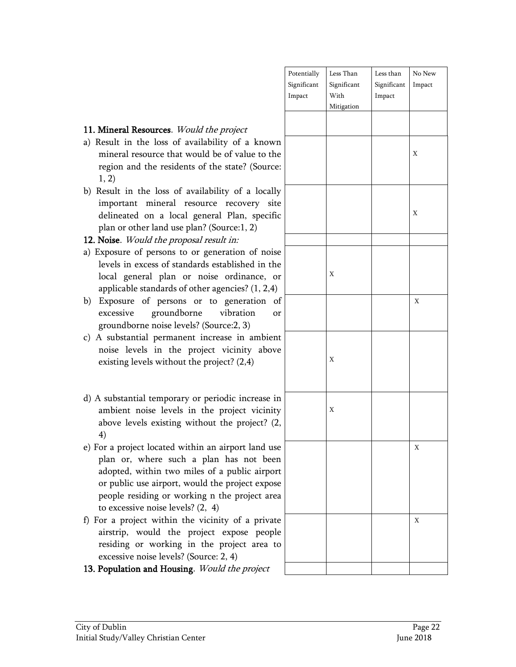|                             | Potentially<br>Significant<br>Impact | Less Than<br>Significant<br>With<br>Mitigation | Less than<br>Significant<br>$\bold{Im}$ | No $\hbox{New}$<br>Impact |
|-----------------------------|--------------------------------------|------------------------------------------------|-----------------------------------------|---------------------------|
|                             |                                      |                                                |                                         |                           |
| vn<br>he<br>e:              |                                      |                                                |                                         | $\mathbf X$               |
| ly<br>ite<br>fic            |                                      |                                                |                                         | $\mathbf X$               |
| se<br>he<br>or              |                                      | $\mathbf X$                                    |                                         |                           |
| l)<br>$\mathrm{of}$<br>or   |                                      |                                                |                                         | $\mathbf X$               |
| nt<br>ve                    |                                      | $\mathbf X$                                    |                                         |                           |
| in<br>ty<br>(2,             |                                      | $\mathbf X$                                    |                                         |                           |
| se<br>en<br>ort<br>se<br>ea |                                      |                                                |                                         | $\mathbf X$               |
| ıte<br>de<br>to             |                                      |                                                |                                         | $\mathbf X$               |
|                             |                                      |                                                |                                         |                           |

#### 11. Mineral Resources. Would the project

- a) Result in the loss of availability of a know mineral resource that would be of value to the region and the residents of the state? (Sourc 1, 2)
- b) Result in the loss of availability of a local important mineral resource recovery si delineated on a local general Plan, specif plan or other land use plan? (Source:1, 2)

#### 12. Noise. Would the proposal result in:

- a) Exposure of persons to or generation of nois levels in excess of standards established in th local general plan or noise ordinance, applicable standards of other agencies? (1, 2,4)
- b) Exposure of persons or to generation excessive groundborne vibration groundborne noise levels? (Source:2, 3)
- c) A substantial permanent increase in ambient noise levels in the project vicinity above existing levels without the project?  $(2,4)$
- d) A substantial temporary or periodic increase ambient noise levels in the project vicinity above levels existing without the project? ( 4)
- e) For a project located within an airport land u plan or, where such a plan has not bee adopted, within two miles of a public airpo or public use airport, would the project expo people residing or working n the project are to excessive noise levels? (2, 4)
- f) For a project within the vicinity of a priva airstrip, would the project expose peop residing or working in the project area excessive noise levels? (Source: 2, 4)
- 13. Population and Housing. Would the project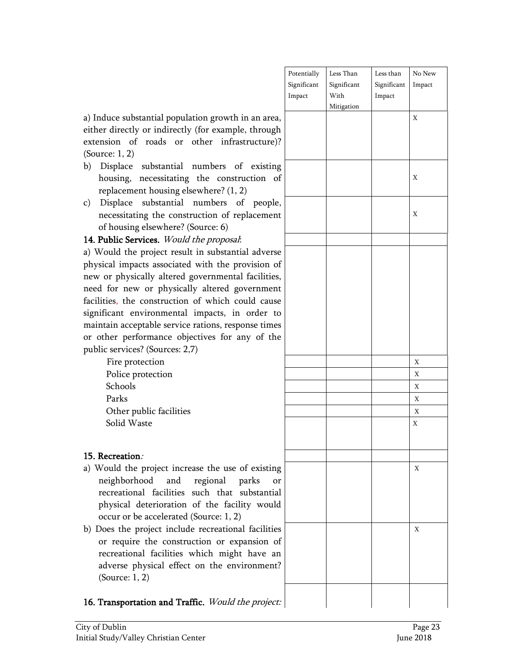|                                                | Potentially | Less Than   | Less than   | No New |
|------------------------------------------------|-------------|-------------|-------------|--------|
|                                                | Significant | Significant | Significant | Impact |
|                                                | Impact      | With        | Impact      |        |
|                                                |             | Mitigation  |             |        |
| uce substantial population growth in an area,  |             |             |             | X      |
| directly or indirectly (for example, through   |             |             |             |        |
| sion of roads or other infrastructure)?        |             |             |             |        |
| ce: 1, 2)                                      |             |             |             |        |
| isplace substantial numbers of existing        |             |             |             |        |
| busing, necessitating the construction of      |             |             |             | Χ      |
| placement housing elsewhere? (1, 2)            |             |             |             |        |
| isplace substantial numbers of people,         |             |             |             |        |
| ecessitating the construction of replacement   |             |             |             | Χ      |
| housing elsewhere? (Source: 6)                 |             |             |             |        |
| ablic Services. Would the proposal:            |             |             |             |        |
| buld the project result in substantial adverse |             |             |             |        |
| cal impacts associated with the provision of   |             |             |             |        |
| or physically altered governmental facilities, |             |             |             |        |
| for new or physically altered government       |             |             |             |        |
| ies, the construction of which could cause     |             |             |             |        |
| icant environmental impacts, in order to       |             |             |             |        |
| ain acceptable service rations, response times |             |             |             |        |
| her performance objectives for any of the      |             |             |             |        |
| services? (Sources: 2,7)                       |             |             |             |        |
| Fire protection                                |             |             |             | X      |
| Police protection                              |             |             |             | X      |
| Schools                                        |             |             |             | X      |
| Parks                                          |             |             |             | X      |
| Other public facilities                        |             |             |             | X      |
| Solid Waste                                    |             |             |             | Χ      |
|                                                |             |             |             |        |
|                                                |             |             |             |        |
| $\rm{c}$ reation.                              |             |             |             |        |
| buld the project increase the use of existing  |             |             |             | Χ      |
| eighborhood and<br>regional parks<br>or        |             |             |             |        |
| creational facilities such that substantial    |             |             |             |        |
| nysical deterioration of the facility would    |             |             |             |        |
| cur or be accelerated (Source: 1, 2)           |             |             |             |        |
| es the project include recreational facilities |             |             |             | Χ      |
| require the construction or expansion of       |             |             |             |        |
| creational facilities which might have an      |             |             |             |        |
| lverse physical effect on the environment?     |             |             |             |        |
| ource: 1, 2)                                   |             |             |             |        |
|                                                |             |             |             |        |
| ansportation and Traffic. Would the project:   |             |             |             |        |

a) Induce substantial population growth in a either directly or indirectly (for example, t extension of roads or other infrastru (Source: 1, 2)

- b) Displace substantial numbers of  $\epsilon$ housing, necessitating the construct replacement housing elsewhere? (1, 2)
- c) Displace substantial numbers of necessitating the construction of replacement of housing elsewhere? (Source: 6)

14. Public Services. Would the proposal:

a) Would the project result in substantial physical impacts associated with the provi new or physically altered governmental fa need for new or physically altered government facilities, the construction of which could significant environmental impacts, in or maintain acceptable service rations, respons or other performance objectives for any public services? (Sources: 2,7)

### 15. Recreation:

- a) Would the project increase the use of  $\epsilon$ neighborhood and regional parl recreational facilities such that sub physical deterioration of the facility occur or be accelerated (Source: 1, 2)
- b) Does the project include recreational facilities or require the construction or expans recreational facilities which might h adverse physical effect on the environ (Source: 1, 2)

16. Transportation and Traffic. Would the project: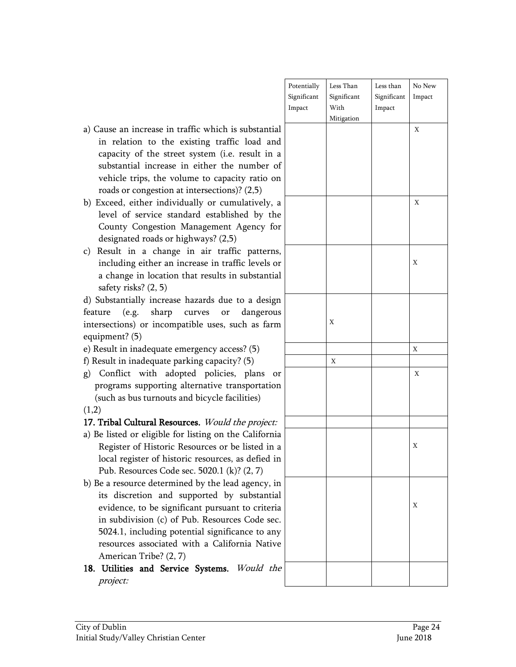| City of Dublin<br>Initial Study/Valley Christian Center                                            | Page 24<br>June 2018 |  |
|----------------------------------------------------------------------------------------------------|----------------------|--|
|                                                                                                    |                      |  |
| project:                                                                                           |                      |  |
| 18. Utilities and Service Systems. Would the                                                       |                      |  |
| American Tribe? (2, 7)                                                                             |                      |  |
| resources associated with a California Native                                                      |                      |  |
| 5024.1, including potential significance to any                                                    |                      |  |
| evidence, to be significant pursuant to criteria<br>in subdivision (c) of Pub. Resources Code sec. |                      |  |
| its discretion and supported by substantial                                                        | X                    |  |
| b) Be a resource determined by the lead agency, in                                                 |                      |  |
| Pub. Resources Code sec. 5020.1 (k)? (2, 7)                                                        |                      |  |
| local register of historic resources, as defied in                                                 |                      |  |
| Register of Historic Resources or be listed in a                                                   | X                    |  |
| a) Be listed or eligible for listing on the California                                             |                      |  |
| 17. Tribal Cultural Resources. Would the project:                                                  |                      |  |
| (1,2)                                                                                              |                      |  |
| (such as bus turnouts and bicycle facilities)                                                      |                      |  |
| programs supporting alternative transportation                                                     |                      |  |

- Potentially Significant Impact Less Than Significant With Mitigation Less than Significant Impact No New Impact X X X X X X X
- a) Cause an increase in traffic which is substantial in relation to the existing traffic load and capacity of the street system (i.e. result in a substantial increase in either the number of vehicle trips, the volume to capacity ratio on roads or congestion at intersections)? (2,5)
- b) Exceed, either individually or cumulatively, a level of service standard established by the County Congestion Management Agency for designated roads or highways? (2,5)
- c) Result in a change in air traffic patterns, including either an increase in traffic levels or a change in location that results in substantial safety risks? (2, 5)
- d) Substantially increase hazards due to a design feature (e.g. sharp curves or dangerous intersections) or incompatible uses, such as farm equipment? (5)
- e) Result in inadequate emergency access? (5)  $\vert x \vert$
- f) Result in inadequate parking capacity? (5)  $\vert x \vert$
- g) Conflict with adopted policies, plans or program  $(such a)$
- $(1,2)$

- a) Be liste Regist local register of historic resources, as defied in Pub. F
- b) Be a res its discretion and supported by substantial evidence, to be significant pursuant to criteria in subdivision (c) of Pub. Resources Code sec. 5024.1, including potential significance to any resources associated with a California Native Ameri
-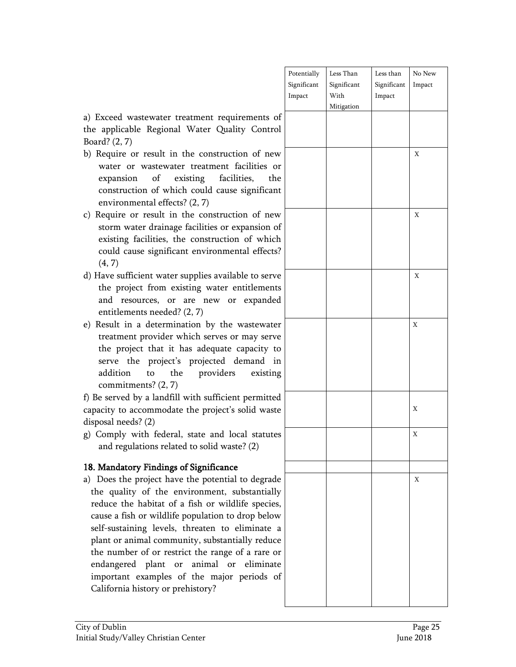|                     | Potentially | Less Than   | Less than   | $\rm No\ New$ |
|---------------------|-------------|-------------|-------------|---------------|
|                     | Significant | Significant | Significant | Impact        |
|                     | Impact      | With        | Impact      |               |
|                     |             | Mitigation  |             |               |
| of                  |             |             |             |               |
| rol                 |             |             |             |               |
|                     |             |             |             |               |
| $\mathbf{w}$        |             |             |             | $\mathbf X$   |
| or                  |             |             |             |               |
| he                  |             |             |             |               |
|                     |             |             |             |               |
| nt                  |             |             |             |               |
|                     |             |             |             |               |
| $\mathbf{w}$        |             |             |             | $\mathbf X$   |
| $_{\mathrm{of}}$    |             |             |             |               |
| ch                  |             |             |             |               |
| ts?                 |             |             |             |               |
|                     |             |             |             |               |
| ve                  |             |             |             | $\mathbf X$   |
| ıts                 |             |             |             |               |
| ed                  |             |             |             |               |
|                     |             |             |             |               |
| er                  |             |             |             | $\mathbf X$   |
| ve                  |             |             |             |               |
| ${\sf to}$          |             |             |             |               |
| $\operatorname{in}$ |             |             |             |               |
| ng                  |             |             |             |               |
|                     |             |             |             |               |
| ed                  |             |             |             |               |
| ste                 |             |             |             | $\mathbf X$   |
|                     |             |             |             |               |
|                     |             |             |             |               |
| tes                 |             |             |             | $\mathbf X$   |
|                     |             |             |             |               |
|                     |             |             |             |               |
| de                  |             |             |             | $\mathbf X$   |
| lly                 |             |             |             |               |
| es,                 |             |             |             |               |
|                     |             |             |             |               |
| )W                  |             |             |             |               |
| $\mathbf a$         |             |             |             |               |
| ce                  |             |             |             |               |
| or                  |             |             |             |               |
| ite                 |             |             |             |               |
| of                  |             |             |             |               |
|                     |             |             |             |               |
|                     |             |             |             |               |

a) Exceed wastewater treatment requirements the applicable Regional Water Quality Contr Board? (2, 7)

- b) Require or result in the construction of ne water or wastewater treatment facilities expansion of existing facilities, the construction of which could cause significant environmental effects? (2, 7)
- c) Require or result in the construction of new storm water drainage facilities or expansion existing facilities, the construction of which could cause significant environmental effect (4, 7)
- d) Have sufficient water supplies available to serv the project from existing water entitlement and resources, or are new or expande entitlements needed? (2, 7)
- e) Result in a determination by the wastewat treatment provider which serves or may serv the project that it has adequate capacity serve the project's projected demand addition to the providers existing commitments? (2, 7)

f) Be served by a landfill with sufficient permitted capacity to accommodate the project's solid was disposal needs? (2)

g) Comply with federal, state and local statut and regulations related to solid waste? (2)

#### 18. Mandatory Findings of Significance

a) Does the project have the potential to degraded the quality of the environment, substantial reduce the habitat of a fish or wildlife specie cause a fish or wildlife population to drop belo self-sustaining levels, threaten to eliminate plant or animal community, substantially reduthe number of or restrict the range of a rare endangered plant or animal or elimina important examples of the major periods California history or prehistory?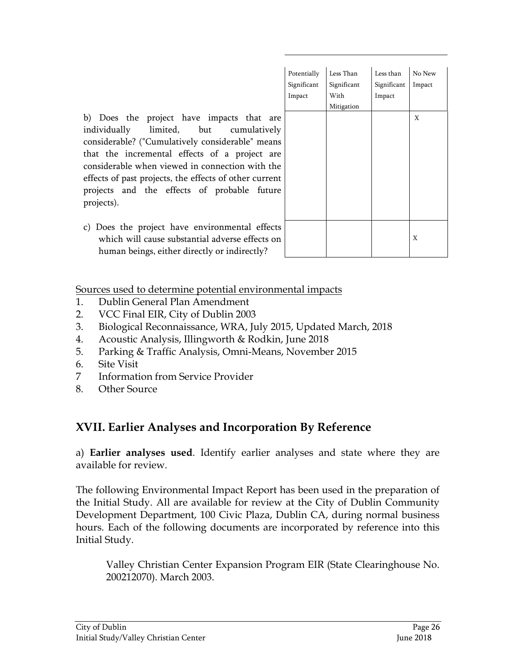|              | Potentially | Less Than   | Less than   | No New |
|--------------|-------------|-------------|-------------|--------|
|              | Significant | Significant | Significant | Impact |
|              | Impact      | With        | Impact      |        |
|              |             | Mitigation  |             |        |
| e            |             |             |             | X      |
| ý            |             |             |             |        |
| S            |             |             |             |        |
| e            |             |             |             |        |
| e            |             |             |             |        |
| t            |             |             |             |        |
| e            |             |             |             |        |
|              |             |             |             |        |
|              |             |             |             |        |
| S            |             |             |             |        |
| $\mathbf{a}$ |             |             |             | X      |
|              |             |             |             |        |
|              |             |             |             |        |

b) Does the project have impacts that are individually limited, but cumulatively considerable? ("Cumulatively considerable" means that the incremental effects of a project are considerable when viewed in connection with the effects of past projects, the effects of other current projects and the effects of probable future projects).

c) Does the project have environmental effects which will cause substantial adverse effects on human beings, either directly or indirectly?

Sources used to determine potential environmental impacts

- 1. Dublin General Plan Amendment
- 2. VCC Final EIR, City of Dublin 2003
- 3. Biological Reconnaissance, WRA, July 2015, Updated March, 2018
- 4. Acoustic Analysis, Illingworth & Rodkin, June 2018
- 5. Parking & Traffic Analysis, Omni-Means, November 2015
- 6. Site Visit
- 7 Information from Service Provider
- 8. Other Source

## **XVII. Earlier Analyses and Incorporation By Reference**

a) **Earlier analyses used**. Identify earlier analyses and state where they are available for review.

The following Environmental Impact Report has been used in the preparation of the Initial Study. All are available for review at the City of Dublin Community Development Department, 100 Civic Plaza, Dublin CA, during normal business hours. Each of the following documents are incorporated by reference into this Initial Study.

Valley Christian Center Expansion Program EIR (State Clearinghouse No. 200212070). March 2003.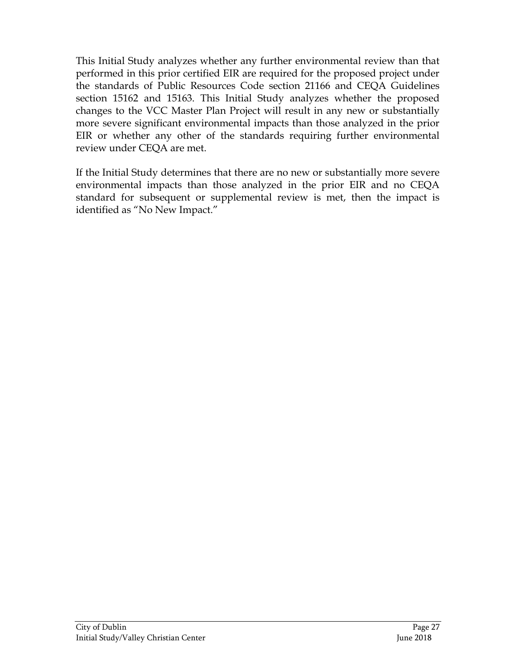This Initial Study analyzes whether any further environmental review than that performed in this prior certified EIR are required for the proposed project under the standards of Public Resources Code section 21166 and CEQA Guidelines section 15162 and 15163. This Initial Study analyzes whether the proposed changes to the VCC Master Plan Project will result in any new or substantially more severe significant environmental impacts than those analyzed in the prior EIR or whether any other of the standards requiring further environmental review under CEQA are met.

If the Initial Study determines that there are no new or substantially more severe environmental impacts than those analyzed in the prior EIR and no CEQA standard for subsequent or supplemental review is met, then the impact is identified as "No New Impact."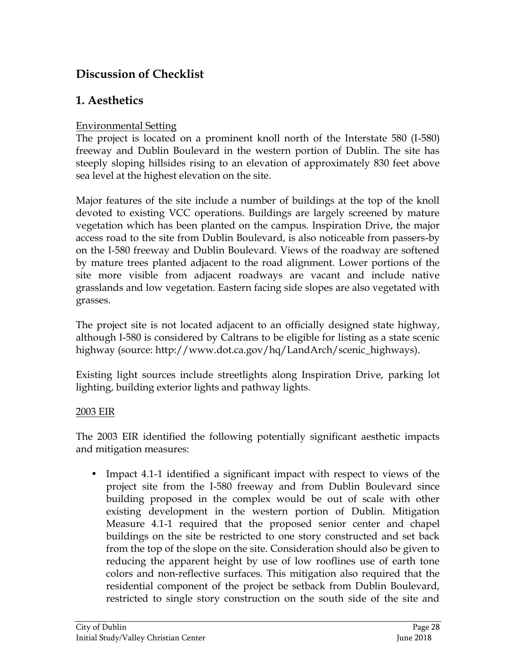## **Discussion of Checklist**

## **1. Aesthetics**

### Environmental Setting

The project is located on a prominent knoll north of the Interstate 580 (I-580) freeway and Dublin Boulevard in the western portion of Dublin. The site has steeply sloping hillsides rising to an elevation of approximately 830 feet above sea level at the highest elevation on the site.

Major features of the site include a number of buildings at the top of the knoll devoted to existing VCC operations. Buildings are largely screened by mature vegetation which has been planted on the campus. Inspiration Drive, the major access road to the site from Dublin Boulevard, is also noticeable from passers-by on the I-580 freeway and Dublin Boulevard. Views of the roadway are softened by mature trees planted adjacent to the road alignment. Lower portions of the site more visible from adjacent roadways are vacant and include native grasslands and low vegetation. Eastern facing side slopes are also vegetated with grasses.

The project site is not located adjacent to an officially designed state highway, although I-580 is considered by Caltrans to be eligible for listing as a state scenic highway (source: http://www.dot.ca.gov/hq/LandArch/scenic\_highways).

Existing light sources include streetlights along Inspiration Drive, parking lot lighting, building exterior lights and pathway lights.

### 2003 EIR

The 2003 EIR identified the following potentially significant aesthetic impacts and mitigation measures:

• Impact 4.1-1 identified a significant impact with respect to views of the project site from the I-580 freeway and from Dublin Boulevard since building proposed in the complex would be out of scale with other existing development in the western portion of Dublin. Mitigation Measure 4.1-1 required that the proposed senior center and chapel buildings on the site be restricted to one story constructed and set back from the top of the slope on the site. Consideration should also be given to reducing the apparent height by use of low rooflines use of earth tone colors and non-reflective surfaces. This mitigation also required that the residential component of the project be setback from Dublin Boulevard, restricted to single story construction on the south side of the site and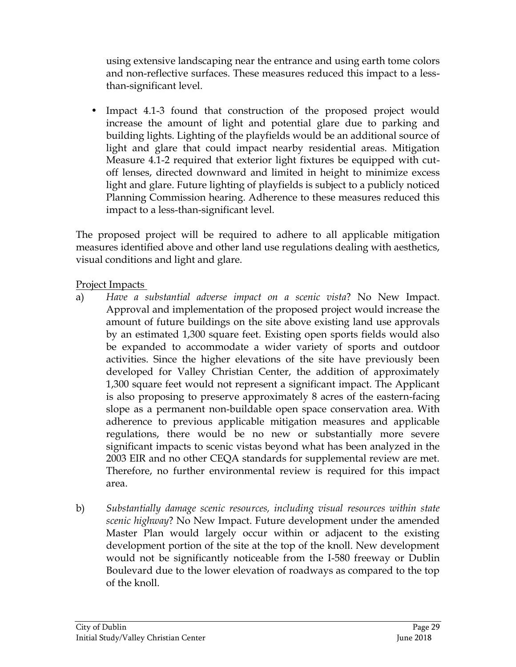using extensive landscaping near the entrance and using earth tome colors and non-reflective surfaces. These measures reduced this impact to a lessthan-significant level.

• Impact 4.1-3 found that construction of the proposed project would increase the amount of light and potential glare due to parking and building lights. Lighting of the playfields would be an additional source of light and glare that could impact nearby residential areas. Mitigation Measure 4.1-2 required that exterior light fixtures be equipped with cutoff lenses, directed downward and limited in height to minimize excess light and glare. Future lighting of playfields is subject to a publicly noticed Planning Commission hearing. Adherence to these measures reduced this impact to a less-than-significant level.

The proposed project will be required to adhere to all applicable mitigation measures identified above and other land use regulations dealing with aesthetics, visual conditions and light and glare.

### Project Impacts

- a) *Have a substantial adverse impact on a scenic vista*? No New Impact. Approval and implementation of the proposed project would increase the amount of future buildings on the site above existing land use approvals by an estimated 1,300 square feet. Existing open sports fields would also be expanded to accommodate a wider variety of sports and outdoor activities. Since the higher elevations of the site have previously been developed for Valley Christian Center, the addition of approximately 1,300 square feet would not represent a significant impact. The Applicant is also proposing to preserve approximately 8 acres of the eastern-facing slope as a permanent non-buildable open space conservation area. With adherence to previous applicable mitigation measures and applicable regulations, there would be no new or substantially more severe significant impacts to scenic vistas beyond what has been analyzed in the 2003 EIR and no other CEQA standards for supplemental review are met. Therefore, no further environmental review is required for this impact area.
- b) *Substantially damage scenic resources, including visual resources within state scenic highway*? No New Impact. Future development under the amended Master Plan would largely occur within or adjacent to the existing development portion of the site at the top of the knoll. New development would not be significantly noticeable from the I-580 freeway or Dublin Boulevard due to the lower elevation of roadways as compared to the top of the knoll.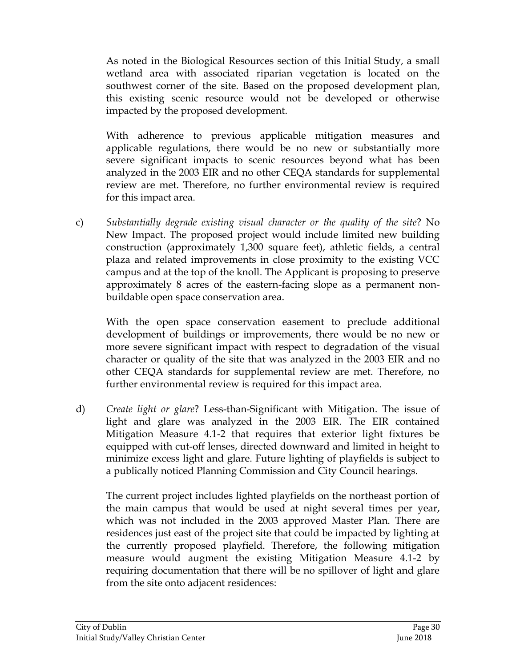As noted in the Biological Resources section of this Initial Study, a small wetland area with associated riparian vegetation is located on the southwest corner of the site. Based on the proposed development plan, this existing scenic resource would not be developed or otherwise impacted by the proposed development.

With adherence to previous applicable mitigation measures and applicable regulations, there would be no new or substantially more severe significant impacts to scenic resources beyond what has been analyzed in the 2003 EIR and no other CEQA standards for supplemental review are met. Therefore, no further environmental review is required for this impact area.

c) *Substantially degrade existing visual character or the quality of the site*? No New Impact. The proposed project would include limited new building construction (approximately 1,300 square feet), athletic fields, a central plaza and related improvements in close proximity to the existing VCC campus and at the top of the knoll. The Applicant is proposing to preserve approximately 8 acres of the eastern-facing slope as a permanent nonbuildable open space conservation area.

With the open space conservation easement to preclude additional development of buildings or improvements, there would be no new or more severe significant impact with respect to degradation of the visual character or quality of the site that was analyzed in the 2003 EIR and no other CEQA standards for supplemental review are met. Therefore, no further environmental review is required for this impact area.

d) *Create light or glare*? Less-than-Significant with Mitigation. The issue of light and glare was analyzed in the 2003 EIR. The EIR contained Mitigation Measure 4.1-2 that requires that exterior light fixtures be equipped with cut-off lenses, directed downward and limited in height to minimize excess light and glare. Future lighting of playfields is subject to a publically noticed Planning Commission and City Council hearings.

The current project includes lighted playfields on the northeast portion of the main campus that would be used at night several times per year, which was not included in the 2003 approved Master Plan. There are residences just east of the project site that could be impacted by lighting at the currently proposed playfield. Therefore, the following mitigation measure would augment the existing Mitigation Measure 4.1-2 by requiring documentation that there will be no spillover of light and glare from the site onto adjacent residences: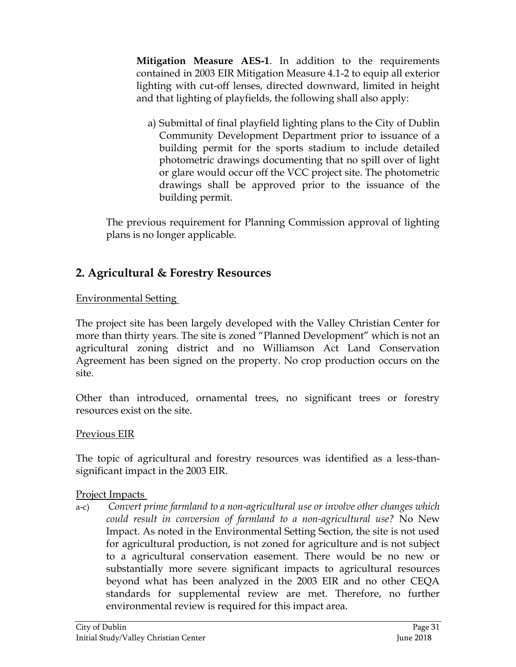**Mitigation Measure AES-1**. In addition to the requirements contained in 2003 EIR Mitigation Measure 4.1-2 to equip all exterior lighting with cut-off lenses, directed downward, limited in height and that lighting of playfields, the following shall also apply:

a) Submittal of final playfield lighting plans to the City of Dublin Community Development Department prior to issuance of a building permit for the sports stadium to include detailed photometric drawings documenting that no spill over of light or glare would occur off the VCC project site. The photometric drawings shall be approved prior to the issuance of the building permit.

The previous requirement for Planning Commission approval of lighting plans is no longer applicable.

## **2. Agricultural & Forestry Resources**

### Environmental Setting

The project site has been largely developed with the Valley Christian Center for more than thirty years. The site is zoned "Planned Development" which is not an agricultural zoning district and no Williamson Act Land Conservation Agreement has been signed on the property. No crop production occurs on the site.

Other than introduced, ornamental trees, no significant trees or forestry resources exist on the site.

### Previous EIR

The topic of agricultural and forestry resources was identified as a less-thansignificant impact in the 2003 EIR.

### Project Impacts

a-c) *Convert prime farmland to a non-agricultural use or involve other changes which could result in conversion of farmland to a non-agricultural use?* No New Impact. As noted in the Environmental Setting Section, the site is not used for agricultural production, is not zoned for agriculture and is not subject to a agricultural conservation easement. There would be no new or substantially more severe significant impacts to agricultural resources beyond what has been analyzed in the 2003 EIR and no other CEQA standards for supplemental review are met. Therefore, no further environmental review is required for this impact area.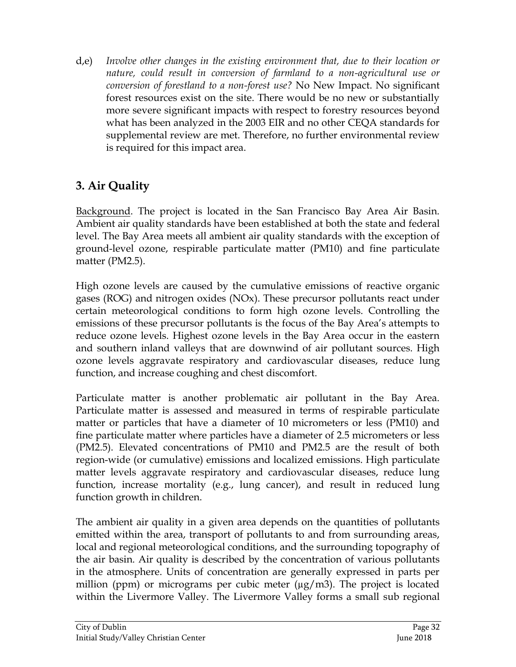d,e) *Involve other changes in the existing environment that, due to their location or nature, could result in conversion of farmland to a non-agricultural use or conversion of forestland to a non-forest use?* No New Impact. No significant forest resources exist on the site. There would be no new or substantially more severe significant impacts with respect to forestry resources beyond what has been analyzed in the 2003 EIR and no other CEQA standards for supplemental review are met. Therefore, no further environmental review is required for this impact area.

## **3. Air Quality**

Background. The project is located in the San Francisco Bay Area Air Basin. Ambient air quality standards have been established at both the state and federal level. The Bay Area meets all ambient air quality standards with the exception of ground-level ozone, respirable particulate matter (PM10) and fine particulate matter (PM2.5).

High ozone levels are caused by the cumulative emissions of reactive organic gases (ROG) and nitrogen oxides (NOx). These precursor pollutants react under certain meteorological conditions to form high ozone levels. Controlling the emissions of these precursor pollutants is the focus of the Bay Area's attempts to reduce ozone levels. Highest ozone levels in the Bay Area occur in the eastern and southern inland valleys that are downwind of air pollutant sources. High ozone levels aggravate respiratory and cardiovascular diseases, reduce lung function, and increase coughing and chest discomfort.

Particulate matter is another problematic air pollutant in the Bay Area. Particulate matter is assessed and measured in terms of respirable particulate matter or particles that have a diameter of 10 micrometers or less (PM10) and fine particulate matter where particles have a diameter of 2.5 micrometers or less (PM2.5). Elevated concentrations of PM10 and PM2.5 are the result of both region-wide (or cumulative) emissions and localized emissions. High particulate matter levels aggravate respiratory and cardiovascular diseases, reduce lung function, increase mortality (e.g., lung cancer), and result in reduced lung function growth in children.

The ambient air quality in a given area depends on the quantities of pollutants emitted within the area, transport of pollutants to and from surrounding areas, local and regional meteorological conditions, and the surrounding topography of the air basin. Air quality is described by the concentration of various pollutants in the atmosphere. Units of concentration are generally expressed in parts per million (ppm) or micrograms per cubic meter  $(\mu g/m3)$ . The project is located within the Livermore Valley. The Livermore Valley forms a small sub regional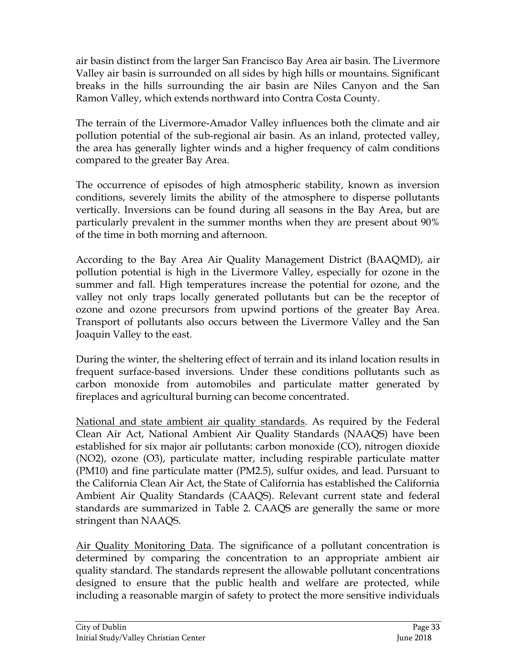air basin distinct from the larger San Francisco Bay Area air basin. The Livermore Valley air basin is surrounded on all sides by high hills or mountains. Significant breaks in the hills surrounding the air basin are Niles Canyon and the San Ramon Valley, which extends northward into Contra Costa County.

The terrain of the Livermore-Amador Valley influences both the climate and air pollution potential of the sub-regional air basin. As an inland, protected valley, the area has generally lighter winds and a higher frequency of calm conditions compared to the greater Bay Area.

The occurrence of episodes of high atmospheric stability, known as inversion conditions, severely limits the ability of the atmosphere to disperse pollutants vertically. Inversions can be found during all seasons in the Bay Area, but are particularly prevalent in the summer months when they are present about 90% of the time in both morning and afternoon.

According to the Bay Area Air Quality Management District (BAAQMD), air pollution potential is high in the Livermore Valley, especially for ozone in the summer and fall. High temperatures increase the potential for ozone, and the valley not only traps locally generated pollutants but can be the receptor of ozone and ozone precursors from upwind portions of the greater Bay Area. Transport of pollutants also occurs between the Livermore Valley and the San Joaquin Valley to the east.

During the winter, the sheltering effect of terrain and its inland location results in frequent surface-based inversions. Under these conditions pollutants such as carbon monoxide from automobiles and particulate matter generated by fireplaces and agricultural burning can become concentrated.

National and state ambient air quality standards. As required by the Federal Clean Air Act, National Ambient Air Quality Standards (NAAQS) have been established for six major air pollutants: carbon monoxide (CO), nitrogen dioxide (NO2), ozone (O3), particulate matter, including respirable particulate matter (PM10) and fine particulate matter (PM2.5), sulfur oxides, and lead. Pursuant to the California Clean Air Act, the State of California has established the California Ambient Air Quality Standards (CAAQS). Relevant current state and federal standards are summarized in Table 2. CAAQS are generally the same or more stringent than NAAQS.

Air Quality Monitoring Data. The significance of a pollutant concentration is determined by comparing the concentration to an appropriate ambient air quality standard. The standards represent the allowable pollutant concentrations designed to ensure that the public health and welfare are protected, while including a reasonable margin of safety to protect the more sensitive individuals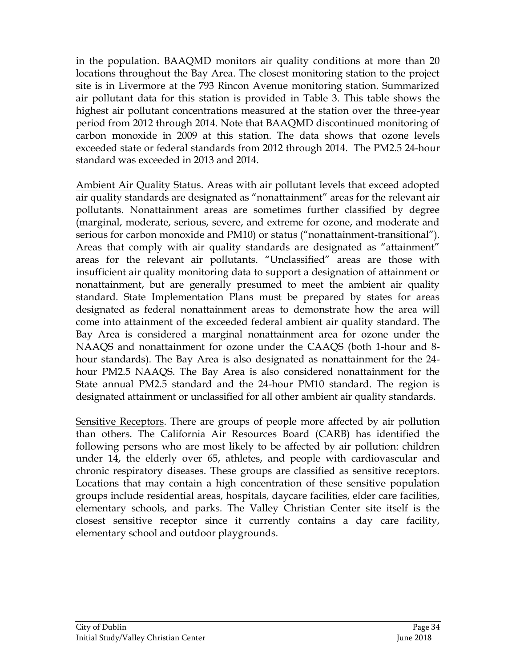in the population. BAAQMD monitors air quality conditions at more than 20 locations throughout the Bay Area. The closest monitoring station to the project site is in Livermore at the 793 Rincon Avenue monitoring station. Summarized air pollutant data for this station is provided in Table 3. This table shows the highest air pollutant concentrations measured at the station over the three-year period from 2012 through 2014. Note that BAAQMD discontinued monitoring of carbon monoxide in 2009 at this station. The data shows that ozone levels exceeded state or federal standards from 2012 through 2014. The PM2.5 24-hour standard was exceeded in 2013 and 2014.

Ambient Air Quality Status. Areas with air pollutant levels that exceed adopted air quality standards are designated as "nonattainment" areas for the relevant air pollutants. Nonattainment areas are sometimes further classified by degree (marginal, moderate, serious, severe, and extreme for ozone, and moderate and serious for carbon monoxide and PM10) or status ("nonattainment-transitional"). Areas that comply with air quality standards are designated as "attainment" areas for the relevant air pollutants. "Unclassified" areas are those with insufficient air quality monitoring data to support a designation of attainment or nonattainment, but are generally presumed to meet the ambient air quality standard. State Implementation Plans must be prepared by states for areas designated as federal nonattainment areas to demonstrate how the area will come into attainment of the exceeded federal ambient air quality standard. The Bay Area is considered a marginal nonattainment area for ozone under the NAAQS and nonattainment for ozone under the CAAQS (both 1-hour and 8 hour standards). The Bay Area is also designated as nonattainment for the 24 hour PM2.5 NAAQS. The Bay Area is also considered nonattainment for the State annual PM2.5 standard and the 24-hour PM10 standard. The region is designated attainment or unclassified for all other ambient air quality standards.

Sensitive Receptors. There are groups of people more affected by air pollution than others. The California Air Resources Board (CARB) has identified the following persons who are most likely to be affected by air pollution: children under 14, the elderly over 65, athletes, and people with cardiovascular and chronic respiratory diseases. These groups are classified as sensitive receptors. Locations that may contain a high concentration of these sensitive population groups include residential areas, hospitals, daycare facilities, elder care facilities, elementary schools, and parks. The Valley Christian Center site itself is the closest sensitive receptor since it currently contains a day care facility, elementary school and outdoor playgrounds.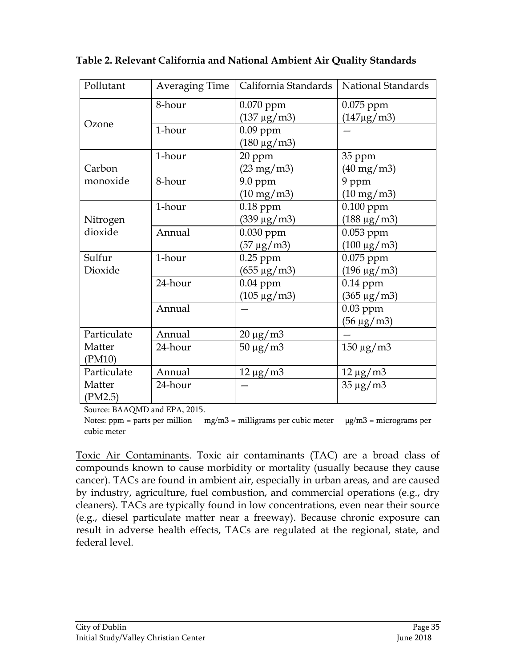| Pollutant   | Averaging Time | California Standards         | National Standards           |
|-------------|----------------|------------------------------|------------------------------|
|             | 8-hour         | $0.070$ ppm                  | $0.075$ ppm                  |
| Ozone       |                | $(137 \,\mu g/m3)$           | $(147 \mu g/m3)$             |
|             | 1-hour         | $0.09$ ppm                   |                              |
|             |                | $(180 \,\mu g/m3)$           |                              |
|             | 1-hour         | 20 ppm                       | 35 ppm                       |
| Carbon      |                | $(23 \text{ mg}/\text{m}^3)$ | $(40 \text{ mg}/\text{m}^3)$ |
| monoxide    | 8-hour         | 9.0 ppm                      | 9 ppm                        |
|             |                | $(10 \text{ mg}/\text{m}^3)$ | $(10 \text{ mg}/\text{m}^3)$ |
|             | 1-hour         | $0.18$ ppm                   | $0.100$ ppm                  |
| Nitrogen    |                | $(339 \,\mu g/m3)$           | $(188 \,\mu g/m3)$           |
| dioxide     | Annual         | 0.030 ppm                    | $0.053$ ppm                  |
|             |                | $(57 \,\mu g/m3)$            | $(100 \,\mu g/m3)$           |
| Sulfur      | 1-hour         | $0.25$ ppm                   | 0.075 ppm                    |
| Dioxide     |                | $(655 \,\mu g/m3)$           | $(196 \,\mu g/m3)$           |
|             | 24-hour        | $0.04$ ppm                   | $0.14$ ppm                   |
|             |                | $(105 \,\mu g/m3)$           | $(365 \,\mu g/m3)$           |
|             | Annual         |                              | $0.03$ ppm                   |
|             |                |                              | $(56 \,\mu g/m3)$            |
| Particulate | Annual         | $20 \mu g/m3$                |                              |
| Matter      | 24-hour        | $50 \mu g/m3$                | $150 \mu g/m3$               |
| (PM10)      |                |                              |                              |
| Particulate | Annual         | $12 \mu g/m3$                | $12 \mu g/m3$                |
| Matter      | 24-hour        |                              | $35 \mu g/m3$                |
| (PM2.5)     |                |                              |                              |

**Table 2. Relevant California and National Ambient Air Quality Standards**

Source: BAAQMD and EPA, 2015.

Notes: ppm = parts per million mg/m3 = milligrams per cubic meter  $\mu$ g/m3 = micrograms per cubic meter

Toxic Air Contaminants. Toxic air contaminants (TAC) are a broad class of compounds known to cause morbidity or mortality (usually because they cause cancer). TACs are found in ambient air, especially in urban areas, and are caused by industry, agriculture, fuel combustion, and commercial operations (e.g., dry cleaners). TACs are typically found in low concentrations, even near their source (e.g., diesel particulate matter near a freeway). Because chronic exposure can result in adverse health effects, TACs are regulated at the regional, state, and federal level.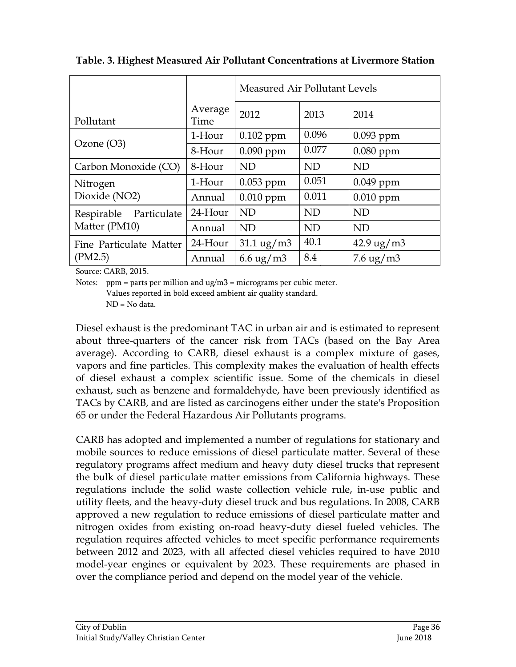|                           |                 | Measured Air Pollutant Levels    |           |                             |
|---------------------------|-----------------|----------------------------------|-----------|-----------------------------|
| Pollutant                 | Average<br>Time | 2012                             | 2013      | 2014                        |
|                           | 1-Hour          | $0.102$ ppm                      | 0.096     | $0.093$ ppm                 |
| Ozone $(O3)$              | 8-Hour          | $0.090$ ppm                      | 0.077     | $0.080$ ppm                 |
| Carbon Monoxide (CO)      | 8-Hour          | ND                               | <b>ND</b> | <b>ND</b>                   |
| Nitrogen                  | 1-Hour          | 0.053 ppm                        | 0.051     | 0.049 ppm                   |
| Dioxide (NO2)             | Annual          | $0.010$ ppm                      | 0.011     | $0.010$ ppm                 |
| Respirable<br>Particulate | 24-Hour         | <b>ND</b>                        | <b>ND</b> | <b>ND</b>                   |
| Matter (PM10)             | Annual          | ND                               | <b>ND</b> | <b>ND</b>                   |
| Fine Particulate Matter   | 24-Hour         | $31.1 \text{ ug}/\text{m}$ 3     | 40.1      | $42.9 \text{ ug}/\text{m}3$ |
| (PM2.5)                   | Annual          | 6.6 $\frac{u}{g}$ m <sup>3</sup> | 8.4       | $7.6 \text{ ug}/\text{m}$ 3 |
| Source: CARB, 2015.       |                 |                                  |           |                             |

**Table. 3. Highest Measured Air Pollutant Concentrations at Livermore Station**

Source: CARB, 2015.

Notes: ppm = parts per million and  $\mu$ g/m3 = micrograms per cubic meter.

Values reported in bold exceed ambient air quality standard.

ND = No data.

Diesel exhaust is the predominant TAC in urban air and is estimated to represent about three-quarters of the cancer risk from TACs (based on the Bay Area average). According to CARB, diesel exhaust is a complex mixture of gases, vapors and fine particles. This complexity makes the evaluation of health effects of diesel exhaust a complex scientific issue. Some of the chemicals in diesel exhaust, such as benzene and formaldehyde, have been previously identified as TACs by CARB, and are listed as carcinogens either under the state's Proposition 65 or under the Federal Hazardous Air Pollutants programs.

CARB has adopted and implemented a number of regulations for stationary and mobile sources to reduce emissions of diesel particulate matter. Several of these regulatory programs affect medium and heavy duty diesel trucks that represent the bulk of diesel particulate matter emissions from California highways. These regulations include the solid waste collection vehicle rule, in-use public and utility fleets, and the heavy-duty diesel truck and bus regulations. In 2008, CARB approved a new regulation to reduce emissions of diesel particulate matter and nitrogen oxides from existing on-road heavy-duty diesel fueled vehicles. The regulation requires affected vehicles to meet specific performance requirements between 2012 and 2023, with all affected diesel vehicles required to have 2010 model-year engines or equivalent by 2023. These requirements are phased in over the compliance period and depend on the model year of the vehicle.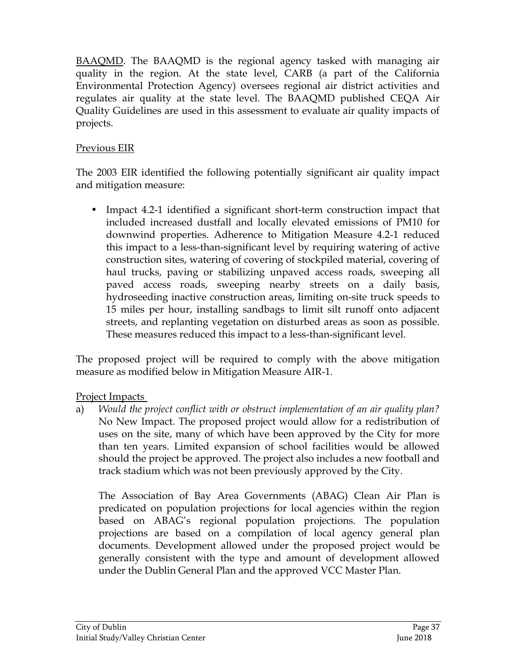BAAQMD. The BAAQMD is the regional agency tasked with managing air quality in the region. At the state level, CARB (a part of the California Environmental Protection Agency) oversees regional air district activities and regulates air quality at the state level. The BAAQMD published CEQA Air Quality Guidelines are used in this assessment to evaluate air quality impacts of projects.

### Previous EIR

The 2003 EIR identified the following potentially significant air quality impact and mitigation measure:

• Impact 4.2-1 identified a significant short-term construction impact that included increased dustfall and locally elevated emissions of PM10 for downwind properties. Adherence to Mitigation Measure 4.2-1 reduced this impact to a less-than-significant level by requiring watering of active construction sites, watering of covering of stockpiled material, covering of haul trucks, paving or stabilizing unpaved access roads, sweeping all paved access roads, sweeping nearby streets on a daily basis, hydroseeding inactive construction areas, limiting on-site truck speeds to 15 miles per hour, installing sandbags to limit silt runoff onto adjacent streets, and replanting vegetation on disturbed areas as soon as possible. These measures reduced this impact to a less-than-significant level.

The proposed project will be required to comply with the above mitigation measure as modified below in Mitigation Measure AIR-1.

Project Impacts

a) *Would the project conflict with or obstruct implementation of an air quality plan?* No New Impact. The proposed project would allow for a redistribution of uses on the site, many of which have been approved by the City for more than ten years. Limited expansion of school facilities would be allowed should the project be approved. The project also includes a new football and track stadium which was not been previously approved by the City.

The Association of Bay Area Governments (ABAG) Clean Air Plan is predicated on population projections for local agencies within the region based on ABAG's regional population projections. The population projections are based on a compilation of local agency general plan documents. Development allowed under the proposed project would be generally consistent with the type and amount of development allowed under the Dublin General Plan and the approved VCC Master Plan.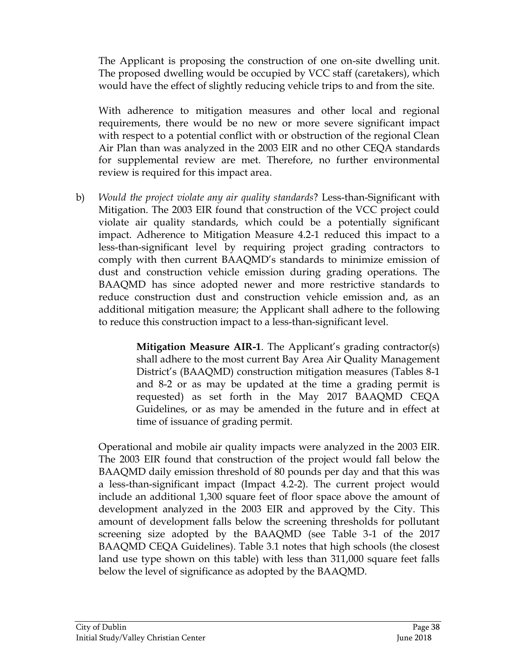The Applicant is proposing the construction of one on-site dwelling unit. The proposed dwelling would be occupied by VCC staff (caretakers), which would have the effect of slightly reducing vehicle trips to and from the site.

With adherence to mitigation measures and other local and regional requirements, there would be no new or more severe significant impact with respect to a potential conflict with or obstruction of the regional Clean Air Plan than was analyzed in the 2003 EIR and no other CEQA standards for supplemental review are met. Therefore, no further environmental review is required for this impact area.

b) *Would the project violate any air quality standards*? Less-than-Significant with Mitigation. The 2003 EIR found that construction of the VCC project could violate air quality standards, which could be a potentially significant impact. Adherence to Mitigation Measure 4.2-1 reduced this impact to a less-than-significant level by requiring project grading contractors to comply with then current BAAQMD's standards to minimize emission of dust and construction vehicle emission during grading operations. The BAAQMD has since adopted newer and more restrictive standards to reduce construction dust and construction vehicle emission and, as an additional mitigation measure; the Applicant shall adhere to the following to reduce this construction impact to a less-than-significant level.

> **Mitigation Measure AIR-1**. The Applicant's grading contractor(s) shall adhere to the most current Bay Area Air Quality Management District's (BAAQMD) construction mitigation measures (Tables 8-1 and 8-2 or as may be updated at the time a grading permit is requested) as set forth in the May 2017 BAAQMD CEQA Guidelines, or as may be amended in the future and in effect at time of issuance of grading permit.

Operational and mobile air quality impacts were analyzed in the 2003 EIR. The 2003 EIR found that construction of the project would fall below the BAAQMD daily emission threshold of 80 pounds per day and that this was a less-than-significant impact (Impact 4.2-2). The current project would include an additional 1,300 square feet of floor space above the amount of development analyzed in the 2003 EIR and approved by the City. This amount of development falls below the screening thresholds for pollutant screening size adopted by the BAAQMD (see Table 3-1 of the 2017 BAAQMD CEQA Guidelines). Table 3.1 notes that high schools (the closest land use type shown on this table) with less than 311,000 square feet falls below the level of significance as adopted by the BAAQMD.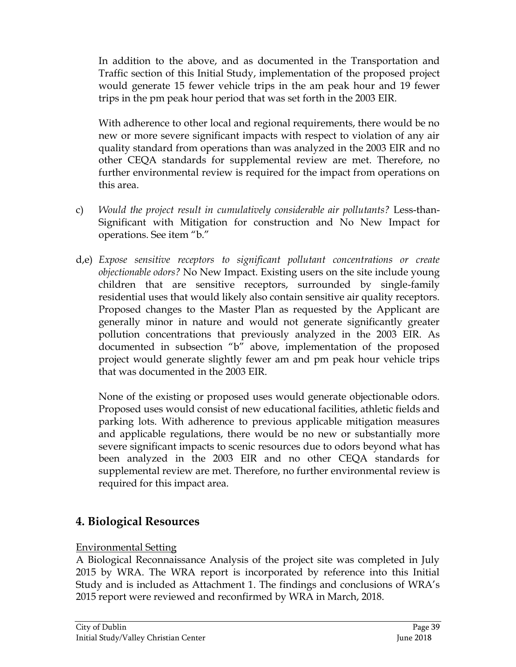In addition to the above, and as documented in the Transportation and Traffic section of this Initial Study, implementation of the proposed project would generate 15 fewer vehicle trips in the am peak hour and 19 fewer trips in the pm peak hour period that was set forth in the 2003 EIR.

With adherence to other local and regional requirements, there would be no new or more severe significant impacts with respect to violation of any air quality standard from operations than was analyzed in the 2003 EIR and no other CEQA standards for supplemental review are met. Therefore, no further environmental review is required for the impact from operations on this area.

- c) *Would the project result in cumulatively considerable air pollutants?* Less-than-Significant with Mitigation for construction and No New Impact for operations. See item "b."
- d,e) *Expose sensitive receptors to significant pollutant concentrations or create objectionable odors?* No New Impact. Existing users on the site include young children that are sensitive receptors, surrounded by single-family residential uses that would likely also contain sensitive air quality receptors. Proposed changes to the Master Plan as requested by the Applicant are generally minor in nature and would not generate significantly greater pollution concentrations that previously analyzed in the 2003 EIR. As documented in subsection "b" above, implementation of the proposed project would generate slightly fewer am and pm peak hour vehicle trips that was documented in the 2003 EIR.

None of the existing or proposed uses would generate objectionable odors. Proposed uses would consist of new educational facilities, athletic fields and parking lots. With adherence to previous applicable mitigation measures and applicable regulations, there would be no new or substantially more severe significant impacts to scenic resources due to odors beyond what has been analyzed in the 2003 EIR and no other CEQA standards for supplemental review are met. Therefore, no further environmental review is required for this impact area.

## **4. Biological Resources**

## Environmental Setting

A Biological Reconnaissance Analysis of the project site was completed in July 2015 by WRA. The WRA report is incorporated by reference into this Initial Study and is included as Attachment 1. The findings and conclusions of WRA's 2015 report were reviewed and reconfirmed by WRA in March, 2018.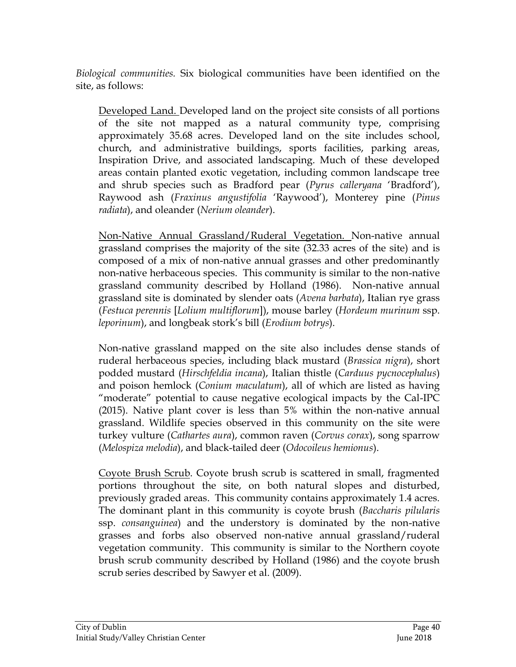*Biological communities.* Six biological communities have been identified on the site, as follows:

Developed Land. Developed land on the project site consists of all portions of the site not mapped as a natural community type, comprising approximately 35.68 acres. Developed land on the site includes school, church, and administrative buildings, sports facilities, parking areas, Inspiration Drive, and associated landscaping. Much of these developed areas contain planted exotic vegetation, including common landscape tree and shrub species such as Bradford pear (*Pyrus calleryana* 'Bradford'), Raywood ash (*Fraxinus angustifolia* 'Raywood'), Monterey pine (*Pinus radiata*), and oleander (*Nerium oleander*).

Non-Native Annual Grassland/Ruderal Vegetation. Non-native annual grassland comprises the majority of the site (32.33 acres of the site) and is composed of a mix of non-native annual grasses and other predominantly non-native herbaceous species. This community is similar to the non-native grassland community described by Holland (1986). Non-native annual grassland site is dominated by slender oats (*Avena barbata*), Italian rye grass (*Festuca perennis* [*Lolium multiflorum*]), mouse barley (*Hordeum murinum* ssp. *leporinum*), and longbeak stork's bill (*Erodium botrys*).

Non-native grassland mapped on the site also includes dense stands of ruderal herbaceous species, including black mustard (*Brassica nigra*), short podded mustard (*Hirschfeldia incana*), Italian thistle (*Carduus pycnocephalus*) and poison hemlock (*Conium maculatum*), all of which are listed as having "moderate" potential to cause negative ecological impacts by the Cal-IPC (2015). Native plant cover is less than 5% within the non-native annual grassland. Wildlife species observed in this community on the site were turkey vulture (*Cathartes aura*), common raven (*Corvus corax*), song sparrow (*Melospiza melodia*), and black-tailed deer (*Odocoileus hemionus*).

Coyote Brush Scrub. Coyote brush scrub is scattered in small, fragmented portions throughout the site, on both natural slopes and disturbed, previously graded areas. This community contains approximately 1.4 acres. The dominant plant in this community is coyote brush (*Baccharis pilularis*  ssp. *consanguinea*) and the understory is dominated by the non-native grasses and forbs also observed non-native annual grassland/ruderal vegetation community. This community is similar to the Northern coyote brush scrub community described by Holland (1986) and the coyote brush scrub series described by Sawyer et al. (2009).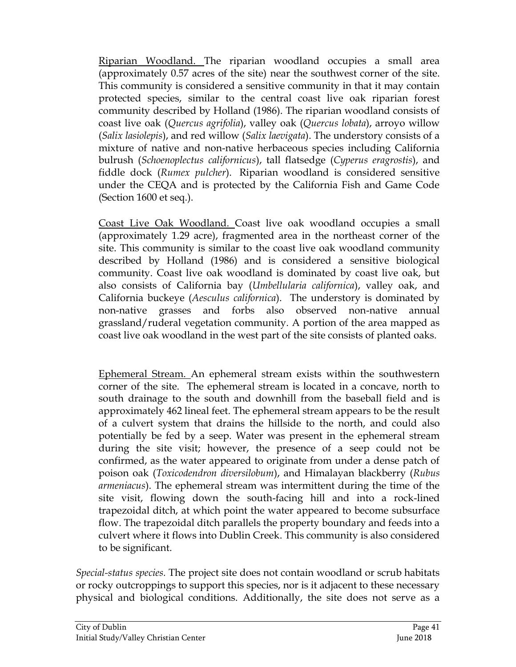Riparian Woodland. The riparian woodland occupies a small area (approximately 0.57 acres of the site) near the southwest corner of the site. This community is considered a sensitive community in that it may contain protected species, similar to the central coast live oak riparian forest community described by Holland (1986). The riparian woodland consists of coast live oak (*Quercus agrifolia*), valley oak (*Quercus lobata*), arroyo willow (*Salix lasiolepis*), and red willow (*Salix laevigata*). The understory consists of a mixture of native and non-native herbaceous species including California bulrush (*Schoenoplectus californicus*), tall flatsedge (*Cyperus eragrostis*), and fiddle dock (*Rumex pulcher*). Riparian woodland is considered sensitive under the CEQA and is protected by the California Fish and Game Code (Section 1600 et seq.).

Coast Live Oak Woodland. Coast live oak woodland occupies a small (approximately 1.29 acre), fragmented area in the northeast corner of the site. This community is similar to the coast live oak woodland community described by Holland (1986) and is considered a sensitive biological community. Coast live oak woodland is dominated by coast live oak, but also consists of California bay (*Umbellularia californica*), valley oak, and California buckeye (*Aesculus californica*). The understory is dominated by non-native grasses and forbs also observed non-native annual grassland/ruderal vegetation community. A portion of the area mapped as coast live oak woodland in the west part of the site consists of planted oaks.

Ephemeral Stream. An ephemeral stream exists within the southwestern corner of the site. The ephemeral stream is located in a concave, north to south drainage to the south and downhill from the baseball field and is approximately 462 lineal feet. The ephemeral stream appears to be the result of a culvert system that drains the hillside to the north, and could also potentially be fed by a seep. Water was present in the ephemeral stream during the site visit; however, the presence of a seep could not be confirmed, as the water appeared to originate from under a dense patch of poison oak (*Toxicodendron diversilobum*), and Himalayan blackberry (*Rubus armeniacus*). The ephemeral stream was intermittent during the time of the site visit, flowing down the south-facing hill and into a rock-lined trapezoidal ditch, at which point the water appeared to become subsurface flow. The trapezoidal ditch parallels the property boundary and feeds into a culvert where it flows into Dublin Creek. This community is also considered to be significant.

*Special-status species.* The project site does not contain woodland or scrub habitats or rocky outcroppings to support this species, nor is it adjacent to these necessary physical and biological conditions. Additionally, the site does not serve as a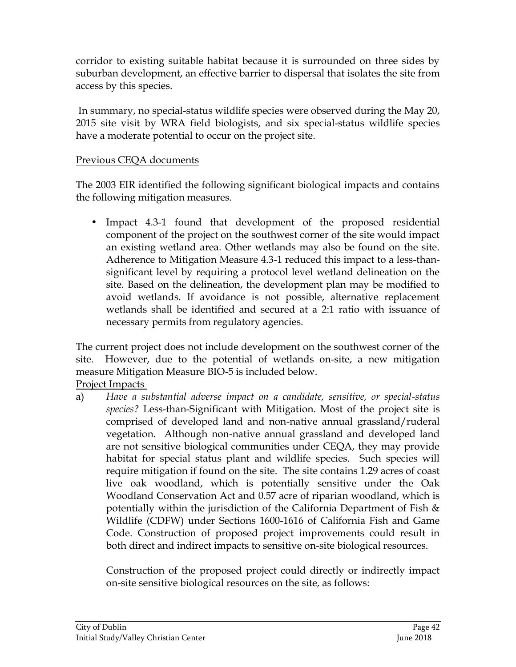corridor to existing suitable habitat because it is surrounded on three sides by suburban development, an effective barrier to dispersal that isolates the site from access by this species.

In summary, no special-status wildlife species were observed during the May 20, 2015 site visit by WRA field biologists, and six special-status wildlife species have a moderate potential to occur on the project site.

### Previous CEQA documents

The 2003 EIR identified the following significant biological impacts and contains the following mitigation measures.

• Impact 4.3-1 found that development of the proposed residential component of the project on the southwest corner of the site would impact an existing wetland area. Other wetlands may also be found on the site. Adherence to Mitigation Measure 4.3-1 reduced this impact to a less-thansignificant level by requiring a protocol level wetland delineation on the site. Based on the delineation, the development plan may be modified to avoid wetlands. If avoidance is not possible, alternative replacement wetlands shall be identified and secured at a 2:1 ratio with issuance of necessary permits from regulatory agencies.

The current project does not include development on the southwest corner of the site. However, due to the potential of wetlands on-site, a new mitigation measure Mitigation Measure BIO-5 is included below. Project Impacts

a) *Have a substantial adverse impact on a candidate, sensitive, or special-status species?* Less-than-Significant with Mitigation. Most of the project site is comprised of developed land and non-native annual grassland/ruderal vegetation. Although non-native annual grassland and developed land are not sensitive biological communities under CEQA, they may provide habitat for special status plant and wildlife species. Such species will require mitigation if found on the site. The site contains 1.29 acres of coast live oak woodland, which is potentially sensitive under the Oak Woodland Conservation Act and 0.57 acre of riparian woodland, which is potentially within the jurisdiction of the California Department of Fish  $\&$ Wildlife (CDFW) under Sections 1600-1616 of California Fish and Game Code. Construction of proposed project improvements could result in both direct and indirect impacts to sensitive on-site biological resources.

Construction of the proposed project could directly or indirectly impact on-site sensitive biological resources on the site, as follows: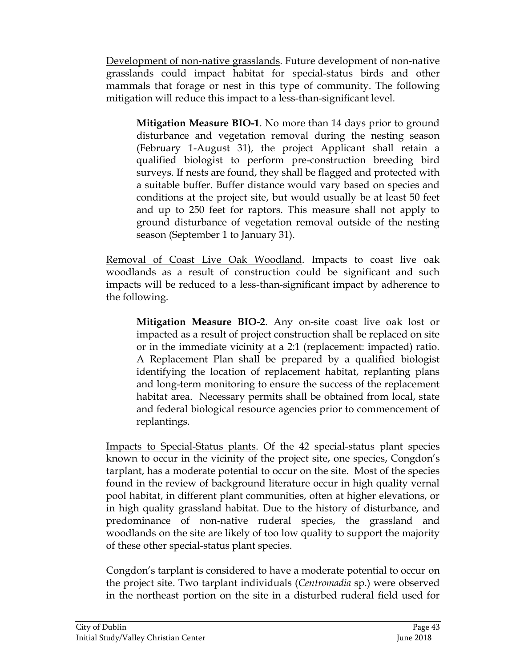Development of non-native grasslands. Future development of non-native grasslands could impact habitat for special-status birds and other mammals that forage or nest in this type of community. The following mitigation will reduce this impact to a less-than-significant level.

**Mitigation Measure BIO-1**. No more than 14 days prior to ground disturbance and vegetation removal during the nesting season (February 1-August 31), the project Applicant shall retain a qualified biologist to perform pre-construction breeding bird surveys. If nests are found, they shall be flagged and protected with a suitable buffer. Buffer distance would vary based on species and conditions at the project site, but would usually be at least 50 feet and up to 250 feet for raptors. This measure shall not apply to ground disturbance of vegetation removal outside of the nesting season (September 1 to January 31).

Removal of Coast Live Oak Woodland. Impacts to coast live oak woodlands as a result of construction could be significant and such impacts will be reduced to a less-than-significant impact by adherence to the following.

**Mitigation Measure BIO-2**. Any on-site coast live oak lost or impacted as a result of project construction shall be replaced on site or in the immediate vicinity at a 2:1 (replacement: impacted) ratio. A Replacement Plan shall be prepared by a qualified biologist identifying the location of replacement habitat, replanting plans and long-term monitoring to ensure the success of the replacement habitat area. Necessary permits shall be obtained from local, state and federal biological resource agencies prior to commencement of replantings.

Impacts to Special-Status plants. Of the 42 special-status plant species known to occur in the vicinity of the project site, one species, Congdon's tarplant, has a moderate potential to occur on the site. Most of the species found in the review of background literature occur in high quality vernal pool habitat, in different plant communities, often at higher elevations, or in high quality grassland habitat. Due to the history of disturbance, and predominance of non-native ruderal species, the grassland and woodlands on the site are likely of too low quality to support the majority of these other special-status plant species.

Congdon's tarplant is considered to have a moderate potential to occur on the project site. Two tarplant individuals (*Centromadia* sp.) were observed in the northeast portion on the site in a disturbed ruderal field used for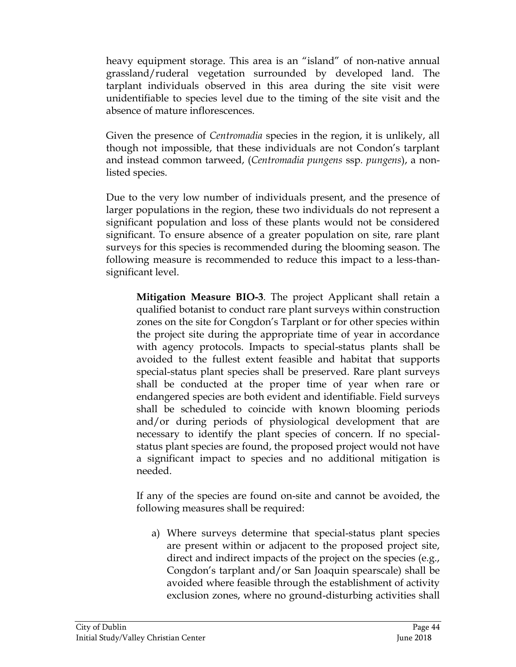heavy equipment storage. This area is an "island" of non-native annual grassland/ruderal vegetation surrounded by developed land. The tarplant individuals observed in this area during the site visit were unidentifiable to species level due to the timing of the site visit and the absence of mature inflorescences.

Given the presence of *Centromadia* species in the region, it is unlikely, all though not impossible, that these individuals are not Condon's tarplant and instead common tarweed, (*[Centromadia pungens](http://www.calflora.org/cgi-bin/species_query.cgi?where-taxon=Centromadia+pungens+ssp.+pungens)* ssp*. pungens*), a nonlisted species.

Due to the very low number of individuals present, and the presence of larger populations in the region, these two individuals do not represent a significant population and loss of these plants would not be considered significant. To ensure absence of a greater population on site, rare plant surveys for this species is recommended during the blooming season. The following measure is recommended to reduce this impact to a less-thansignificant level.

**Mitigation Measure BIO-3**. The project Applicant shall retain a qualified botanist to conduct rare plant surveys within construction zones on the site for Congdon's Tarplant or for other species within the project site during the appropriate time of year in accordance with agency protocols. Impacts to special-status plants shall be avoided to the fullest extent feasible and habitat that supports special-status plant species shall be preserved. Rare plant surveys shall be conducted at the proper time of year when rare or endangered species are both evident and identifiable. Field surveys shall be scheduled to coincide with known blooming periods and/or during periods of physiological development that are necessary to identify the plant species of concern. If no specialstatus plant species are found, the proposed project would not have a significant impact to species and no additional mitigation is needed.

If any of the species are found on-site and cannot be avoided, the following measures shall be required:

a) Where surveys determine that special-status plant species are present within or adjacent to the proposed project site, direct and indirect impacts of the project on the species (e.g., Congdon's tarplant and/or San Joaquin spearscale) shall be avoided where feasible through the establishment of activity exclusion zones, where no ground-disturbing activities shall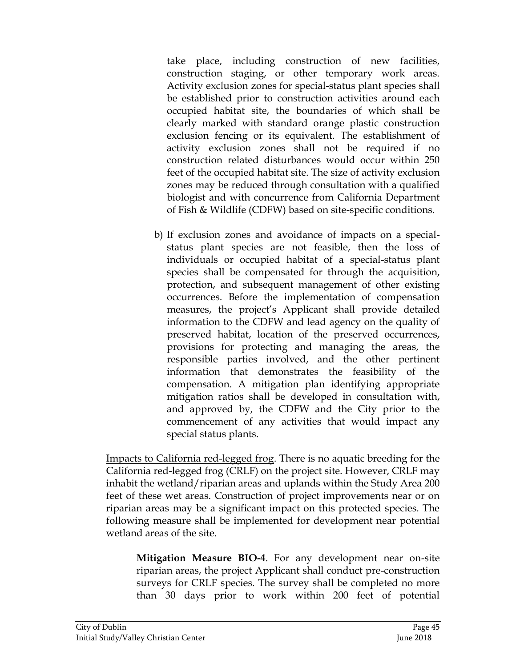take place, including construction of new facilities, construction staging, or other temporary work areas. Activity exclusion zones for special-status plant species shall be established prior to construction activities around each occupied habitat site, the boundaries of which shall be clearly marked with standard orange plastic construction exclusion fencing or its equivalent. The establishment of activity exclusion zones shall not be required if no construction related disturbances would occur within 250 feet of the occupied habitat site. The size of activity exclusion zones may be reduced through consultation with a qualified biologist and with concurrence from California Department of Fish & Wildlife (CDFW) based on site-specific conditions.

b) If exclusion zones and avoidance of impacts on a specialstatus plant species are not feasible, then the loss of individuals or occupied habitat of a special-status plant species shall be compensated for through the acquisition, protection, and subsequent management of other existing occurrences. Before the implementation of compensation measures, the project's Applicant shall provide detailed information to the CDFW and lead agency on the quality of preserved habitat, location of the preserved occurrences, provisions for protecting and managing the areas, the responsible parties involved, and the other pertinent information that demonstrates the feasibility of the compensation. A mitigation plan identifying appropriate mitigation ratios shall be developed in consultation with, and approved by, the CDFW and the City prior to the commencement of any activities that would impact any special status plants.

Impacts to California red-legged frog. There is no aquatic breeding for the California red-legged frog (CRLF) on the project site. However, CRLF may inhabit the wetland/riparian areas and uplands within the Study Area 200 feet of these wet areas. Construction of project improvements near or on riparian areas may be a significant impact on this protected species. The following measure shall be implemented for development near potential wetland areas of the site.

**Mitigation Measure BIO-4**. For any development near on-site riparian areas, the project Applicant shall conduct pre-construction surveys for CRLF species. The survey shall be completed no more than 30 days prior to work within 200 feet of potential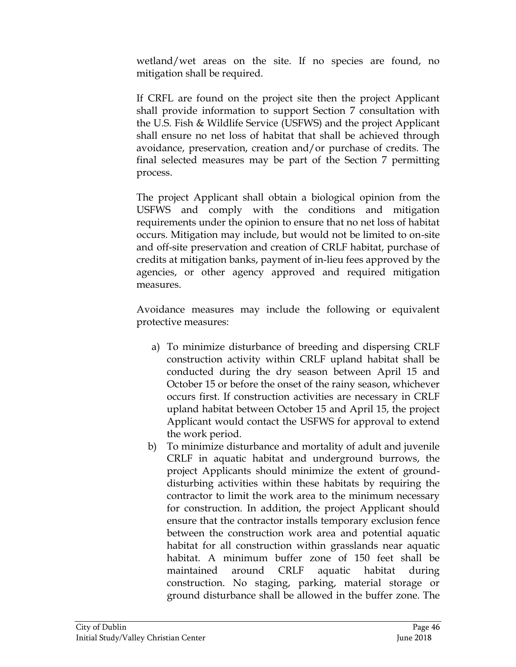wetland/wet areas on the site. If no species are found, no mitigation shall be required.

If CRFL are found on the project site then the project Applicant shall provide information to support Section 7 consultation with the U.S. Fish & Wildlife Service (USFWS) and the project Applicant shall ensure no net loss of habitat that shall be achieved through avoidance, preservation, creation and/or purchase of credits. The final selected measures may be part of the Section 7 permitting process.

The project Applicant shall obtain a biological opinion from the USFWS and comply with the conditions and mitigation requirements under the opinion to ensure that no net loss of habitat occurs. Mitigation may include, but would not be limited to on-site and off-site preservation and creation of CRLF habitat, purchase of credits at mitigation banks, payment of in-lieu fees approved by the agencies, or other agency approved and required mitigation measures.

Avoidance measures may include the following or equivalent protective measures:

- a) To minimize disturbance of breeding and dispersing CRLF construction activity within CRLF upland habitat shall be conducted during the dry season between April 15 and October 15 or before the onset of the rainy season, whichever occurs first. If construction activities are necessary in CRLF upland habitat between October 15 and April 15, the project Applicant would contact the USFWS for approval to extend the work period.
- b) To minimize disturbance and mortality of adult and juvenile CRLF in aquatic habitat and underground burrows, the project Applicants should minimize the extent of grounddisturbing activities within these habitats by requiring the contractor to limit the work area to the minimum necessary for construction. In addition, the project Applicant should ensure that the contractor installs temporary exclusion fence between the construction work area and potential aquatic habitat for all construction within grasslands near aquatic habitat. A minimum buffer zone of 150 feet shall be maintained around CRLF aquatic habitat during construction. No staging, parking, material storage or ground disturbance shall be allowed in the buffer zone. The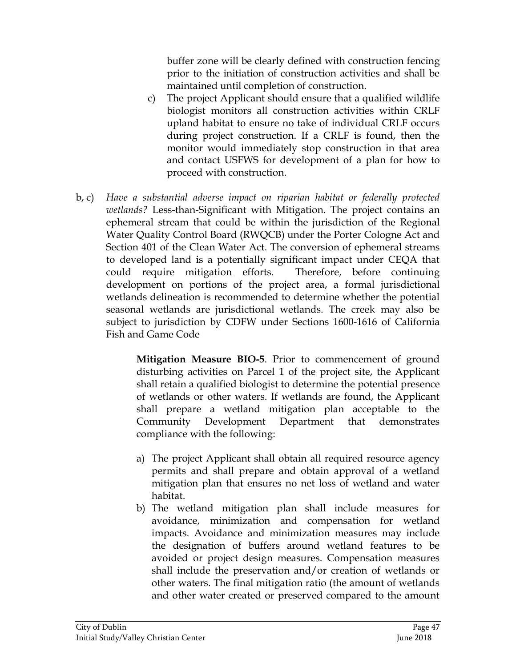buffer zone will be clearly defined with construction fencing prior to the initiation of construction activities and shall be maintained until completion of construction.

- c) The project Applicant should ensure that a qualified wildlife biologist monitors all construction activities within CRLF upland habitat to ensure no take of individual CRLF occurs during project construction. If a CRLF is found, then the monitor would immediately stop construction in that area and contact USFWS for development of a plan for how to proceed with construction.
- b, c) *Have a substantial adverse impact on riparian habitat or federally protected wetlands?* Less-than-Significant with Mitigation. The project contains an ephemeral stream that could be within the jurisdiction of the Regional Water Quality Control Board (RWQCB) under the Porter Cologne Act and Section 401 of the Clean Water Act. The conversion of ephemeral streams to developed land is a potentially significant impact under CEQA that could require mitigation efforts. Therefore, before continuing development on portions of the project area, a formal jurisdictional wetlands delineation is recommended to determine whether the potential seasonal wetlands are jurisdictional wetlands. The creek may also be subject to jurisdiction by CDFW under Sections 1600-1616 of California Fish and Game Code

**Mitigation Measure BIO-5**. Prior to commencement of ground disturbing activities on Parcel 1 of the project site, the Applicant shall retain a qualified biologist to determine the potential presence of wetlands or other waters. If wetlands are found, the Applicant shall prepare a wetland mitigation plan acceptable to the Community Development Department that demonstrates compliance with the following:

- a) The project Applicant shall obtain all required resource agency permits and shall prepare and obtain approval of a wetland mitigation plan that ensures no net loss of wetland and water habitat.
- b) The wetland mitigation plan shall include measures for avoidance, minimization and compensation for wetland impacts. Avoidance and minimization measures may include the designation of buffers around wetland features to be avoided or project design measures. Compensation measures shall include the preservation and/or creation of wetlands or other waters. The final mitigation ratio (the amount of wetlands and other water created or preserved compared to the amount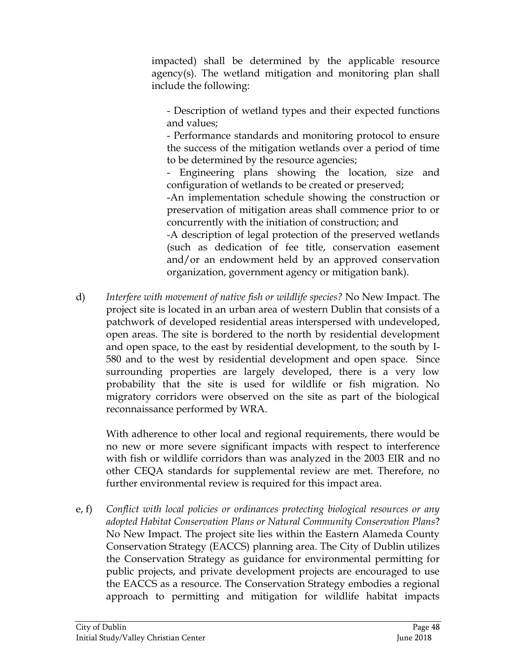impacted) shall be determined by the applicable resource agency(s). The wetland mitigation and monitoring plan shall include the following:

- Description of wetland types and their expected functions and values;

- Performance standards and monitoring protocol to ensure the success of the mitigation wetlands over a period of time to be determined by the resource agencies;

- Engineering plans showing the location, size and configuration of wetlands to be created or preserved;

-An implementation schedule showing the construction or preservation of mitigation areas shall commence prior to or concurrently with the initiation of construction; and

-A description of legal protection of the preserved wetlands (such as dedication of fee title, conservation easement and/or an endowment held by an approved conservation organization, government agency or mitigation bank).

d) *Interfere with movement of native fish or wildlife species?* No New Impact. The project site is located in an urban area of western Dublin that consists of a patchwork of developed residential areas interspersed with undeveloped, open areas. The site is bordered to the north by residential development and open space, to the east by residential development, to the south by I-580 and to the west by residential development and open space. Since surrounding properties are largely developed, there is a very low probability that the site is used for wildlife or fish migration. No migratory corridors were observed on the site as part of the biological reconnaissance performed by WRA.

With adherence to other local and regional requirements, there would be no new or more severe significant impacts with respect to interference with fish or wildlife corridors than was analyzed in the 2003 EIR and no other CEQA standards for supplemental review are met. Therefore, no further environmental review is required for this impact area.

e, f) *Conflict with local policies or ordinances protecting biological resources or any adopted Habitat Conservation Plans or Natural Community Conservation Plans*? No New Impact. The project site lies within the Eastern Alameda County Conservation Strategy (EACCS) planning area. The City of Dublin utilizes the Conservation Strategy as guidance for environmental permitting for public projects, and private development projects are encouraged to use the EACCS as a resource. The Conservation Strategy embodies a regional approach to permitting and mitigation for wildlife habitat impacts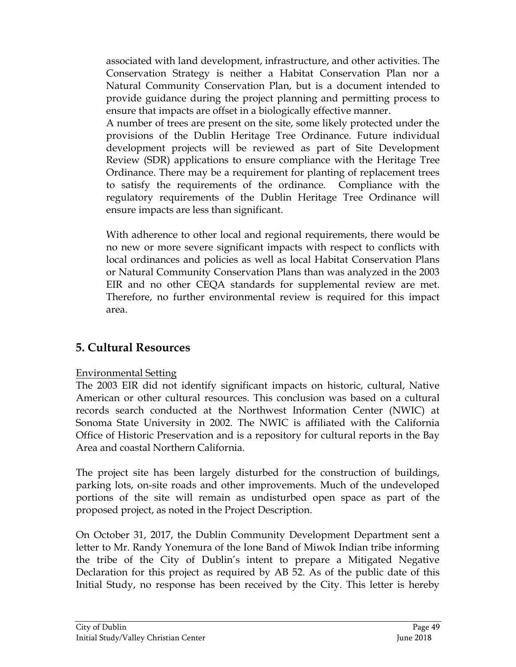associated with land development, infrastructure, and other activities. The Conservation Strategy is neither a Habitat Conservation Plan nor a Natural Community Conservation Plan, but is a document intended to provide guidance during the project planning and permitting process to ensure that impacts are offset in a biologically effective manner.

A number of trees are present on the site, some likely protected under the provisions of the Dublin Heritage Tree Ordinance. Future individual development projects will be reviewed as part of Site Development Review (SDR) applications to ensure compliance with the Heritage Tree Ordinance. There may be a requirement for planting of replacement trees to satisfy the requirements of the ordinance. Compliance with the regulatory requirements of the Dublin Heritage Tree Ordinance will ensure impacts are less than significant.

With adherence to other local and regional requirements, there would be no new or more severe significant impacts with respect to conflicts with local ordinances and policies as well as local Habitat Conservation Plans or Natural Community Conservation Plans than was analyzed in the 2003 EIR and no other CEQA standards for supplemental review are met. Therefore, no further environmental review is required for this impact area.

## **5. Cultural Resources**

## Environmental Setting

The 2003 EIR did not identify significant impacts on historic, cultural, Native American or other cultural resources. This conclusion was based on a cultural records search conducted at the Northwest Information Center (NWIC) at Sonoma State University in 2002. The NWIC is affiliated with the California Office of Historic Preservation and is a repository for cultural reports in the Bay Area and coastal Northern California.

The project site has been largely disturbed for the construction of buildings, parking lots, on-site roads and other improvements. Much of the undeveloped portions of the site will remain as undisturbed open space as part of the proposed project, as noted in the Project Description.

On October 31, 2017, the Dublin Community Development Department sent a letter to Mr. Randy Yonemura of the Ione Band of Miwok Indian tribe informing the tribe of the City of Dublin's intent to prepare a Mitigated Negative Declaration for this project as required by AB 52. As of the public date of this Initial Study, no response has been received by the City. This letter is hereby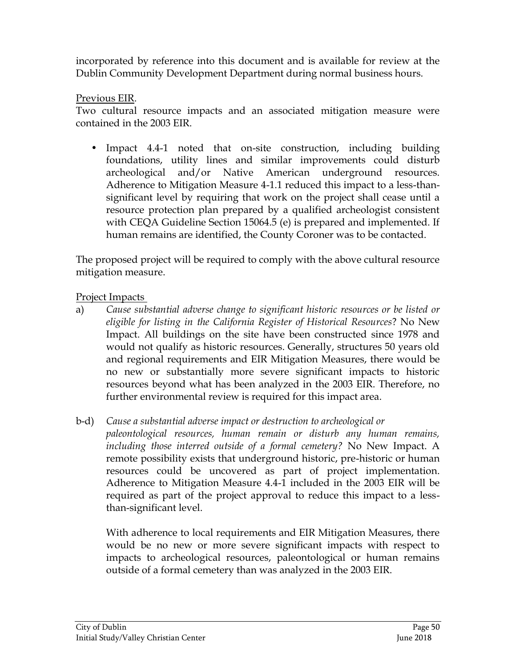incorporated by reference into this document and is available for review at the Dublin Community Development Department during normal business hours.

Previous EIR.

Two cultural resource impacts and an associated mitigation measure were contained in the 2003 EIR.

• Impact 4.4-1 noted that on-site construction, including building foundations, utility lines and similar improvements could disturb archeological and/or Native American underground resources. Adherence to Mitigation Measure 4-1.1 reduced this impact to a less-thansignificant level by requiring that work on the project shall cease until a resource protection plan prepared by a qualified archeologist consistent with CEQA Guideline Section 15064.5 (e) is prepared and implemented. If human remains are identified, the County Coroner was to be contacted.

The proposed project will be required to comply with the above cultural resource mitigation measure.

Project Impacts

a) *Cause substantial adverse change to significant historic resources or be listed or eligible for listing in the California Register of Historical Resources*? No New Impact. All buildings on the site have been constructed since 1978 and would not qualify as historic resources. Generally, structures 50 years old and regional requirements and EIR Mitigation Measures, there would be no new or substantially more severe significant impacts to historic resources beyond what has been analyzed in the 2003 EIR. Therefore, no further environmental review is required for this impact area.

b-d) *Cause a substantial adverse impact or destruction to archeological or* 

*paleontological resources, human remain or disturb any human remains, including those interred outside of a formal cemetery?* No New Impact. A remote possibility exists that underground historic, pre-historic or human resources could be uncovered as part of project implementation. Adherence to Mitigation Measure 4.4-1 included in the 2003 EIR will be required as part of the project approval to reduce this impact to a lessthan-significant level.

With adherence to local requirements and EIR Mitigation Measures, there would be no new or more severe significant impacts with respect to impacts to archeological resources, paleontological or human remains outside of a formal cemetery than was analyzed in the 2003 EIR.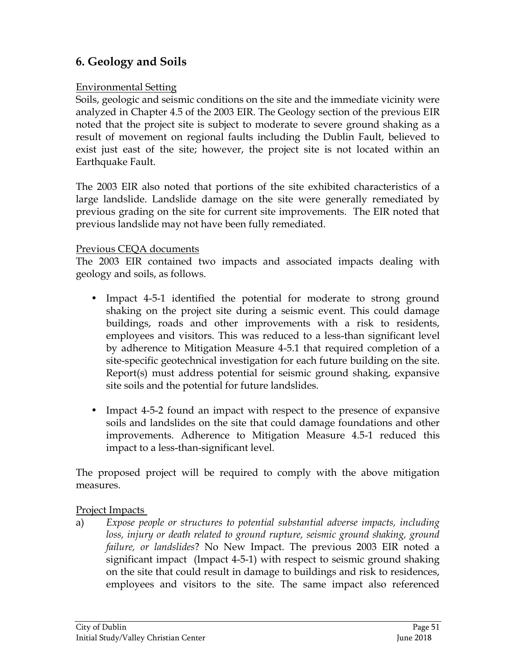# **6. Geology and Soils**

#### Environmental Setting

Soils, geologic and seismic conditions on the site and the immediate vicinity were analyzed in Chapter 4.5 of the 2003 EIR. The Geology section of the previous EIR noted that the project site is subject to moderate to severe ground shaking as a result of movement on regional faults including the Dublin Fault, believed to exist just east of the site; however, the project site is not located within an Earthquake Fault.

The 2003 EIR also noted that portions of the site exhibited characteristics of a large landslide. Landslide damage on the site were generally remediated by previous grading on the site for current site improvements. The EIR noted that previous landslide may not have been fully remediated.

#### Previous CEQA documents

The 2003 EIR contained two impacts and associated impacts dealing with geology and soils, as follows.

- Impact 4-5-1 identified the potential for moderate to strong ground shaking on the project site during a seismic event. This could damage buildings, roads and other improvements with a risk to residents, employees and visitors. This was reduced to a less-than significant level by adherence to Mitigation Measure 4-5.1 that required completion of a site-specific geotechnical investigation for each future building on the site. Report(s) must address potential for seismic ground shaking, expansive site soils and the potential for future landslides.
- Impact 4-5-2 found an impact with respect to the presence of expansive soils and landslides on the site that could damage foundations and other improvements. Adherence to Mitigation Measure 4.5-1 reduced this impact to a less-than-significant level.

The proposed project will be required to comply with the above mitigation measures.

### Project Impacts

a) *Expose people or structures to potential substantial adverse impacts, including*  loss, injury or death related to ground rupture, seismic ground shaking, ground *failure, or landslides*? No New Impact. The previous 2003 EIR noted a significant impact (Impact 4-5-1) with respect to seismic ground shaking on the site that could result in damage to buildings and risk to residences, employees and visitors to the site. The same impact also referenced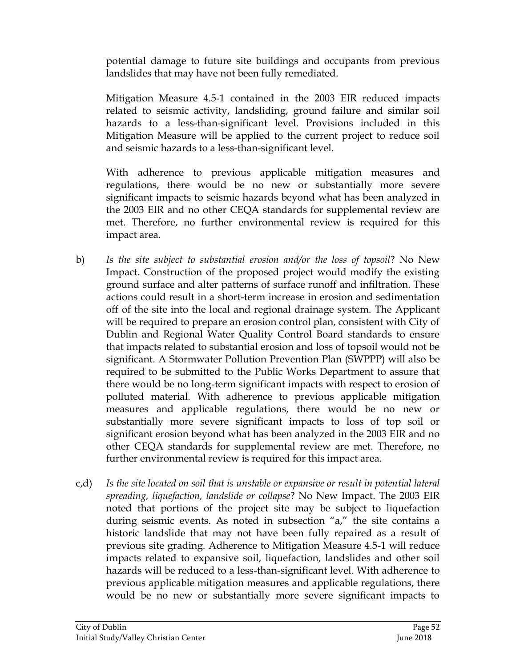potential damage to future site buildings and occupants from previous landslides that may have not been fully remediated.

Mitigation Measure 4.5-1 contained in the 2003 EIR reduced impacts related to seismic activity, landsliding, ground failure and similar soil hazards to a less-than-significant level. Provisions included in this Mitigation Measure will be applied to the current project to reduce soil and seismic hazards to a less-than-significant level.

With adherence to previous applicable mitigation measures and regulations, there would be no new or substantially more severe significant impacts to seismic hazards beyond what has been analyzed in the 2003 EIR and no other CEQA standards for supplemental review are met. Therefore, no further environmental review is required for this impact area.

- b) *Is the site subject to substantial erosion and/or the loss of topsoil*? No New Impact. Construction of the proposed project would modify the existing ground surface and alter patterns of surface runoff and infiltration. These actions could result in a short-term increase in erosion and sedimentation off of the site into the local and regional drainage system. The Applicant will be required to prepare an erosion control plan, consistent with City of Dublin and Regional Water Quality Control Board standards to ensure that impacts related to substantial erosion and loss of topsoil would not be significant. A Stormwater Pollution Prevention Plan (SWPPP) will also be required to be submitted to the Public Works Department to assure that there would be no long-term significant impacts with respect to erosion of polluted material. With adherence to previous applicable mitigation measures and applicable regulations, there would be no new or substantially more severe significant impacts to loss of top soil or significant erosion beyond what has been analyzed in the 2003 EIR and no other CEQA standards for supplemental review are met. Therefore, no further environmental review is required for this impact area.
- c,d) *Is the site located on soil that is unstable or expansive or result in potential lateral spreading, liquefaction, landslide or collapse*? No New Impact. The 2003 EIR noted that portions of the project site may be subject to liquefaction during seismic events. As noted in subsection "a," the site contains a historic landslide that may not have been fully repaired as a result of previous site grading. Adherence to Mitigation Measure 4.5-1 will reduce impacts related to expansive soil, liquefaction, landslides and other soil hazards will be reduced to a less-than-significant level. With adherence to previous applicable mitigation measures and applicable regulations, there would be no new or substantially more severe significant impacts to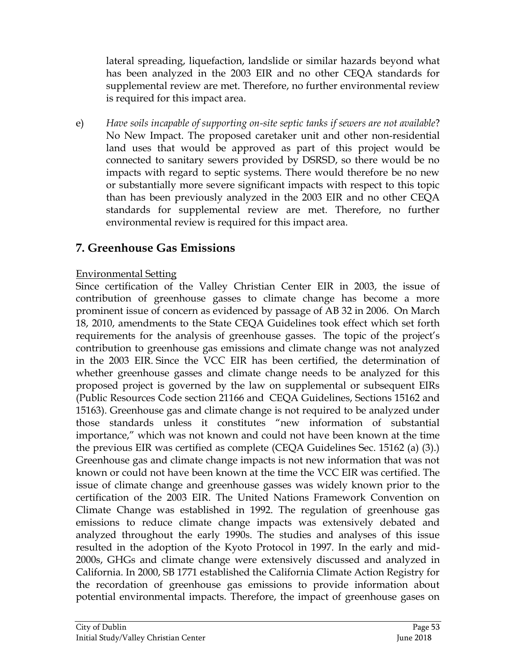lateral spreading, liquefaction, landslide or similar hazards beyond what has been analyzed in the 2003 EIR and no other CEQA standards for supplemental review are met. Therefore, no further environmental review is required for this impact area.

e) *Have soils incapable of supporting on-site septic tanks if sewers are not available*? No New Impact. The proposed caretaker unit and other non-residential land uses that would be approved as part of this project would be connected to sanitary sewers provided by DSRSD, so there would be no impacts with regard to septic systems. There would therefore be no new or substantially more severe significant impacts with respect to this topic than has been previously analyzed in the 2003 EIR and no other CEQA standards for supplemental review are met. Therefore, no further environmental review is required for this impact area.

## **7. Greenhouse Gas Emissions**

### Environmental Setting

Since certification of the Valley Christian Center EIR in 2003, the issue of contribution of greenhouse gasses to climate change has become a more prominent issue of concern as evidenced by passage of AB 32 in 2006. On March 18, 2010, amendments to the State CEQA Guidelines took effect which set forth requirements for the analysis of greenhouse gasses. The topic of the project's contribution to greenhouse gas emissions and climate change was not analyzed in the 2003 EIR. Since the VCC EIR has been certified, the determination of whether greenhouse gasses and climate change needs to be analyzed for this proposed project is governed by the law on supplemental or subsequent EIRs (Public Resources Code section 21166 and CEQA Guidelines, Sections 15162 and 15163). Greenhouse gas and climate change is not required to be analyzed under those standards unless it constitutes "new information of substantial importance," which was not known and could not have been known at the time the previous EIR was certified as complete (CEQA Guidelines Sec. 15162 (a) (3).) Greenhouse gas and climate change impacts is not new information that was not known or could not have been known at the time the VCC EIR was certified. The issue of climate change and greenhouse gasses was widely known prior to the certification of the 2003 EIR. The United Nations Framework Convention on Climate Change was established in 1992. The regulation of greenhouse gas emissions to reduce climate change impacts was extensively debated and analyzed throughout the early 1990s. The studies and analyses of this issue resulted in the adoption of the Kyoto Protocol in 1997. In the early and mid-2000s, GHGs and climate change were extensively discussed and analyzed in California. In 2000, SB 1771 established the California Climate Action Registry for the recordation of greenhouse gas emissions to provide information about potential environmental impacts. Therefore, the impact of greenhouse gases on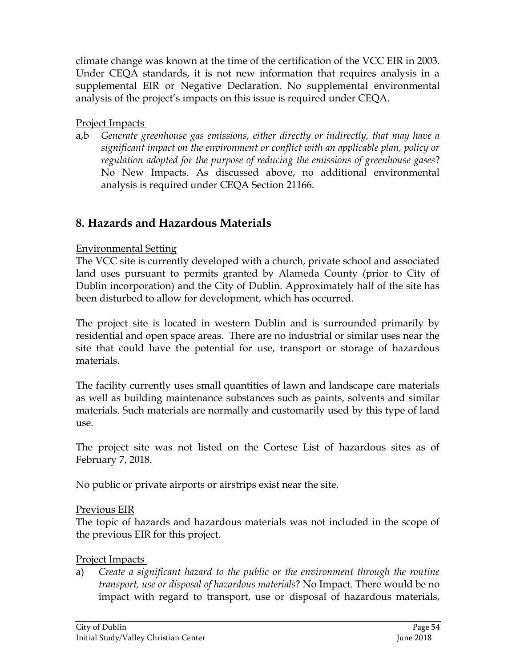climate change was known at the time of the certification of the VCC EIR in 2003. Under CEQA standards, it is not new information that requires analysis in a supplemental EIR or Negative Declaration. No supplemental environmental analysis of the project's impacts on this issue is required under CEQA.

## Project Impacts

a,b *Generate greenhouse gas emissions, either directly or indirectly, that may have a significant impact on the environment or conflict with an applicable plan, policy or regulation adopted for the purpose of reducing the emissions of greenhouse gases*? No New Impacts. As discussed above, no additional environmental analysis is required under CEQA Section 21166.

# **8. Hazards and Hazardous Materials**

## Environmental Setting

The VCC site is currently developed with a church, private school and associated land uses pursuant to permits granted by Alameda County (prior to City of Dublin incorporation) and the City of Dublin. Approximately half of the site has been disturbed to allow for development, which has occurred.

The project site is located in western Dublin and is surrounded primarily by residential and open space areas. There are no industrial or similar uses near the site that could have the potential for use, transport or storage of hazardous materials.

The facility currently uses small quantities of lawn and landscape care materials as well as building maintenance substances such as paints, solvents and similar materials. Such materials are normally and customarily used by this type of land use.

The project site was not listed on the Cortese List of hazardous sites as of February 7, 2018.

No public or private airports or airstrips exist near the site.

### Previous EIR

The topic of hazards and hazardous materials was not included in the scope of the previous EIR for this project.

### Project Impacts

a) *Create a significant hazard to the public or the environment through the routine transport, use or disposal of hazardous materials*? No Impact. There would be no impact with regard to transport, use or disposal of hazardous materials,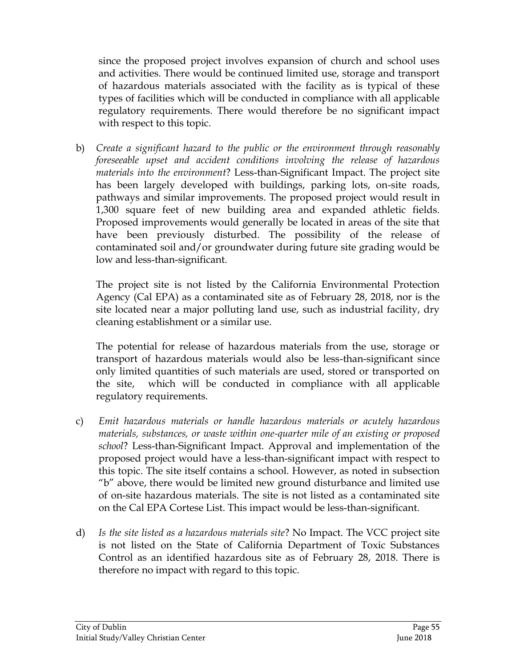since the proposed project involves expansion of church and school uses and activities. There would be continued limited use, storage and transport of hazardous materials associated with the facility as is typical of these types of facilities which will be conducted in compliance with all applicable regulatory requirements. There would therefore be no significant impact with respect to this topic.

b) *Create a significant hazard to the public or the environment through reasonably foreseeable upset and accident conditions involving the release of hazardous materials into the environment*? Less-than-Significant Impact. The project site has been largely developed with buildings, parking lots, on-site roads, pathways and similar improvements. The proposed project would result in 1,300 square feet of new building area and expanded athletic fields. Proposed improvements would generally be located in areas of the site that have been previously disturbed. The possibility of the release of contaminated soil and/or groundwater during future site grading would be low and less-than-significant.

The project site is not listed by the California Environmental Protection Agency (Cal EPA) as a contaminated site as of February 28, 2018, nor is the site located near a major polluting land use, such as industrial facility, dry cleaning establishment or a similar use.

The potential for release of hazardous materials from the use, storage or transport of hazardous materials would also be less-than-significant since only limited quantities of such materials are used, stored or transported on the site, which will be conducted in compliance with all applicable regulatory requirements.

- c) *Emit hazardous materials or handle hazardous materials or acutely hazardous materials, substances, or waste within one-quarter mile of an existing or proposed school*? Less-than-Significant Impact. Approval and implementation of the proposed project would have a less-than-significant impact with respect to this topic. The site itself contains a school. However, as noted in subsection "b" above, there would be limited new ground disturbance and limited use of on-site hazardous materials. The site is not listed as a contaminated site on the Cal EPA Cortese List. This impact would be less-than-significant.
- d) *Is the site listed as a hazardous materials site*? No Impact. The VCC project site is not listed on the State of California Department of Toxic Substances Control as an identified hazardous site as of February 28, 2018. There is therefore no impact with regard to this topic.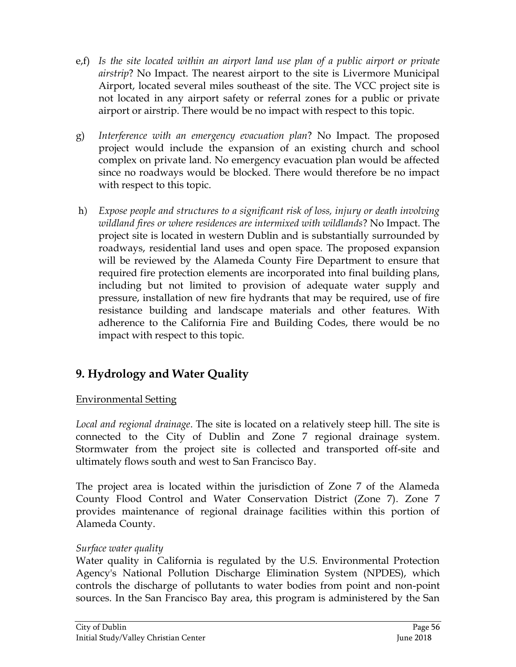- e,f) *Is the site located within an airport land use plan of a public airport or private airstrip*? No Impact. The nearest airport to the site is Livermore Municipal Airport, located several miles southeast of the site. The VCC project site is not located in any airport safety or referral zones for a public or private airport or airstrip. There would be no impact with respect to this topic.
- g) *Interference with an emergency evacuation plan*? No Impact. The proposed project would include the expansion of an existing church and school complex on private land. No emergency evacuation plan would be affected since no roadways would be blocked. There would therefore be no impact with respect to this topic.
- h) *Expose people and structures to a significant risk of loss, injury or death involving wildland fires or where residences are intermixed with wildlands*? No Impact. The project site is located in western Dublin and is substantially surrounded by roadways, residential land uses and open space. The proposed expansion will be reviewed by the Alameda County Fire Department to ensure that required fire protection elements are incorporated into final building plans, including but not limited to provision of adequate water supply and pressure, installation of new fire hydrants that may be required, use of fire resistance building and landscape materials and other features. With adherence to the California Fire and Building Codes, there would be no impact with respect to this topic.

# **9. Hydrology and Water Quality**

## Environmental Setting

*Local and regional drainage*. The site is located on a relatively steep hill. The site is connected to the City of Dublin and Zone 7 regional drainage system. Stormwater from the project site is collected and transported off-site and ultimately flows south and west to San Francisco Bay.

The project area is located within the jurisdiction of Zone 7 of the Alameda County Flood Control and Water Conservation District (Zone 7). Zone 7 provides maintenance of regional drainage facilities within this portion of Alameda County.

### *Surface water quality*

Water quality in California is regulated by the U.S. Environmental Protection Agency's National Pollution Discharge Elimination System (NPDES), which controls the discharge of pollutants to water bodies from point and non-point sources. In the San Francisco Bay area, this program is administered by the San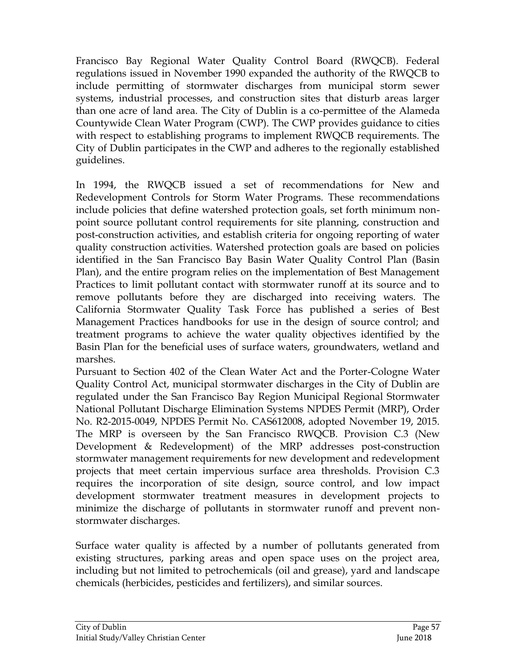Francisco Bay Regional Water Quality Control Board (RWQCB). Federal regulations issued in November 1990 expanded the authority of the RWQCB to include permitting of stormwater discharges from municipal storm sewer systems, industrial processes, and construction sites that disturb areas larger than one acre of land area. The City of Dublin is a co-permittee of the Alameda Countywide Clean Water Program (CWP). The CWP provides guidance to cities with respect to establishing programs to implement RWQCB requirements. The City of Dublin participates in the CWP and adheres to the regionally established guidelines.

In 1994, the RWQCB issued a set of recommendations for New and Redevelopment Controls for Storm Water Programs. These recommendations include policies that define watershed protection goals, set forth minimum nonpoint source pollutant control requirements for site planning, construction and post-construction activities, and establish criteria for ongoing reporting of water quality construction activities. Watershed protection goals are based on policies identified in the San Francisco Bay Basin Water Quality Control Plan (Basin Plan), and the entire program relies on the implementation of Best Management Practices to limit pollutant contact with stormwater runoff at its source and to remove pollutants before they are discharged into receiving waters. The California Stormwater Quality Task Force has published a series of Best Management Practices handbooks for use in the design of source control; and treatment programs to achieve the water quality objectives identified by the Basin Plan for the beneficial uses of surface waters, groundwaters, wetland and marshes.

Pursuant to Section 402 of the Clean Water Act and the Porter-Cologne Water Quality Control Act, municipal stormwater discharges in the City of Dublin are regulated under the San Francisco Bay Region Municipal Regional Stormwater National Pollutant Discharge Elimination Systems NPDES Permit (MRP), Order No. R2-2015-0049, NPDES Permit No. CAS612008, adopted November 19, 2015. The MRP is overseen by the San Francisco RWQCB. Provision C.3 (New Development & Redevelopment) of the MRP addresses post-construction stormwater management requirements for new development and redevelopment projects that meet certain impervious surface area thresholds. Provision C.3 requires the incorporation of site design, source control, and low impact development stormwater treatment measures in development projects to minimize the discharge of pollutants in stormwater runoff and prevent nonstormwater discharges.

Surface water quality is affected by a number of pollutants generated from existing structures, parking areas and open space uses on the project area, including but not limited to petrochemicals (oil and grease), yard and landscape chemicals (herbicides, pesticides and fertilizers), and similar sources.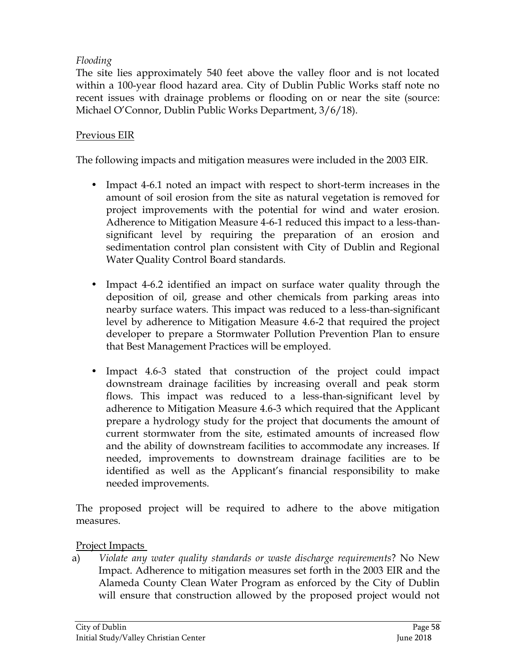## *Flooding*

The site lies approximately 540 feet above the valley floor and is not located within a 100-year flood hazard area. City of Dublin Public Works staff note no recent issues with drainage problems or flooding on or near the site (source: Michael O'Connor, Dublin Public Works Department, 3/6/18).

## Previous EIR

The following impacts and mitigation measures were included in the 2003 EIR.

- Impact 4-6.1 noted an impact with respect to short-term increases in the amount of soil erosion from the site as natural vegetation is removed for project improvements with the potential for wind and water erosion. Adherence to Mitigation Measure 4-6-1 reduced this impact to a less-thansignificant level by requiring the preparation of an erosion and sedimentation control plan consistent with City of Dublin and Regional Water Quality Control Board standards.
- Impact 4-6.2 identified an impact on surface water quality through the deposition of oil, grease and other chemicals from parking areas into nearby surface waters. This impact was reduced to a less-than-significant level by adherence to Mitigation Measure 4.6-2 that required the project developer to prepare a Stormwater Pollution Prevention Plan to ensure that Best Management Practices will be employed.
- Impact 4.6-3 stated that construction of the project could impact downstream drainage facilities by increasing overall and peak storm flows. This impact was reduced to a less-than-significant level by adherence to Mitigation Measure 4.6-3 which required that the Applicant prepare a hydrology study for the project that documents the amount of current stormwater from the site, estimated amounts of increased flow and the ability of downstream facilities to accommodate any increases. If needed, improvements to downstream drainage facilities are to be identified as well as the Applicant's financial responsibility to make needed improvements.

The proposed project will be required to adhere to the above mitigation measures.

### Project Impacts

a) *Violate any water quality standards or waste discharge requirements*? No New Impact. Adherence to mitigation measures set forth in the 2003 EIR and the Alameda County Clean Water Program as enforced by the City of Dublin will ensure that construction allowed by the proposed project would not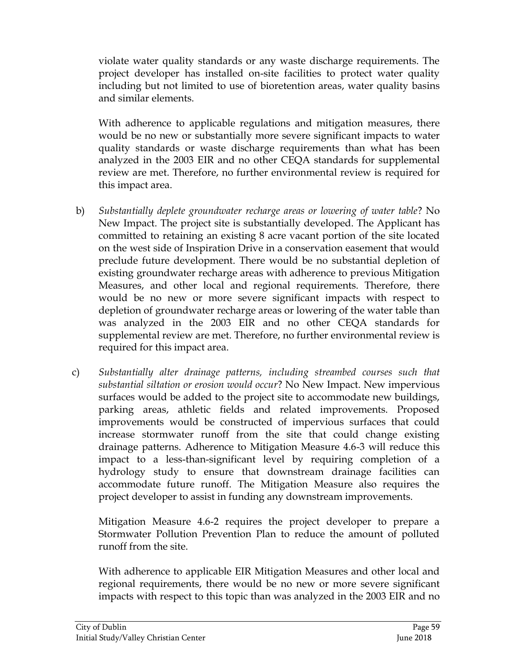violate water quality standards or any waste discharge requirements. The project developer has installed on-site facilities to protect water quality including but not limited to use of bioretention areas, water quality basins and similar elements.

With adherence to applicable regulations and mitigation measures, there would be no new or substantially more severe significant impacts to water quality standards or waste discharge requirements than what has been analyzed in the 2003 EIR and no other CEQA standards for supplemental review are met. Therefore, no further environmental review is required for this impact area.

- b) *Substantially deplete groundwater recharge areas or lowering of water table*? No New Impact. The project site is substantially developed. The Applicant has committed to retaining an existing 8 acre vacant portion of the site located on the west side of Inspiration Drive in a conservation easement that would preclude future development. There would be no substantial depletion of existing groundwater recharge areas with adherence to previous Mitigation Measures, and other local and regional requirements. Therefore, there would be no new or more severe significant impacts with respect to depletion of groundwater recharge areas or lowering of the water table than was analyzed in the 2003 EIR and no other CEQA standards for supplemental review are met. Therefore, no further environmental review is required for this impact area.
- c) *Substantially alter drainage patterns, including streambed courses such that substantial siltation or erosion would occur*? No New Impact. New impervious surfaces would be added to the project site to accommodate new buildings, parking areas, athletic fields and related improvements. Proposed improvements would be constructed of impervious surfaces that could increase stormwater runoff from the site that could change existing drainage patterns. Adherence to Mitigation Measure 4.6-3 will reduce this impact to a less-than-significant level by requiring completion of a hydrology study to ensure that downstream drainage facilities can accommodate future runoff. The Mitigation Measure also requires the project developer to assist in funding any downstream improvements.

Mitigation Measure 4.6-2 requires the project developer to prepare a Stormwater Pollution Prevention Plan to reduce the amount of polluted runoff from the site.

With adherence to applicable EIR Mitigation Measures and other local and regional requirements, there would be no new or more severe significant impacts with respect to this topic than was analyzed in the 2003 EIR and no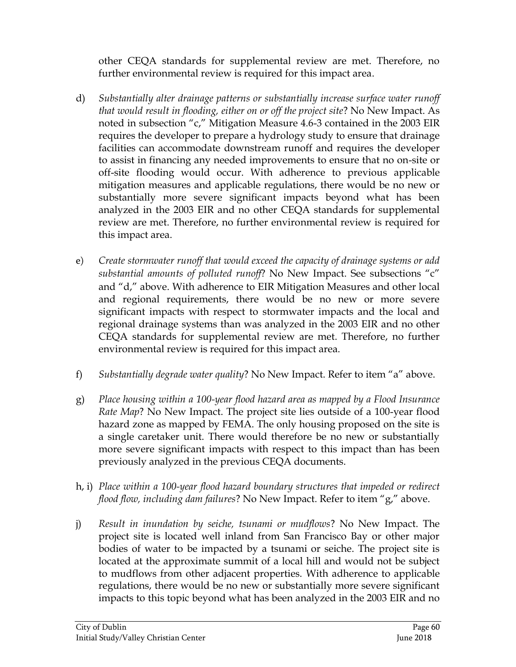other CEQA standards for supplemental review are met. Therefore, no further environmental review is required for this impact area.

- d) *Substantially alter drainage patterns or substantially increase surface water runoff that would result in flooding, either on or off the project site*? No New Impact. As noted in subsection "c," Mitigation Measure 4.6-3 contained in the 2003 EIR requires the developer to prepare a hydrology study to ensure that drainage facilities can accommodate downstream runoff and requires the developer to assist in financing any needed improvements to ensure that no on-site or off-site flooding would occur. With adherence to previous applicable mitigation measures and applicable regulations, there would be no new or substantially more severe significant impacts beyond what has been analyzed in the 2003 EIR and no other CEQA standards for supplemental review are met. Therefore, no further environmental review is required for this impact area.
- e) *Create stormwater runoff that would exceed the capacity of drainage systems or add substantial amounts of polluted runoff*? No New Impact. See subsections "c" and "d," above. With adherence to EIR Mitigation Measures and other local and regional requirements, there would be no new or more severe significant impacts with respect to stormwater impacts and the local and regional drainage systems than was analyzed in the 2003 EIR and no other CEQA standards for supplemental review are met. Therefore, no further environmental review is required for this impact area.
- f) *Substantially degrade water quality*? No New Impact. Refer to item "a" above.
- g) *Place housing within a 100-year flood hazard area as mapped by a Flood Insurance Rate Map*? No New Impact. The project site lies outside of a 100-year flood hazard zone as mapped by FEMA. The only housing proposed on the site is a single caretaker unit. There would therefore be no new or substantially more severe significant impacts with respect to this impact than has been previously analyzed in the previous CEQA documents.
- h, i) *Place within a 100-year flood hazard boundary structures that impeded or redirect flood flow, including dam failures*? No New Impact. Refer to item "g," above.
- j) *Result in inundation by seiche, tsunami or mudflows*? No New Impact. The project site is located well inland from San Francisco Bay or other major bodies of water to be impacted by a tsunami or seiche. The project site is located at the approximate summit of a local hill and would not be subject to mudflows from other adjacent properties. With adherence to applicable regulations, there would be no new or substantially more severe significant impacts to this topic beyond what has been analyzed in the 2003 EIR and no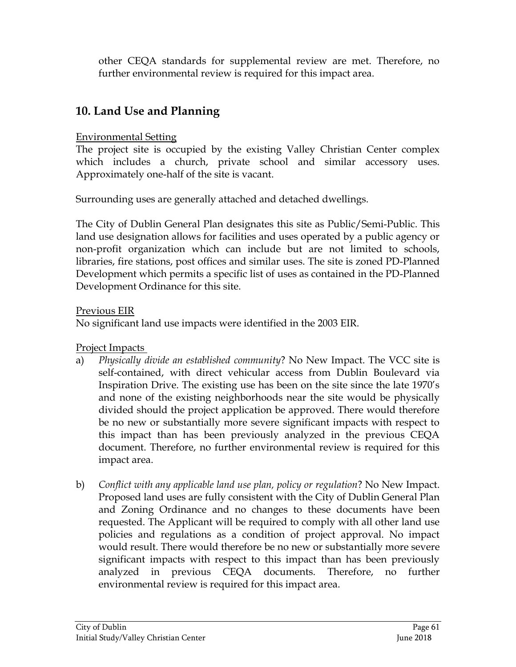other CEQA standards for supplemental review are met. Therefore, no further environmental review is required for this impact area.

# **10. Land Use and Planning**

### Environmental Setting

The project site is occupied by the existing Valley Christian Center complex which includes a church, private school and similar accessory uses. Approximately one-half of the site is vacant.

Surrounding uses are generally attached and detached dwellings.

The City of Dublin General Plan designates this site as Public/Semi-Public. This land use designation allows for facilities and uses operated by a public agency or non-profit organization which can include but are not limited to schools, libraries, fire stations, post offices and similar uses. The site is zoned PD-Planned Development which permits a specific list of uses as contained in the PD-Planned Development Ordinance for this site.

Previous EIR

No significant land use impacts were identified in the 2003 EIR.

Project Impacts

- a) *Physically divide an established community*? No New Impact. The VCC site is self-contained, with direct vehicular access from Dublin Boulevard via Inspiration Drive. The existing use has been on the site since the late 1970's and none of the existing neighborhoods near the site would be physically divided should the project application be approved. There would therefore be no new or substantially more severe significant impacts with respect to this impact than has been previously analyzed in the previous CEQA document. Therefore, no further environmental review is required for this impact area.
- b) *Conflict with any applicable land use plan, policy or regulation*? No New Impact. Proposed land uses are fully consistent with the City of Dublin General Plan and Zoning Ordinance and no changes to these documents have been requested. The Applicant will be required to comply with all other land use policies and regulations as a condition of project approval. No impact would result. There would therefore be no new or substantially more severe significant impacts with respect to this impact than has been previously analyzed in previous CEQA documents. Therefore, no further environmental review is required for this impact area.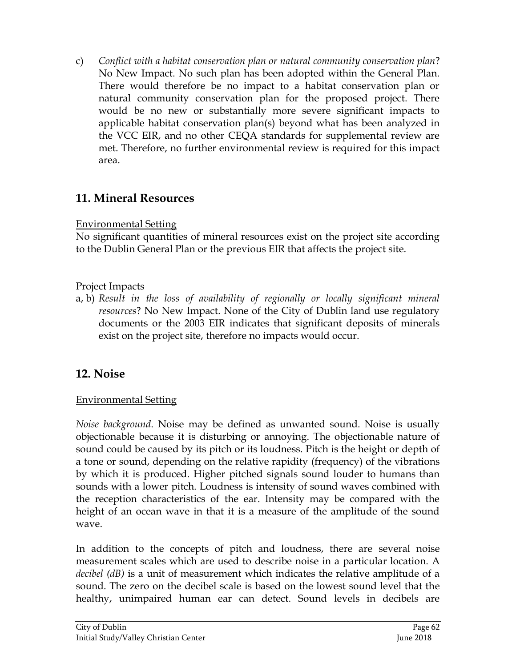c) *Conflict with a habitat conservation plan or natural community conservation plan*? No New Impact. No such plan has been adopted within the General Plan. There would therefore be no impact to a habitat conservation plan or natural community conservation plan for the proposed project. There would be no new or substantially more severe significant impacts to applicable habitat conservation plan(s) beyond what has been analyzed in the VCC EIR, and no other CEQA standards for supplemental review are met. Therefore, no further environmental review is required for this impact area.

# **11. Mineral Resources**

## Environmental Setting

No significant quantities of mineral resources exist on the project site according to the Dublin General Plan or the previous EIR that affects the project site.

## Project Impacts

a, b) *Result in the loss of availability of regionally or locally significant mineral resources*? No New Impact. None of the City of Dublin land use regulatory documents or the 2003 EIR indicates that significant deposits of minerals exist on the project site, therefore no impacts would occur.

# **12. Noise**

## Environmental Setting

*Noise background*. Noise may be defined as unwanted sound. Noise is usually objectionable because it is disturbing or annoying. The objectionable nature of sound could be caused by its pitch or its loudness. Pitch is the height or depth of a tone or sound, depending on the relative rapidity (frequency) of the vibrations by which it is produced. Higher pitched signals sound louder to humans than sounds with a lower pitch. Loudness is intensity of sound waves combined with the reception characteristics of the ear. Intensity may be compared with the height of an ocean wave in that it is a measure of the amplitude of the sound wave.

In addition to the concepts of pitch and loudness, there are several noise measurement scales which are used to describe noise in a particular location. A *decibel (dB)* is a unit of measurement which indicates the relative amplitude of a sound. The zero on the decibel scale is based on the lowest sound level that the healthy, unimpaired human ear can detect. Sound levels in decibels are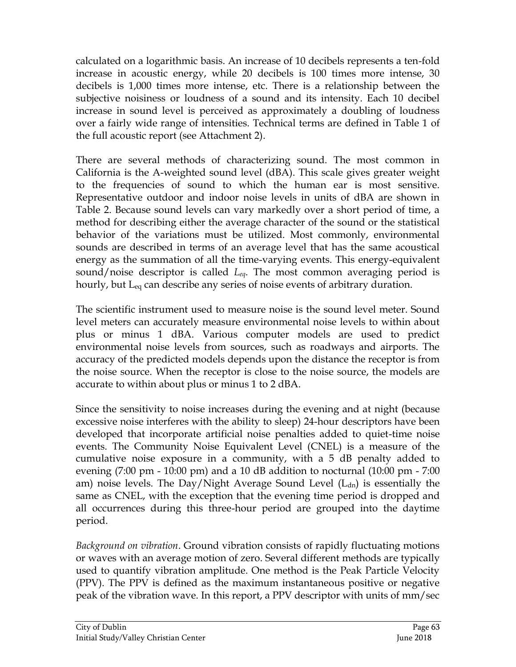calculated on a logarithmic basis. An increase of 10 decibels represents a ten-fold increase in acoustic energy, while 20 decibels is 100 times more intense, 30 decibels is 1,000 times more intense, etc. There is a relationship between the subjective noisiness or loudness of a sound and its intensity. Each 10 decibel increase in sound level is perceived as approximately a doubling of loudness over a fairly wide range of intensities. Technical terms are defined in Table 1 of the full acoustic report (see Attachment 2).

There are several methods of characterizing sound. The most common in California is the A-weighted sound level (dBA). This scale gives greater weight to the frequencies of sound to which the human ear is most sensitive. Representative outdoor and indoor noise levels in units of dBA are shown in Table 2. Because sound levels can vary markedly over a short period of time, a method for describing either the average character of the sound or the statistical behavior of the variations must be utilized. Most commonly, environmental sounds are described in terms of an average level that has the same acoustical energy as the summation of all the time-varying events. This energy-equivalent sound/noise descriptor is called *Leq*. The most common averaging period is hourly, but Leq can describe any series of noise events of arbitrary duration.

The scientific instrument used to measure noise is the sound level meter. Sound level meters can accurately measure environmental noise levels to within about plus or minus 1 dBA. Various computer models are used to predict environmental noise levels from sources, such as roadways and airports. The accuracy of the predicted models depends upon the distance the receptor is from the noise source. When the receptor is close to the noise source, the models are accurate to within about plus or minus 1 to 2 dBA.

Since the sensitivity to noise increases during the evening and at night (because excessive noise interferes with the ability to sleep) 24-hour descriptors have been developed that incorporate artificial noise penalties added to quiet-time noise events. The Community Noise Equivalent Level (CNEL) is a measure of the cumulative noise exposure in a community, with a 5 dB penalty added to evening (7:00 pm - 10:00 pm) and a 10 dB addition to nocturnal (10:00 pm - 7:00 am) noise levels. The Day/Night Average Sound Level  $(L<sub>dn</sub>)$  is essentially the same as CNEL, with the exception that the evening time period is dropped and all occurrences during this three-hour period are grouped into the daytime period.

*Background on vibration*. Ground vibration consists of rapidly fluctuating motions or waves with an average motion of zero. Several different methods are typically used to quantify vibration amplitude. One method is the Peak Particle Velocity (PPV). The PPV is defined as the maximum instantaneous positive or negative peak of the vibration wave. In this report, a PPV descriptor with units of mm/sec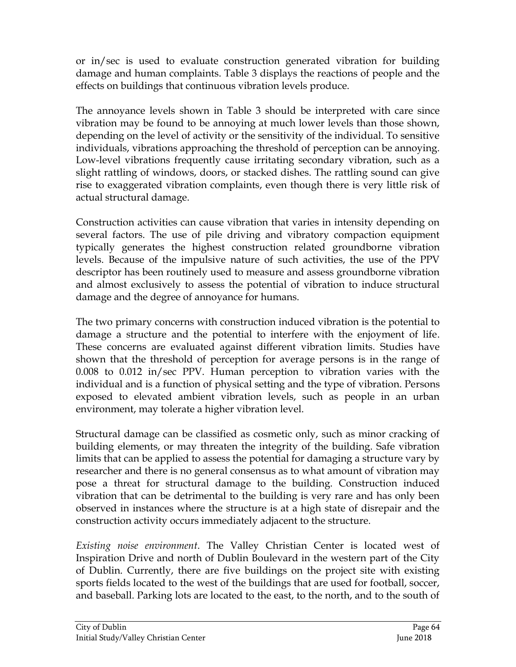or in/sec is used to evaluate construction generated vibration for building damage and human complaints. Table 3 displays the reactions of people and the effects on buildings that continuous vibration levels produce.

The annoyance levels shown in Table 3 should be interpreted with care since vibration may be found to be annoying at much lower levels than those shown, depending on the level of activity or the sensitivity of the individual. To sensitive individuals, vibrations approaching the threshold of perception can be annoying. Low-level vibrations frequently cause irritating secondary vibration, such as a slight rattling of windows, doors, or stacked dishes. The rattling sound can give rise to exaggerated vibration complaints, even though there is very little risk of actual structural damage.

Construction activities can cause vibration that varies in intensity depending on several factors. The use of pile driving and vibratory compaction equipment typically generates the highest construction related groundborne vibration levels. Because of the impulsive nature of such activities, the use of the PPV descriptor has been routinely used to measure and assess groundborne vibration and almost exclusively to assess the potential of vibration to induce structural damage and the degree of annoyance for humans.

The two primary concerns with construction induced vibration is the potential to damage a structure and the potential to interfere with the enjoyment of life. These concerns are evaluated against different vibration limits. Studies have shown that the threshold of perception for average persons is in the range of 0.008 to 0.012 in/sec PPV. Human perception to vibration varies with the individual and is a function of physical setting and the type of vibration. Persons exposed to elevated ambient vibration levels, such as people in an urban environment, may tolerate a higher vibration level.

Structural damage can be classified as cosmetic only, such as minor cracking of building elements, or may threaten the integrity of the building. Safe vibration limits that can be applied to assess the potential for damaging a structure vary by researcher and there is no general consensus as to what amount of vibration may pose a threat for structural damage to the building. Construction induced vibration that can be detrimental to the building is very rare and has only been observed in instances where the structure is at a high state of disrepair and the construction activity occurs immediately adjacent to the structure.

*Existing noise environment*. The Valley Christian Center is located west of Inspiration Drive and north of Dublin Boulevard in the western part of the City of Dublin. Currently, there are five buildings on the project site with existing sports fields located to the west of the buildings that are used for football, soccer, and baseball. Parking lots are located to the east, to the north, and to the south of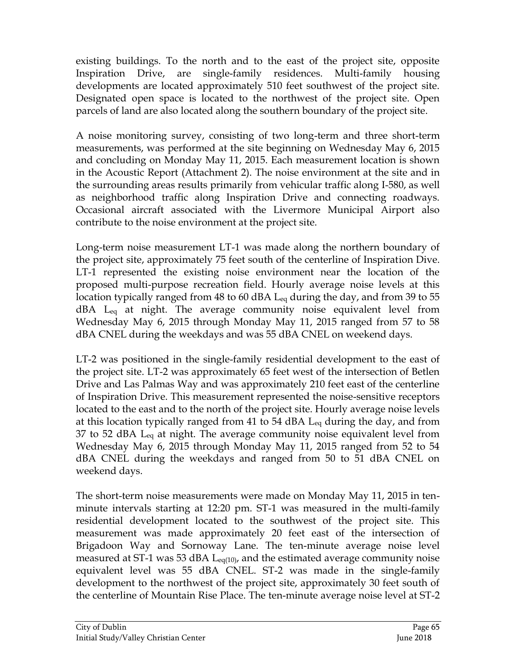existing buildings. To the north and to the east of the project site, opposite Inspiration Drive, are single-family residences. Multi-family housing developments are located approximately 510 feet southwest of the project site. Designated open space is located to the northwest of the project site. Open parcels of land are also located along the southern boundary of the project site.

A noise monitoring survey, consisting of two long-term and three short-term measurements, was performed at the site beginning on Wednesday May 6, 2015 and concluding on Monday May 11, 2015. Each measurement location is shown in the Acoustic Report (Attachment 2). The noise environment at the site and in the surrounding areas results primarily from vehicular traffic along I-580, as well as neighborhood traffic along Inspiration Drive and connecting roadways. Occasional aircraft associated with the Livermore Municipal Airport also contribute to the noise environment at the project site.

Long-term noise measurement LT-1 was made along the northern boundary of the project site, approximately 75 feet south of the centerline of Inspiration Dive. LT-1 represented the existing noise environment near the location of the proposed multi-purpose recreation field. Hourly average noise levels at this location typically ranged from 48 to 60 dBA L<sub>eq</sub> during the day, and from 39 to 55 dBA Leq at night. The average community noise equivalent level from Wednesday May 6, 2015 through Monday May 11, 2015 ranged from 57 to 58 dBA CNEL during the weekdays and was 55 dBA CNEL on weekend days.

LT-2 was positioned in the single-family residential development to the east of the project site. LT-2 was approximately 65 feet west of the intersection of Betlen Drive and Las Palmas Way and was approximately 210 feet east of the centerline of Inspiration Drive. This measurement represented the noise-sensitive receptors located to the east and to the north of the project site. Hourly average noise levels at this location typically ranged from 41 to 54 dBA Leq during the day, and from 37 to 52 dBA  $L_{eq}$  at night. The average community noise equivalent level from Wednesday May 6, 2015 through Monday May 11, 2015 ranged from 52 to 54 dBA CNEL during the weekdays and ranged from 50 to 51 dBA CNEL on weekend days.

The short-term noise measurements were made on Monday May 11, 2015 in tenminute intervals starting at 12:20 pm. ST-1 was measured in the multi-family residential development located to the southwest of the project site. This measurement was made approximately 20 feet east of the intersection of Brigadoon Way and Sornoway Lane. The ten-minute average noise level measured at ST-1 was 53 dBA  $L_{eq(10)}$ , and the estimated average community noise equivalent level was 55 dBA CNEL. ST-2 was made in the single-family development to the northwest of the project site, approximately 30 feet south of the centerline of Mountain Rise Place. The ten-minute average noise level at ST-2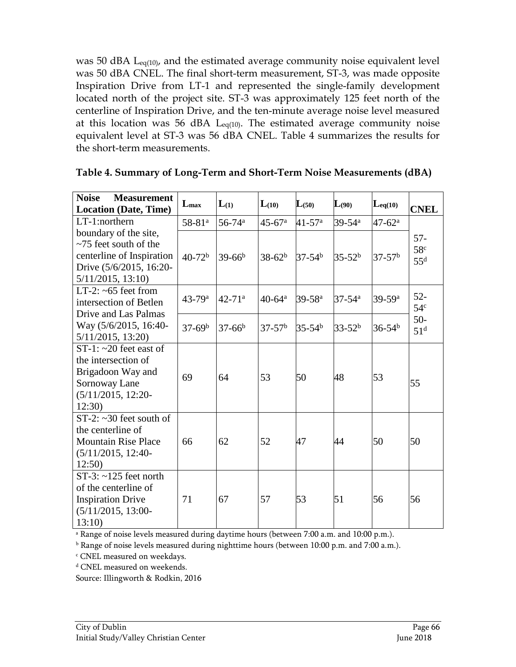was 50 dBA L<sub>eq(10)</sub>, and the estimated average community noise equivalent level was 50 dBA CNEL. The final short-term measurement, ST-3, was made opposite Inspiration Drive from LT-1 and represented the single-family development located north of the project site. ST-3 was approximately 125 feet north of the centerline of Inspiration Drive, and the ten-minute average noise level measured at this location was 56 dBA  $L_{eq(10)}$ . The estimated average community noise equivalent level at ST-3 was 56 dBA CNEL. Table 4 summarizes the results for the short-term measurements.

| <b>Noise</b><br><b>Measurement</b><br><b>Location (Date, Time)</b>                                                                   | $L_{\rm max}$          | L(1)                   | $L_{(10)}$             | $L_{(50)}$             | $L_{(90)}$             | $\mathbf{L}_{eq(10)}$  | <b>CNEL</b>                         |
|--------------------------------------------------------------------------------------------------------------------------------------|------------------------|------------------------|------------------------|------------------------|------------------------|------------------------|-------------------------------------|
| LT-1:northern                                                                                                                        | $58 - 81$ <sup>a</sup> | $56 - 74$ <sup>a</sup> | $45 - 67$ <sup>a</sup> | $41 - 57$ <sup>a</sup> | $39 - 54$ <sup>a</sup> | $47 - 62^{\rm a}$      |                                     |
| boundary of the site,<br>$\sim$ 75 feet south of the<br>centerline of Inspiration<br>Drive (5/6/2015, 16:20-<br>$5/11/2015$ , 13:10) | $40-72b$               | $39-66^b$              | $38-62^b$              | $37-54^b$              | $35-52b$               | $37-57b$               | $57 -$<br>58 <sup>c</sup><br>$55^d$ |
| LT-2: $~65$ feet from<br>intersection of Betlen<br>Drive and Las Palmas                                                              | $43 - 79$ <sup>a</sup> | $42 - 71$ <sup>a</sup> | $40-64^a$              | $39 - 58$ <sup>a</sup> | $37 - 54$ <sup>a</sup> | $39 - 59$ <sup>a</sup> | $52 -$<br>54 <sup>c</sup>           |
| Way (5/6/2015, 16:40-<br>$5/11/2015$ , 13:20)                                                                                        | $37-69^b$              | $37-66^b$              | $37-57^{\rm b}$        | $35 - 54^b$            | $33 - 52^b$            | $36 - 54^b$            | $50-$<br>51 <sup>d</sup>            |
| $ST-1: \sim 20$ feet east of<br>the intersection of<br>Brigadoon Way and<br>Sornoway Lane<br>$(5/11/2015, 12:20-$<br>12:30)          | 69                     | 64                     | 53                     | 50                     | 48                     | 53                     | 55                                  |
| $ST-2$ : ~30 feet south of<br>the centerline of<br><b>Mountain Rise Place</b><br>$(5/11/2015, 12:40-$<br>12:50                       | 66                     | 62                     | 52                     | 47                     | 44                     | 50                     | 50                                  |
| $ST-3$ : ~125 feet north<br>of the centerline of<br><b>Inspiration Drive</b><br>$(5/11/2015, 13:00-$<br>13:10                        | 71                     | 67                     | 57                     | 53                     | 51                     | 56                     | 56                                  |

|  | Table 4. Summary of Long-Term and Short-Term Noise Measurements (dBA) |  |
|--|-----------------------------------------------------------------------|--|
|  |                                                                       |  |

<sup>a</sup> Range of noise levels measured during daytime hours (between 7:00 a.m. and 10:00 p.m.).

 $b$  Range of noise levels measured during nighttime hours (between 10:00 p.m. and 7:00 a.m.).

<sup>c</sup> CNEL measured on weekdays.

<sup>d</sup> CNEL measured on weekends.

Source: Illingworth & Rodkin, 2016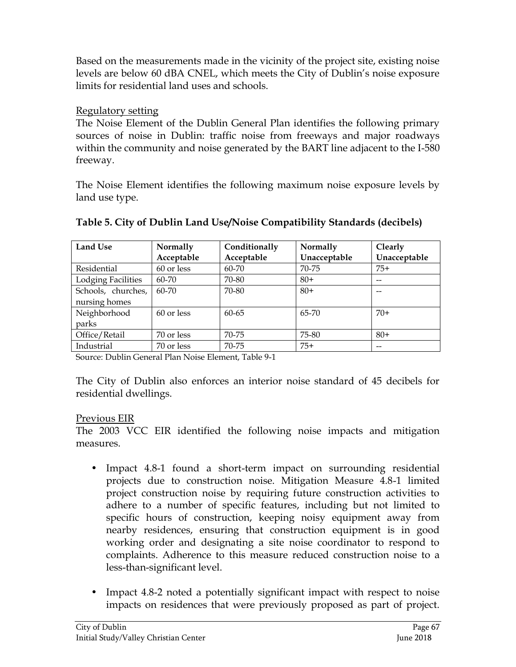Based on the measurements made in the vicinity of the project site, existing noise levels are below 60 dBA CNEL, which meets the City of Dublin's noise exposure limits for residential land uses and schools.

#### Regulatory setting

The Noise Element of the Dublin General Plan identifies the following primary sources of noise in Dublin: traffic noise from freeways and major roadways within the community and noise generated by the BART line adjacent to the I-580 freeway.

The Noise Element identifies the following maximum noise exposure levels by land use type.

| <b>Land Use</b>           | Normally   | Conditionally | Normally     | Clearly      |
|---------------------------|------------|---------------|--------------|--------------|
|                           | Acceptable | Acceptable    | Unacceptable | Unacceptable |
| Residential               | 60 or less | 60-70         | 70-75        | $75+$        |
| <b>Lodging Facilities</b> | $60 - 70$  | 70-80         | $80+$        | $- -$        |
| Schools, churches,        | $60 - 70$  | 70-80         | $80+$        | --           |
| nursing homes             |            |               |              |              |
| Neighborhood              | 60 or less | $60 - 65$     | 65-70        | $70+$        |
| parks                     |            |               |              |              |
| Office/Retail             | 70 or less | 70-75         | 75-80        | $80+$        |
| Industrial                | 70 or less | 70-75         | $75+$        | --           |

#### **Table 5. City of Dublin Land Use/Noise Compatibility Standards (decibels)**

Source: Dublin General Plan Noise Element, Table 9-1

The City of Dublin also enforces an interior noise standard of 45 decibels for residential dwellings.

### Previous EIR

The 2003 VCC EIR identified the following noise impacts and mitigation measures.

- Impact 4.8-1 found a short-term impact on surrounding residential projects due to construction noise. Mitigation Measure 4.8-1 limited project construction noise by requiring future construction activities to adhere to a number of specific features, including but not limited to specific hours of construction, keeping noisy equipment away from nearby residences, ensuring that construction equipment is in good working order and designating a site noise coordinator to respond to complaints. Adherence to this measure reduced construction noise to a less-than-significant level.
- Impact 4.8-2 noted a potentially significant impact with respect to noise impacts on residences that were previously proposed as part of project.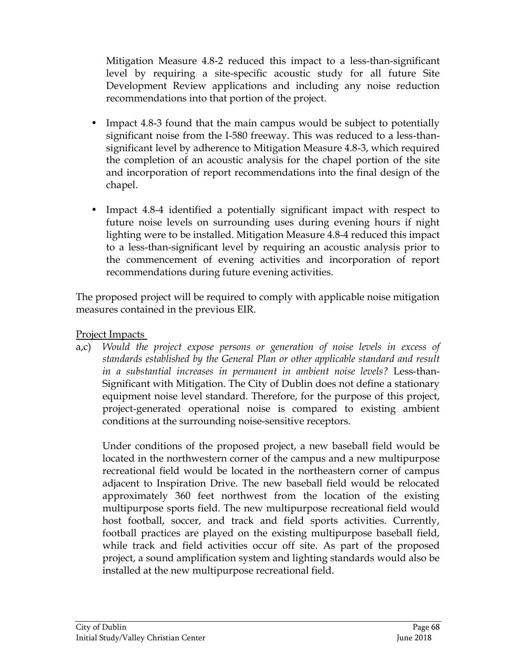Mitigation Measure 4.8-2 reduced this impact to a less-than-significant level by requiring a site-specific acoustic study for all future Site Development Review applications and including any noise reduction recommendations into that portion of the project.

- Impact 4.8-3 found that the main campus would be subject to potentially significant noise from the I-580 freeway. This was reduced to a less-thansignificant level by adherence to Mitigation Measure 4.8-3, which required the completion of an acoustic analysis for the chapel portion of the site and incorporation of report recommendations into the final design of the chapel.
- Impact 4.8-4 identified a potentially significant impact with respect to future noise levels on surrounding uses during evening hours if night lighting were to be installed. Mitigation Measure 4.8-4 reduced this impact to a less-than-significant level by requiring an acoustic analysis prior to the commencement of evening activities and incorporation of report recommendations during future evening activities.

The proposed project will be required to comply with applicable noise mitigation measures contained in the previous EIR.

Project Impacts

a,c) *Would the project expose persons or generation of noise levels in excess of standards established by the General Plan or other applicable standard and result in a substantial increases in permanent in ambient noise levels?* Less-than-Significant with Mitigation. The City of Dublin does not define a stationary equipment noise level standard. Therefore, for the purpose of this project, project-generated operational noise is compared to existing ambient conditions at the surrounding noise-sensitive receptors.

Under conditions of the proposed project, a new baseball field would be located in the northwestern corner of the campus and a new multipurpose recreational field would be located in the northeastern corner of campus adjacent to Inspiration Drive. The new baseball field would be relocated approximately 360 feet northwest from the location of the existing multipurpose sports field. The new multipurpose recreational field would host football, soccer, and track and field sports activities. Currently, football practices are played on the existing multipurpose baseball field, while track and field activities occur off site. As part of the proposed project, a sound amplification system and lighting standards would also be installed at the new multipurpose recreational field.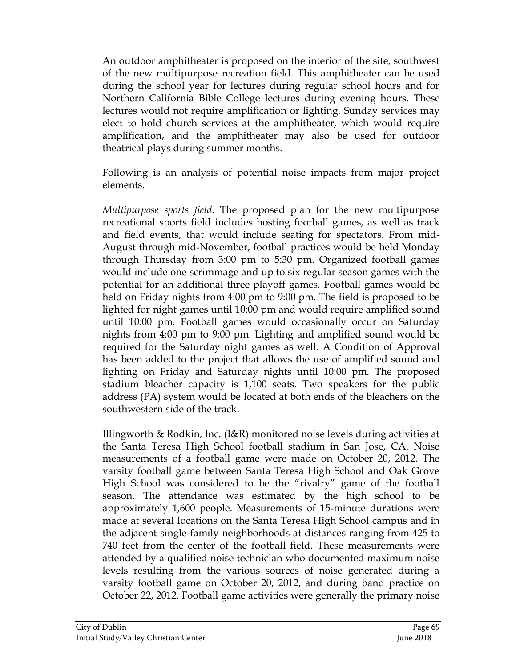An outdoor amphitheater is proposed on the interior of the site, southwest of the new multipurpose recreation field. This amphitheater can be used during the school year for lectures during regular school hours and for Northern California Bible College lectures during evening hours. These lectures would not require amplification or lighting. Sunday services may elect to hold church services at the amphitheater, which would require amplification, and the amphitheater may also be used for outdoor theatrical plays during summer months.

Following is an analysis of potential noise impacts from major project elements.

*Multipurpose sports field*. The proposed plan for the new multipurpose recreational sports field includes hosting football games, as well as track and field events, that would include seating for spectators. From mid-August through mid-November, football practices would be held Monday through Thursday from 3:00 pm to 5:30 pm. Organized football games would include one scrimmage and up to six regular season games with the potential for an additional three playoff games. Football games would be held on Friday nights from 4:00 pm to 9:00 pm. The field is proposed to be lighted for night games until 10:00 pm and would require amplified sound until 10:00 pm. Football games would occasionally occur on Saturday nights from 4:00 pm to 9:00 pm. Lighting and amplified sound would be required for the Saturday night games as well. A Condition of Approval has been added to the project that allows the use of amplified sound and lighting on Friday and Saturday nights until 10:00 pm. The proposed stadium bleacher capacity is 1,100 seats. Two speakers for the public address (PA) system would be located at both ends of the bleachers on the southwestern side of the track.

Illingworth & Rodkin, Inc. (I&R) monitored noise levels during activities at the Santa Teresa High School football stadium in San Jose, CA. Noise measurements of a football game were made on October 20, 2012. The varsity football game between Santa Teresa High School and Oak Grove High School was considered to be the "rivalry" game of the football season. The attendance was estimated by the high school to be approximately 1,600 people. Measurements of 15-minute durations were made at several locations on the Santa Teresa High School campus and in the adjacent single-family neighborhoods at distances ranging from 425 to 740 feet from the center of the football field. These measurements were attended by a qualified noise technician who documented maximum noise levels resulting from the various sources of noise generated during a varsity football game on October 20, 2012, and during band practice on October 22, 2012. Football game activities were generally the primary noise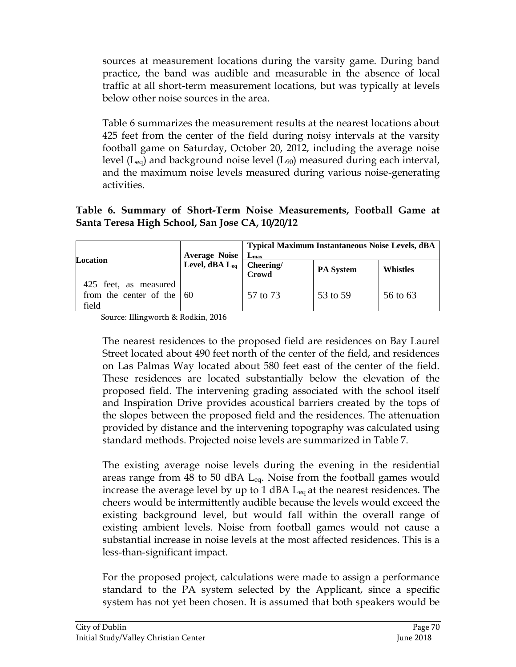sources at measurement locations during the varsity game. During band practice, the band was audible and measurable in the absence of local traffic at all short-term measurement locations, but was typically at levels below other noise sources in the area.

Table 6 summarizes the measurement results at the nearest locations about 425 feet from the center of the field during noisy intervals at the varsity football game on Saturday, October 20, 2012, including the average noise level ( $L_{eq}$ ) and background noise level ( $L_{90}$ ) measured during each interval, and the maximum noise levels measured during various noise-generating activities.

**Table 6. Summary of Short-Term Noise Measurements, Football Game at Santa Teresa High School, San Jose CA, 10/20/12**

| <b>Location</b>                                                     | Average Noise L <sub>max</sub> | <b>Typical Maximum Instantaneous Noise Levels, dBA</b> |                  |                 |  |
|---------------------------------------------------------------------|--------------------------------|--------------------------------------------------------|------------------|-----------------|--|
|                                                                     | Level, dBA $L_{eq}$ Cheering/  | Crowd                                                  | <b>PA</b> System | <b>Whistles</b> |  |
| 425 feet, as measured<br>from the center of the $\vert$ 60<br>field |                                | 57 to 73                                               | 53 to 59         | 56 to 63        |  |

Source: Illingworth & Rodkin, 2016

The nearest residences to the proposed field are residences on Bay Laurel Street located about 490 feet north of the center of the field, and residences on Las Palmas Way located about 580 feet east of the center of the field. These residences are located substantially below the elevation of the proposed field. The intervening grading associated with the school itself and Inspiration Drive provides acoustical barriers created by the tops of the slopes between the proposed field and the residences. The attenuation provided by distance and the intervening topography was calculated using standard methods. Projected noise levels are summarized in Table 7.

The existing average noise levels during the evening in the residential areas range from 48 to 50 dBA Leq. Noise from the football games would increase the average level by up to 1 dBA  $L_{eq}$  at the nearest residences. The cheers would be intermittently audible because the levels would exceed the existing background level, but would fall within the overall range of existing ambient levels. Noise from football games would not cause a substantial increase in noise levels at the most affected residences. This is a less-than-significant impact.

For the proposed project, calculations were made to assign a performance standard to the PA system selected by the Applicant, since a specific system has not yet been chosen. It is assumed that both speakers would be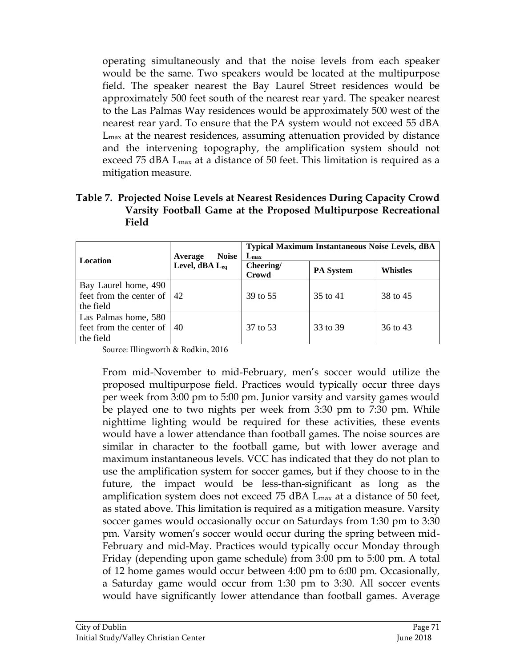operating simultaneously and that the noise levels from each speaker would be the same. Two speakers would be located at the multipurpose field. The speaker nearest the Bay Laurel Street residences would be approximately 500 feet south of the nearest rear yard. The speaker nearest to the Las Palmas Way residences would be approximately 500 west of the nearest rear yard. To ensure that the PA system would not exceed 55 dBA Lmax at the nearest residences, assuming attenuation provided by distance and the intervening topography, the amplification system should not exceed 75 dBA Lmax at a distance of 50 feet. This limitation is required as a mitigation measure.

| Table 7. Projected Noise Levels at Nearest Residences During Capacity Crowd |
|-----------------------------------------------------------------------------|
| Varsity Football Game at the Proposed Multipurpose Recreational             |
| Field                                                                       |

| Location                                                           | <b>Noise</b><br>Average<br>Level, dBA Leq | <b>Typical Maximum Instantaneous Noise Levels, dBA</b><br>$L_{\rm max}$ |                  |                 |  |
|--------------------------------------------------------------------|-------------------------------------------|-------------------------------------------------------------------------|------------------|-----------------|--|
|                                                                    |                                           | Cheering/<br>Crowd                                                      | <b>PA</b> System | <b>Whistles</b> |  |
| Bay Laurel home, 490<br>feet from the center of $ 42$<br>the field |                                           | 39 to 55                                                                | 35 to 41         | 38 to 45        |  |
| Las Palmas home, 580<br>feet from the center of  <br>the field     | 40                                        | 37 to 53                                                                | 33 to 39         | 36 to 43        |  |

Source: Illingworth & Rodkin, 2016

From mid-November to mid-February, men's soccer would utilize the proposed multipurpose field. Practices would typically occur three days per week from 3:00 pm to 5:00 pm. Junior varsity and varsity games would be played one to two nights per week from 3:30 pm to 7:30 pm. While nighttime lighting would be required for these activities, these events would have a lower attendance than football games. The noise sources are similar in character to the football game, but with lower average and maximum instantaneous levels. VCC has indicated that they do not plan to use the amplification system for soccer games, but if they choose to in the future, the impact would be less-than-significant as long as the amplification system does not exceed 75 dBA L<sub>max</sub> at a distance of 50 feet, as stated above. This limitation is required as a mitigation measure. Varsity soccer games would occasionally occur on Saturdays from 1:30 pm to 3:30 pm. Varsity women's soccer would occur during the spring between mid-February and mid-May. Practices would typically occur Monday through Friday (depending upon game schedule) from 3:00 pm to 5:00 pm. A total of 12 home games would occur between 4:00 pm to 6:00 pm. Occasionally, a Saturday game would occur from 1:30 pm to 3:30. All soccer events would have significantly lower attendance than football games. Average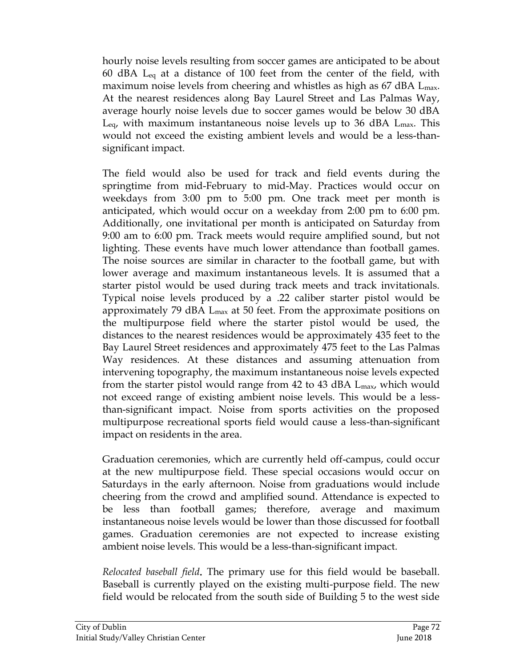hourly noise levels resulting from soccer games are anticipated to be about 60 dBA Leq at a distance of 100 feet from the center of the field, with maximum noise levels from cheering and whistles as high as  $67 \text{ dBA L}_{\text{max}}$ . At the nearest residences along Bay Laurel Street and Las Palmas Way, average hourly noise levels due to soccer games would be below 30 dBA  $L_{eq}$ , with maximum instantaneous noise levels up to 36 dBA  $L_{max}$ . This would not exceed the existing ambient levels and would be a less-thansignificant impact.

The field would also be used for track and field events during the springtime from mid-February to mid-May. Practices would occur on weekdays from 3:00 pm to 5:00 pm. One track meet per month is anticipated, which would occur on a weekday from 2:00 pm to 6:00 pm. Additionally, one invitational per month is anticipated on Saturday from 9:00 am to 6:00 pm. Track meets would require amplified sound, but not lighting. These events have much lower attendance than football games. The noise sources are similar in character to the football game, but with lower average and maximum instantaneous levels. It is assumed that a starter pistol would be used during track meets and track invitationals. Typical noise levels produced by a .22 caliber starter pistol would be approximately 79 dBA Lmax at 50 feet. From the approximate positions on the multipurpose field where the starter pistol would be used, the distances to the nearest residences would be approximately 435 feet to the Bay Laurel Street residences and approximately 475 feet to the Las Palmas Way residences. At these distances and assuming attenuation from intervening topography, the maximum instantaneous noise levels expected from the starter pistol would range from 42 to 43 dBA  $L_{\text{max}}$ , which would not exceed range of existing ambient noise levels. This would be a lessthan-significant impact. Noise from sports activities on the proposed multipurpose recreational sports field would cause a less-than-significant impact on residents in the area.

Graduation ceremonies, which are currently held off-campus, could occur at the new multipurpose field. These special occasions would occur on Saturdays in the early afternoon. Noise from graduations would include cheering from the crowd and amplified sound. Attendance is expected to be less than football games; therefore, average and maximum instantaneous noise levels would be lower than those discussed for football games. Graduation ceremonies are not expected to increase existing ambient noise levels. This would be a less-than-significant impact.

*Relocated baseball field*. The primary use for this field would be baseball. Baseball is currently played on the existing multi-purpose field. The new field would be relocated from the south side of Building 5 to the west side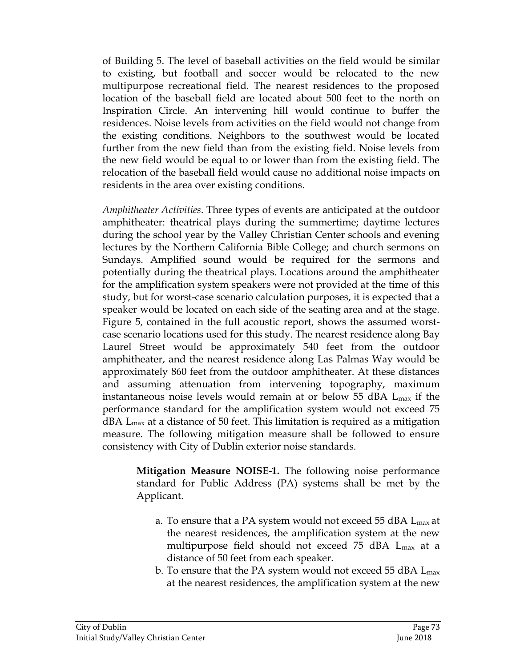of Building 5. The level of baseball activities on the field would be similar to existing, but football and soccer would be relocated to the new multipurpose recreational field. The nearest residences to the proposed location of the baseball field are located about 500 feet to the north on Inspiration Circle. An intervening hill would continue to buffer the residences. Noise levels from activities on the field would not change from the existing conditions. Neighbors to the southwest would be located further from the new field than from the existing field. Noise levels from the new field would be equal to or lower than from the existing field. The relocation of the baseball field would cause no additional noise impacts on residents in the area over existing conditions.

*Amphitheater Activities*. Three types of events are anticipated at the outdoor amphitheater: theatrical plays during the summertime; daytime lectures during the school year by the Valley Christian Center schools and evening lectures by the Northern California Bible College; and church sermons on Sundays. Amplified sound would be required for the sermons and potentially during the theatrical plays. Locations around the amphitheater for the amplification system speakers were not provided at the time of this study, but for worst-case scenario calculation purposes, it is expected that a speaker would be located on each side of the seating area and at the stage. Figure 5, contained in the full acoustic report, shows the assumed worstcase scenario locations used for this study. The nearest residence along Bay Laurel Street would be approximately 540 feet from the outdoor amphitheater, and the nearest residence along Las Palmas Way would be approximately 860 feet from the outdoor amphitheater. At these distances and assuming attenuation from intervening topography, maximum instantaneous noise levels would remain at or below 55 dBA  $L_{\text{max}}$  if the performance standard for the amplification system would not exceed 75 dBA Lmax at a distance of 50 feet. This limitation is required as a mitigation measure. The following mitigation measure shall be followed to ensure consistency with City of Dublin exterior noise standards.

**Mitigation Measure NOISE-1.** The following noise performance standard for Public Address (PA) systems shall be met by the Applicant.

- a. To ensure that a PA system would not exceed 55 dBA Lmax at the nearest residences, the amplification system at the new multipurpose field should not exceed 75 dBA Lmax at a distance of 50 feet from each speaker.
- b. To ensure that the PA system would not exceed 55 dBA  $L_{\text{max}}$ at the nearest residences, the amplification system at the new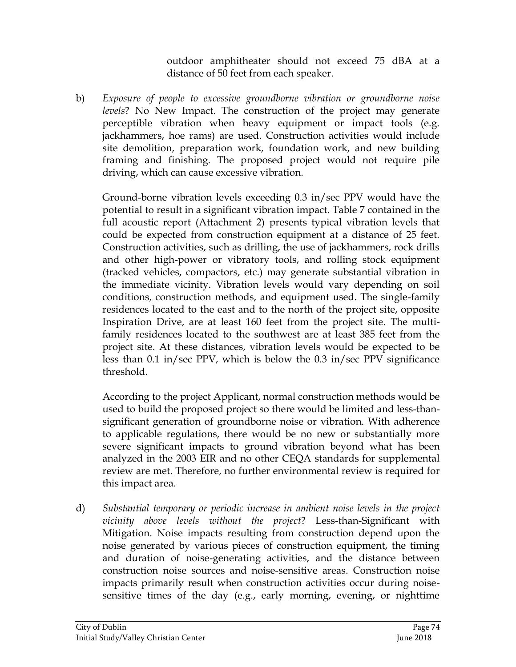outdoor amphitheater should not exceed 75 dBA at a distance of 50 feet from each speaker.

b) *Exposure of people to excessive groundborne vibration or groundborne noise levels*? No New Impact. The construction of the project may generate perceptible vibration when heavy equipment or impact tools (e.g. jackhammers, hoe rams) are used. Construction activities would include site demolition, preparation work, foundation work, and new building framing and finishing. The proposed project would not require pile driving, which can cause excessive vibration.

Ground-borne vibration levels exceeding 0.3 in/sec PPV would have the potential to result in a significant vibration impact. Table 7 contained in the full acoustic report (Attachment 2) presents typical vibration levels that could be expected from construction equipment at a distance of 25 feet. Construction activities, such as drilling, the use of jackhammers, rock drills and other high-power or vibratory tools, and rolling stock equipment (tracked vehicles, compactors, etc.) may generate substantial vibration in the immediate vicinity. Vibration levels would vary depending on soil conditions, construction methods, and equipment used. The single-family residences located to the east and to the north of the project site, opposite Inspiration Drive, are at least 160 feet from the project site. The multifamily residences located to the southwest are at least 385 feet from the project site. At these distances, vibration levels would be expected to be less than 0.1 in/sec PPV, which is below the 0.3 in/sec PPV significance threshold.

According to the project Applicant, normal construction methods would be used to build the proposed project so there would be limited and less-thansignificant generation of groundborne noise or vibration. With adherence to applicable regulations, there would be no new or substantially more severe significant impacts to ground vibration beyond what has been analyzed in the 2003 EIR and no other CEQA standards for supplemental review are met. Therefore, no further environmental review is required for this impact area.

d) *Substantial temporary or periodic increase in ambient noise levels in the project vicinity above levels without the project*? Less-than-Significant with Mitigation. Noise impacts resulting from construction depend upon the noise generated by various pieces of construction equipment, the timing and duration of noise-generating activities, and the distance between construction noise sources and noise-sensitive areas. Construction noise impacts primarily result when construction activities occur during noisesensitive times of the day (e.g., early morning, evening, or nighttime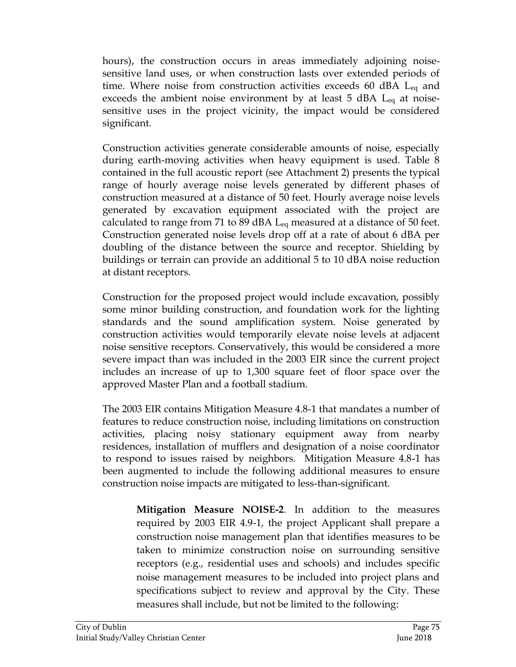hours), the construction occurs in areas immediately adjoining noisesensitive land uses, or when construction lasts over extended periods of time. Where noise from construction activities exceeds 60 dBA  $L_{eq}$  and exceeds the ambient noise environment by at least  $5$  dBA  $L_{eq}$  at noisesensitive uses in the project vicinity, the impact would be considered significant.

Construction activities generate considerable amounts of noise, especially during earth-moving activities when heavy equipment is used. Table 8 contained in the full acoustic report (see Attachment 2) presents the typical range of hourly average noise levels generated by different phases of construction measured at a distance of 50 feet. Hourly average noise levels generated by excavation equipment associated with the project are calculated to range from 71 to 89 dBA  $L_{eq}$  measured at a distance of 50 feet. Construction generated noise levels drop off at a rate of about 6 dBA per doubling of the distance between the source and receptor. Shielding by buildings or terrain can provide an additional 5 to 10 dBA noise reduction at distant receptors.

Construction for the proposed project would include excavation, possibly some minor building construction, and foundation work for the lighting standards and the sound amplification system. Noise generated by construction activities would temporarily elevate noise levels at adjacent noise sensitive receptors. Conservatively, this would be considered a more severe impact than was included in the 2003 EIR since the current project includes an increase of up to 1,300 square feet of floor space over the approved Master Plan and a football stadium.

The 2003 EIR contains Mitigation Measure 4.8-1 that mandates a number of features to reduce construction noise, including limitations on construction activities, placing noisy stationary equipment away from nearby residences, installation of mufflers and designation of a noise coordinator to respond to issues raised by neighbors. Mitigation Measure 4.8-1 has been augmented to include the following additional measures to ensure construction noise impacts are mitigated to less-than-significant.

**Mitigation Measure NOISE-2**. In addition to the measures required by 2003 EIR 4.9-1, the project Applicant shall prepare a construction noise management plan that identifies measures to be taken to minimize construction noise on surrounding sensitive receptors (e.g., residential uses and schools) and includes specific noise management measures to be included into project plans and specifications subject to review and approval by the City. These measures shall include, but not be limited to the following: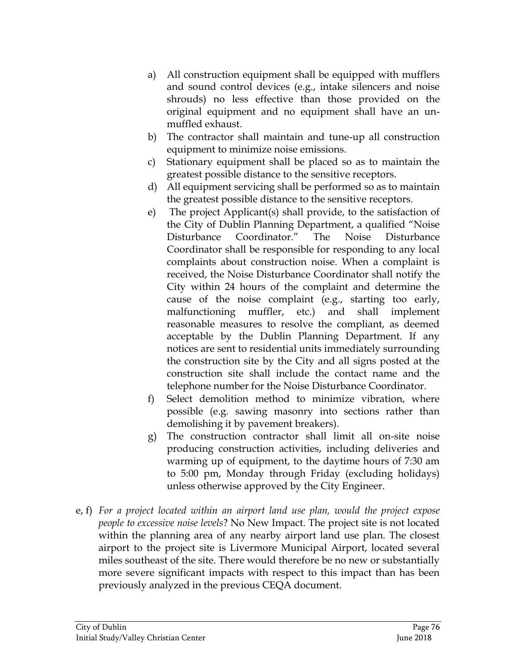- a) All construction equipment shall be equipped with mufflers and sound control devices (e.g., intake silencers and noise shrouds) no less effective than those provided on the original equipment and no equipment shall have an unmuffled exhaust.
- b) The contractor shall maintain and tune-up all construction equipment to minimize noise emissions.
- c) Stationary equipment shall be placed so as to maintain the greatest possible distance to the sensitive receptors.
- d) All equipment servicing shall be performed so as to maintain the greatest possible distance to the sensitive receptors.
- e) The project Applicant(s) shall provide, to the satisfaction of the City of Dublin Planning Department, a qualified "Noise Disturbance Coordinator." The Noise Disturbance Coordinator shall be responsible for responding to any local complaints about construction noise. When a complaint is received, the Noise Disturbance Coordinator shall notify the City within 24 hours of the complaint and determine the cause of the noise complaint (e.g., starting too early, malfunctioning muffler, etc.) and shall implement reasonable measures to resolve the compliant, as deemed acceptable by the Dublin Planning Department. If any notices are sent to residential units immediately surrounding the construction site by the City and all signs posted at the construction site shall include the contact name and the telephone number for the Noise Disturbance Coordinator.
- f) Select demolition method to minimize vibration, where possible (e.g. sawing masonry into sections rather than demolishing it by pavement breakers).
- g) The construction contractor shall limit all on-site noise producing construction activities, including deliveries and warming up of equipment, to the daytime hours of 7:30 am to 5:00 pm, Monday through Friday (excluding holidays) unless otherwise approved by the City Engineer.
- e, f) *For a project located within an airport land use plan, would the project expose people to excessive noise levels*? No New Impact. The project site is not located within the planning area of any nearby airport land use plan. The closest airport to the project site is Livermore Municipal Airport, located several miles southeast of the site. There would therefore be no new or substantially more severe significant impacts with respect to this impact than has been previously analyzed in the previous CEQA document.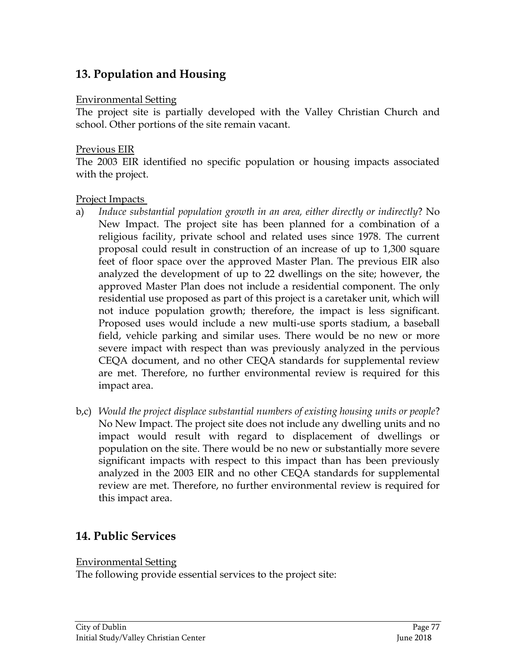# **13. Population and Housing**

#### Environmental Setting

The project site is partially developed with the Valley Christian Church and school. Other portions of the site remain vacant.

#### Previous EIR

The 2003 EIR identified no specific population or housing impacts associated with the project.

### Project Impacts

- a) *Induce substantial population growth in an area, either directly or indirectly*? No New Impact. The project site has been planned for a combination of a religious facility, private school and related uses since 1978. The current proposal could result in construction of an increase of up to 1,300 square feet of floor space over the approved Master Plan. The previous EIR also analyzed the development of up to 22 dwellings on the site; however, the approved Master Plan does not include a residential component. The only residential use proposed as part of this project is a caretaker unit, which will not induce population growth; therefore, the impact is less significant. Proposed uses would include a new multi-use sports stadium, a baseball field, vehicle parking and similar uses. There would be no new or more severe impact with respect than was previously analyzed in the pervious CEQA document, and no other CEQA standards for supplemental review are met. Therefore, no further environmental review is required for this impact area.
- b,c) *Would the project displace substantial numbers of existing housing units or people*? No New Impact. The project site does not include any dwelling units and no impact would result with regard to displacement of dwellings or population on the site. There would be no new or substantially more severe significant impacts with respect to this impact than has been previously analyzed in the 2003 EIR and no other CEQA standards for supplemental review are met. Therefore, no further environmental review is required for this impact area.

# **14. Public Services**

### Environmental Setting

The following provide essential services to the project site: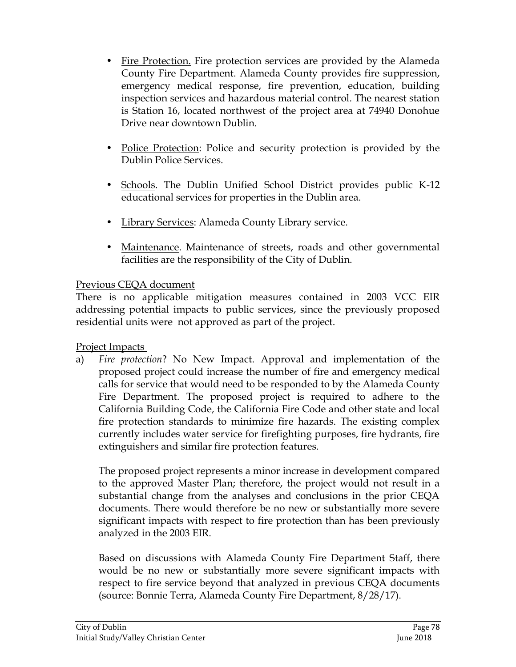- Fire Protection. Fire protection services are provided by the Alameda County Fire Department. Alameda County provides fire suppression, emergency medical response, fire prevention, education, building inspection services and hazardous material control. The nearest station is Station 16, located northwest of the project area at 74940 Donohue Drive near downtown Dublin.
- Police Protection: Police and security protection is provided by the Dublin Police Services.
- Schools. The Dublin Unified School District provides public K-12 educational services for properties in the Dublin area.
- Library Services: Alameda County Library service.
- Maintenance. Maintenance of streets, roads and other governmental facilities are the responsibility of the City of Dublin.

## Previous CEQA document

There is no applicable mitigation measures contained in 2003 VCC EIR addressing potential impacts to public services, since the previously proposed residential units were not approved as part of the project.

Project Impacts

a) *Fire protection*? No New Impact. Approval and implementation of the proposed project could increase the number of fire and emergency medical calls for service that would need to be responded to by the Alameda County Fire Department. The proposed project is required to adhere to the California Building Code, the California Fire Code and other state and local fire protection standards to minimize fire hazards. The existing complex currently includes water service for firefighting purposes, fire hydrants, fire extinguishers and similar fire protection features.

The proposed project represents a minor increase in development compared to the approved Master Plan; therefore, the project would not result in a substantial change from the analyses and conclusions in the prior CEQA documents. There would therefore be no new or substantially more severe significant impacts with respect to fire protection than has been previously analyzed in the 2003 EIR.

Based on discussions with Alameda County Fire Department Staff, there would be no new or substantially more severe significant impacts with respect to fire service beyond that analyzed in previous CEQA documents (source: Bonnie Terra, Alameda County Fire Department, 8/28/17).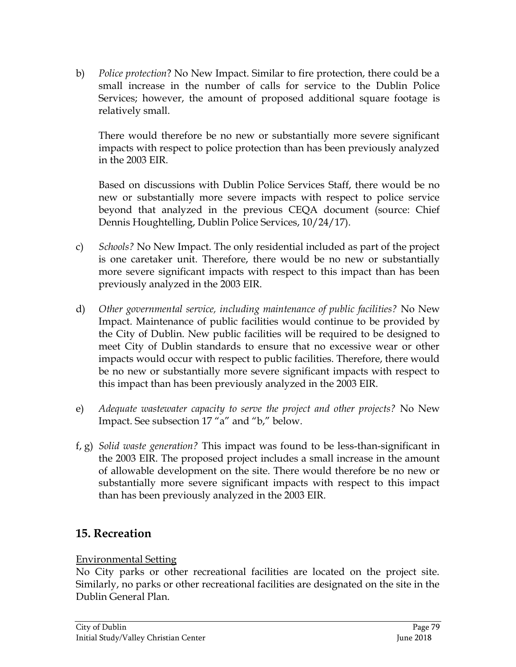b) *Police protection*? No New Impact. Similar to fire protection, there could be a small increase in the number of calls for service to the Dublin Police Services; however, the amount of proposed additional square footage is relatively small.

There would therefore be no new or substantially more severe significant impacts with respect to police protection than has been previously analyzed in the 2003 EIR.

Based on discussions with Dublin Police Services Staff, there would be no new or substantially more severe impacts with respect to police service beyond that analyzed in the previous CEQA document (source: Chief Dennis Houghtelling, Dublin Police Services, 10/24/17).

- c) *Schools?* No New Impact. The only residential included as part of the project is one caretaker unit. Therefore, there would be no new or substantially more severe significant impacts with respect to this impact than has been previously analyzed in the 2003 EIR.
- d) *Other governmental service, including maintenance of public facilities?* No New Impact. Maintenance of public facilities would continue to be provided by the City of Dublin. New public facilities will be required to be designed to meet City of Dublin standards to ensure that no excessive wear or other impacts would occur with respect to public facilities. Therefore, there would be no new or substantially more severe significant impacts with respect to this impact than has been previously analyzed in the 2003 EIR.
- e) *Adequate wastewater capacity to serve the project and other projects?* No New Impact. See subsection 17 "a" and "b," below.
- f, g) *Solid waste generation?* This impact was found to be less-than-significant in the 2003 EIR. The proposed project includes a small increase in the amount of allowable development on the site. There would therefore be no new or substantially more severe significant impacts with respect to this impact than has been previously analyzed in the 2003 EIR.

# **15. Recreation**

## Environmental Setting

No City parks or other recreational facilities are located on the project site. Similarly, no parks or other recreational facilities are designated on the site in the Dublin General Plan.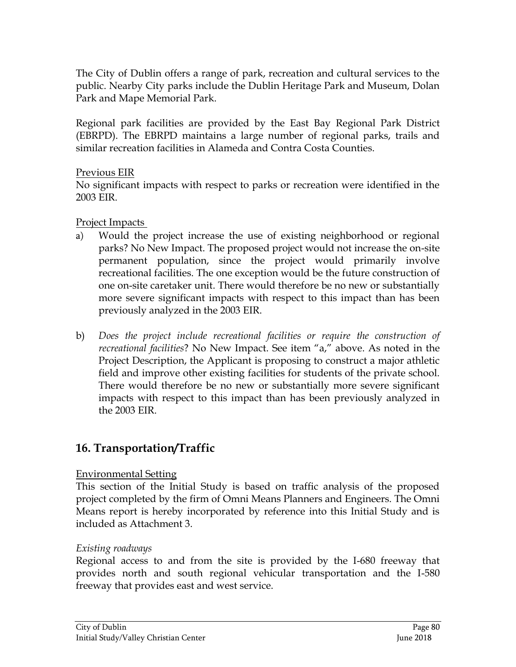The City of Dublin offers a range of park, recreation and cultural services to the public. Nearby City parks include the Dublin Heritage Park and Museum, Dolan Park and Mape Memorial Park.

Regional park facilities are provided by the East Bay Regional Park District (EBRPD). The EBRPD maintains a large number of regional parks, trails and similar recreation facilities in Alameda and Contra Costa Counties.

### Previous EIR

No significant impacts with respect to parks or recreation were identified in the 2003 EIR.

## Project Impacts

- a) Would the project increase the use of existing neighborhood or regional parks? No New Impact. The proposed project would not increase the on-site permanent population, since the project would primarily involve recreational facilities. The one exception would be the future construction of one on-site caretaker unit. There would therefore be no new or substantially more severe significant impacts with respect to this impact than has been previously analyzed in the 2003 EIR.
- b) *Does the project include recreational facilities or require the construction of recreational facilities*? No New Impact. See item "a," above. As noted in the Project Description, the Applicant is proposing to construct a major athletic field and improve other existing facilities for students of the private school. There would therefore be no new or substantially more severe significant impacts with respect to this impact than has been previously analyzed in the 2003 EIR.

# **16. Transportation/Traffic**

## Environmental Setting

This section of the Initial Study is based on traffic analysis of the proposed project completed by the firm of Omni Means Planners and Engineers. The Omni Means report is hereby incorporated by reference into this Initial Study and is included as Attachment 3.

## *Existing roadways*

Regional access to and from the site is provided by the I-680 freeway that provides north and south regional vehicular transportation and the I-580 freeway that provides east and west service.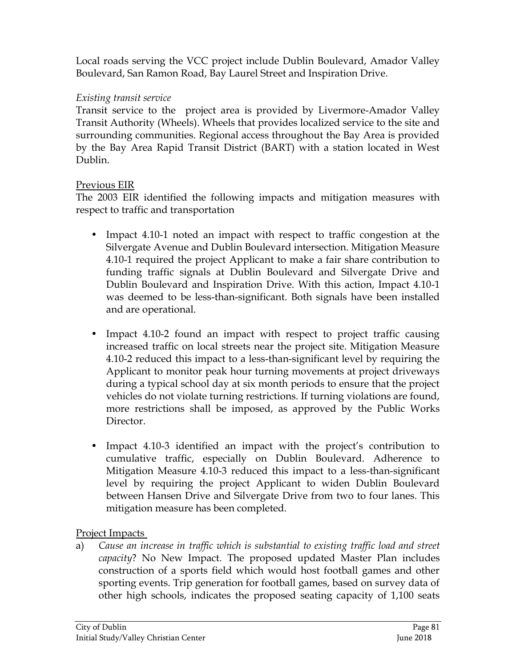Local roads serving the VCC project include Dublin Boulevard, Amador Valley Boulevard, San Ramon Road, Bay Laurel Street and Inspiration Drive.

## *Existing transit service*

Transit service to the project area is provided by Livermore-Amador Valley Transit Authority (Wheels). Wheels that provides localized service to the site and surrounding communities. Regional access throughout the Bay Area is provided by the Bay Area Rapid Transit District (BART) with a station located in West Dublin.

## Previous EIR

The 2003 EIR identified the following impacts and mitigation measures with respect to traffic and transportation

- Impact 4.10-1 noted an impact with respect to traffic congestion at the Silvergate Avenue and Dublin Boulevard intersection. Mitigation Measure 4.10-1 required the project Applicant to make a fair share contribution to funding traffic signals at Dublin Boulevard and Silvergate Drive and Dublin Boulevard and Inspiration Drive. With this action, Impact 4.10-1 was deemed to be less-than-significant. Both signals have been installed and are operational.
- Impact 4.10-2 found an impact with respect to project traffic causing increased traffic on local streets near the project site. Mitigation Measure 4.10-2 reduced this impact to a less-than-significant level by requiring the Applicant to monitor peak hour turning movements at project driveways during a typical school day at six month periods to ensure that the project vehicles do not violate turning restrictions. If turning violations are found, more restrictions shall be imposed, as approved by the Public Works Director.
- Impact 4.10-3 identified an impact with the project's contribution to cumulative traffic, especially on Dublin Boulevard. Adherence to Mitigation Measure 4.10-3 reduced this impact to a less-than-significant level by requiring the project Applicant to widen Dublin Boulevard between Hansen Drive and Silvergate Drive from two to four lanes. This mitigation measure has been completed.

## Project Impacts

a) *Cause an increase in traffic which is substantial to existing traffic load and street capacity*? No New Impact. The proposed updated Master Plan includes construction of a sports field which would host football games and other sporting events. Trip generation for football games, based on survey data of other high schools, indicates the proposed seating capacity of 1,100 seats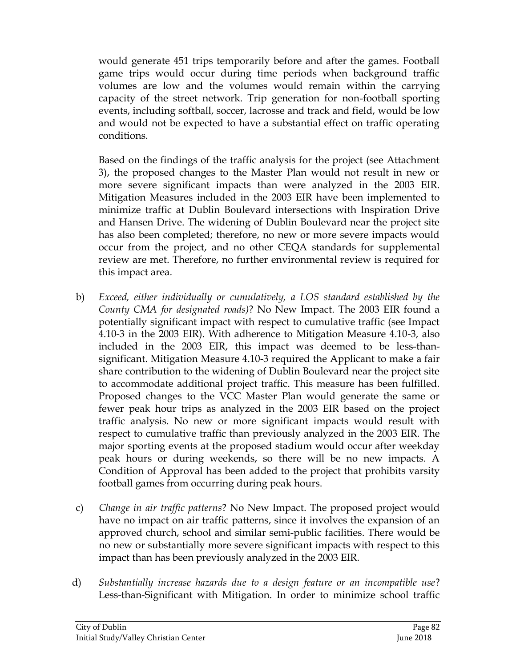would generate 451 trips temporarily before and after the games. Football game trips would occur during time periods when background traffic volumes are low and the volumes would remain within the carrying capacity of the street network. Trip generation for non-football sporting events, including softball, soccer, lacrosse and track and field, would be low and would not be expected to have a substantial effect on traffic operating conditions.

Based on the findings of the traffic analysis for the project (see Attachment 3), the proposed changes to the Master Plan would not result in new or more severe significant impacts than were analyzed in the 2003 EIR. Mitigation Measures included in the 2003 EIR have been implemented to minimize traffic at Dublin Boulevard intersections with Inspiration Drive and Hansen Drive. The widening of Dublin Boulevard near the project site has also been completed; therefore, no new or more severe impacts would occur from the project, and no other CEQA standards for supplemental review are met. Therefore, no further environmental review is required for this impact area.

- b) *Exceed, either individually or cumulatively, a LOS standard established by the County CMA for designated roads)*? No New Impact. The 2003 EIR found a potentially significant impact with respect to cumulative traffic (see Impact 4.10-3 in the 2003 EIR). With adherence to Mitigation Measure 4.10-3, also included in the 2003 EIR, this impact was deemed to be less-thansignificant. Mitigation Measure 4.10-3 required the Applicant to make a fair share contribution to the widening of Dublin Boulevard near the project site to accommodate additional project traffic. This measure has been fulfilled. Proposed changes to the VCC Master Plan would generate the same or fewer peak hour trips as analyzed in the 2003 EIR based on the project traffic analysis. No new or more significant impacts would result with respect to cumulative traffic than previously analyzed in the 2003 EIR. The major sporting events at the proposed stadium would occur after weekday peak hours or during weekends, so there will be no new impacts. A Condition of Approval has been added to the project that prohibits varsity football games from occurring during peak hours.
- c) *Change in air traffic patterns*? No New Impact. The proposed project would have no impact on air traffic patterns, since it involves the expansion of an approved church, school and similar semi-public facilities. There would be no new or substantially more severe significant impacts with respect to this impact than has been previously analyzed in the 2003 EIR.
- d) *Substantially increase hazards due to a design feature or an incompatible use*? Less-than-Significant with Mitigation. In order to minimize school traffic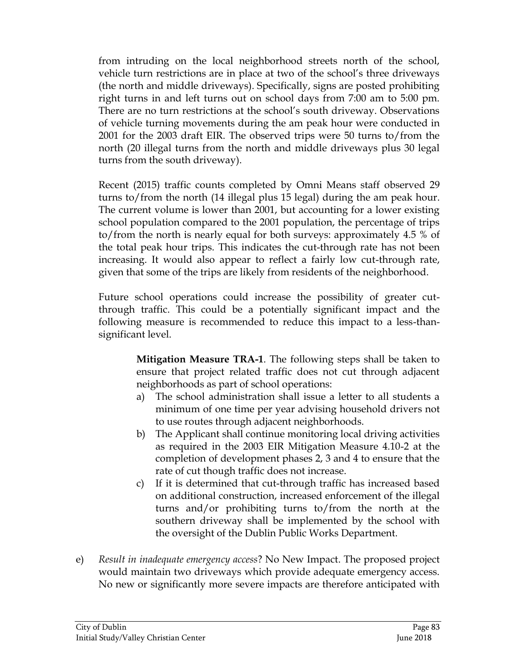from intruding on the local neighborhood streets north of the school, vehicle turn restrictions are in place at two of the school's three driveways (the north and middle driveways). Specifically, signs are posted prohibiting right turns in and left turns out on school days from 7:00 am to 5:00 pm. There are no turn restrictions at the school's south driveway. Observations of vehicle turning movements during the am peak hour were conducted in 2001 for the 2003 draft EIR. The observed trips were 50 turns to/from the north (20 illegal turns from the north and middle driveways plus 30 legal turns from the south driveway).

Recent (2015) traffic counts completed by Omni Means staff observed 29 turns to/from the north (14 illegal plus 15 legal) during the am peak hour. The current volume is lower than 2001, but accounting for a lower existing school population compared to the 2001 population, the percentage of trips to/from the north is nearly equal for both surveys: approximately 4.5 % of the total peak hour trips. This indicates the cut-through rate has not been increasing. It would also appear to reflect a fairly low cut-through rate, given that some of the trips are likely from residents of the neighborhood.

Future school operations could increase the possibility of greater cutthrough traffic. This could be a potentially significant impact and the following measure is recommended to reduce this impact to a less-thansignificant level.

> **Mitigation Measure TRA-1**. The following steps shall be taken to ensure that project related traffic does not cut through adjacent neighborhoods as part of school operations:

- a) The school administration shall issue a letter to all students a minimum of one time per year advising household drivers not to use routes through adjacent neighborhoods.
- b) The Applicant shall continue monitoring local driving activities as required in the 2003 EIR Mitigation Measure 4.10-2 at the completion of development phases 2, 3 and 4 to ensure that the rate of cut though traffic does not increase.
- c) If it is determined that cut-through traffic has increased based on additional construction, increased enforcement of the illegal turns and/or prohibiting turns to/from the north at the southern driveway shall be implemented by the school with the oversight of the Dublin Public Works Department.
- e) *Result in inadequate emergency access*? No New Impact. The proposed project would maintain two driveways which provide adequate emergency access. No new or significantly more severe impacts are therefore anticipated with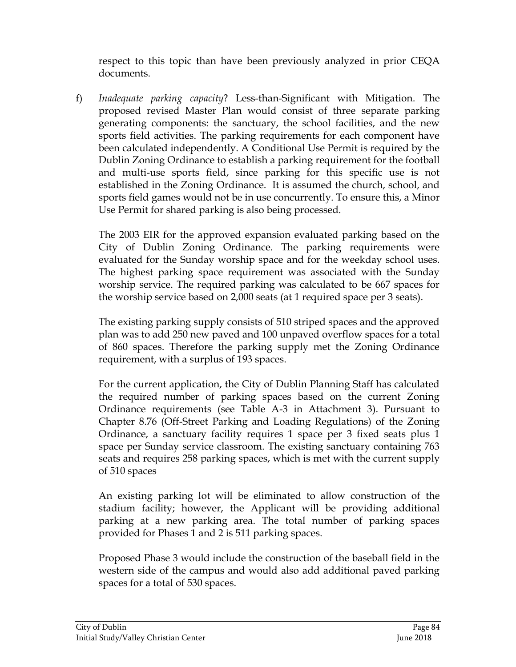respect to this topic than have been previously analyzed in prior CEQA documents.

f) *Inadequate parking capacity*? Less-than-Significant with Mitigation. The proposed revised Master Plan would consist of three separate parking generating components: the sanctuary, the school facilities, and the new sports field activities. The parking requirements for each component have been calculated independently. A Conditional Use Permit is required by the Dublin Zoning Ordinance to establish a parking requirement for the football and multi-use sports field, since parking for this specific use is not established in the Zoning Ordinance. It is assumed the church, school, and sports field games would not be in use concurrently. To ensure this, a Minor Use Permit for shared parking is also being processed.

The 2003 EIR for the approved expansion evaluated parking based on the City of Dublin Zoning Ordinance. The parking requirements were evaluated for the Sunday worship space and for the weekday school uses. The highest parking space requirement was associated with the Sunday worship service. The required parking was calculated to be 667 spaces for the worship service based on 2,000 seats (at 1 required space per 3 seats).

The existing parking supply consists of 510 striped spaces and the approved plan was to add 250 new paved and 100 unpaved overflow spaces for a total of 860 spaces. Therefore the parking supply met the Zoning Ordinance requirement, with a surplus of 193 spaces.

For the current application, the City of Dublin Planning Staff has calculated the required number of parking spaces based on the current Zoning Ordinance requirements (see Table A-3 in Attachment 3). Pursuant to Chapter 8.76 (Off-Street Parking and Loading Regulations) of the Zoning Ordinance, a sanctuary facility requires 1 space per 3 fixed seats plus 1 space per Sunday service classroom. The existing sanctuary containing 763 seats and requires 258 parking spaces, which is met with the current supply of 510 spaces

An existing parking lot will be eliminated to allow construction of the stadium facility; however, the Applicant will be providing additional parking at a new parking area. The total number of parking spaces provided for Phases 1 and 2 is 511 parking spaces.

Proposed Phase 3 would include the construction of the baseball field in the western side of the campus and would also add additional paved parking spaces for a total of 530 spaces.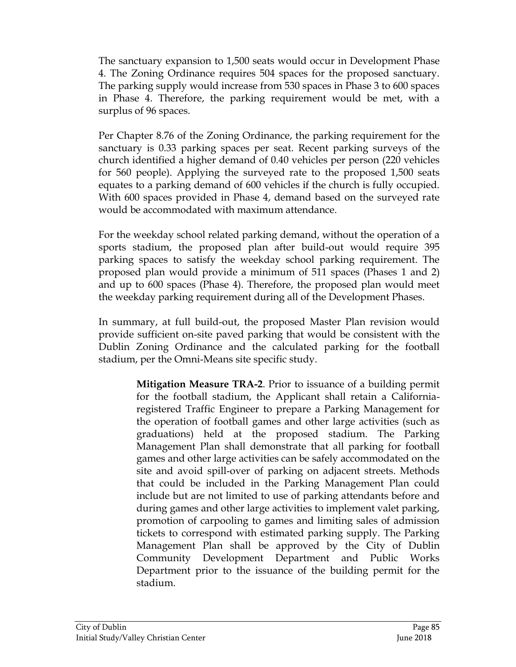The sanctuary expansion to 1,500 seats would occur in Development Phase 4. The Zoning Ordinance requires 504 spaces for the proposed sanctuary. The parking supply would increase from 530 spaces in Phase 3 to 600 spaces in Phase 4. Therefore, the parking requirement would be met, with a surplus of 96 spaces.

Per Chapter 8.76 of the Zoning Ordinance, the parking requirement for the sanctuary is 0.33 parking spaces per seat. Recent parking surveys of the church identified a higher demand of 0.40 vehicles per person (220 vehicles for 560 people). Applying the surveyed rate to the proposed 1,500 seats equates to a parking demand of 600 vehicles if the church is fully occupied. With 600 spaces provided in Phase 4, demand based on the surveyed rate would be accommodated with maximum attendance.

For the weekday school related parking demand, without the operation of a sports stadium, the proposed plan after build-out would require 395 parking spaces to satisfy the weekday school parking requirement. The proposed plan would provide a minimum of 511 spaces (Phases 1 and 2) and up to 600 spaces (Phase 4). Therefore, the proposed plan would meet the weekday parking requirement during all of the Development Phases.

In summary, at full build-out, the proposed Master Plan revision would provide sufficient on-site paved parking that would be consistent with the Dublin Zoning Ordinance and the calculated parking for the football stadium, per the Omni-Means site specific study.

> **Mitigation Measure TRA-2**. Prior to issuance of a building permit for the football stadium, the Applicant shall retain a Californiaregistered Traffic Engineer to prepare a Parking Management for the operation of football games and other large activities (such as graduations) held at the proposed stadium. The Parking Management Plan shall demonstrate that all parking for football games and other large activities can be safely accommodated on the site and avoid spill-over of parking on adjacent streets. Methods that could be included in the Parking Management Plan could include but are not limited to use of parking attendants before and during games and other large activities to implement valet parking, promotion of carpooling to games and limiting sales of admission tickets to correspond with estimated parking supply. The Parking Management Plan shall be approved by the City of Dublin Community Development Department and Public Works Department prior to the issuance of the building permit for the stadium.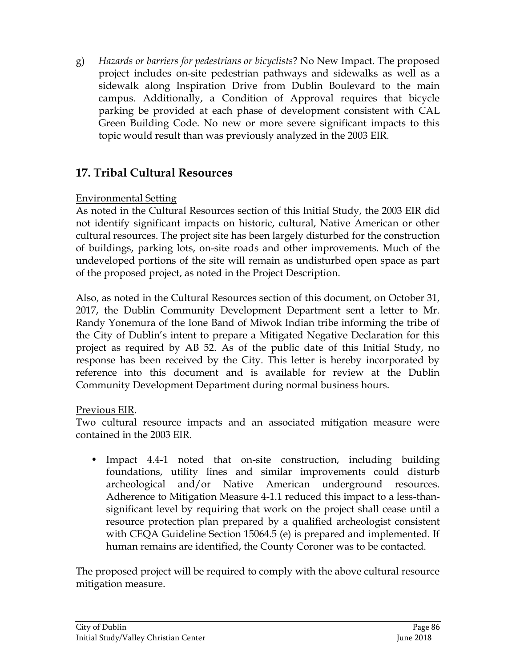g) *Hazards or barriers for pedestrians or bicyclists*? No New Impact. The proposed project includes on-site pedestrian pathways and sidewalks as well as a sidewalk along Inspiration Drive from Dublin Boulevard to the main campus. Additionally, a Condition of Approval requires that bicycle parking be provided at each phase of development consistent with CAL Green Building Code. No new or more severe significant impacts to this topic would result than was previously analyzed in the 2003 EIR*.* 

# **17. Tribal Cultural Resources**

## Environmental Setting

As noted in the Cultural Resources section of this Initial Study, the 2003 EIR did not identify significant impacts on historic, cultural, Native American or other cultural resources. The project site has been largely disturbed for the construction of buildings, parking lots, on-site roads and other improvements. Much of the undeveloped portions of the site will remain as undisturbed open space as part of the proposed project, as noted in the Project Description.

Also, as noted in the Cultural Resources section of this document, on October 31, 2017, the Dublin Community Development Department sent a letter to Mr. Randy Yonemura of the Ione Band of Miwok Indian tribe informing the tribe of the City of Dublin's intent to prepare a Mitigated Negative Declaration for this project as required by AB 52. As of the public date of this Initial Study, no response has been received by the City. This letter is hereby incorporated by reference into this document and is available for review at the Dublin Community Development Department during normal business hours.

## Previous EIR.

Two cultural resource impacts and an associated mitigation measure were contained in the 2003 EIR.

• Impact 4.4-1 noted that on-site construction, including building foundations, utility lines and similar improvements could disturb archeological and/or Native American underground resources. Adherence to Mitigation Measure 4-1.1 reduced this impact to a less-thansignificant level by requiring that work on the project shall cease until a resource protection plan prepared by a qualified archeologist consistent with CEQA Guideline Section 15064.5 (e) is prepared and implemented. If human remains are identified, the County Coroner was to be contacted.

The proposed project will be required to comply with the above cultural resource mitigation measure.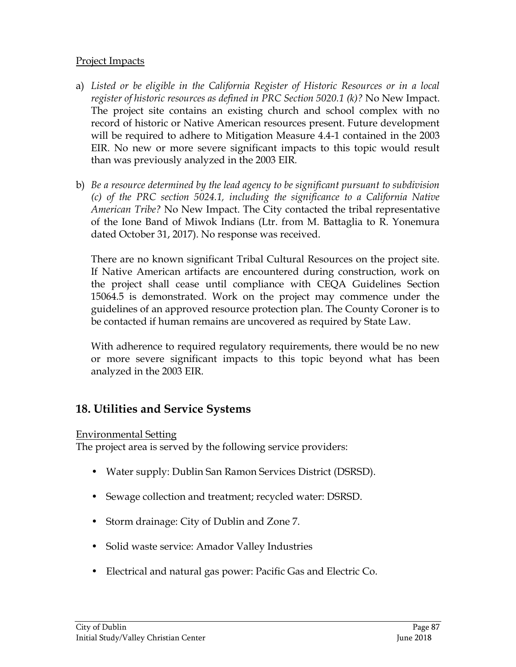### Project Impacts

- a) *Listed or be eligible in the California Register of Historic Resources or in a local register of historic resources as defined in PRC Section 5020.1 (k)?* No New Impact. The project site contains an existing church and school complex with no record of historic or Native American resources present. Future development will be required to adhere to Mitigation Measure 4.4-1 contained in the 2003 EIR. No new or more severe significant impacts to this topic would result than was previously analyzed in the 2003 EIR*.*
- b) *Be a resource determined by the lead agency to be significant pursuant to subdivision (c) of the PRC section 5024.1, including the significance to a California Native American Tribe?* No New Impact. The City contacted the tribal representative of the Ione Band of Miwok Indians (Ltr. from M. Battaglia to R. Yonemura dated October 31, 2017). No response was received.

There are no known significant Tribal Cultural Resources on the project site. If Native American artifacts are encountered during construction, work on the project shall cease until compliance with CEQA Guidelines Section 15064.5 is demonstrated. Work on the project may commence under the guidelines of an approved resource protection plan. The County Coroner is to be contacted if human remains are uncovered as required by State Law.

With adherence to required regulatory requirements, there would be no new or more severe significant impacts to this topic beyond what has been analyzed in the 2003 EIR.

# **18. Utilities and Service Systems**

### Environmental Setting

The project area is served by the following service providers:

- Water supply: Dublin San Ramon Services District (DSRSD).
- Sewage collection and treatment; recycled water: DSRSD.
- Storm drainage: City of Dublin and Zone 7.
- Solid waste service: Amador Valley Industries
- Electrical and natural gas power: Pacific Gas and Electric Co.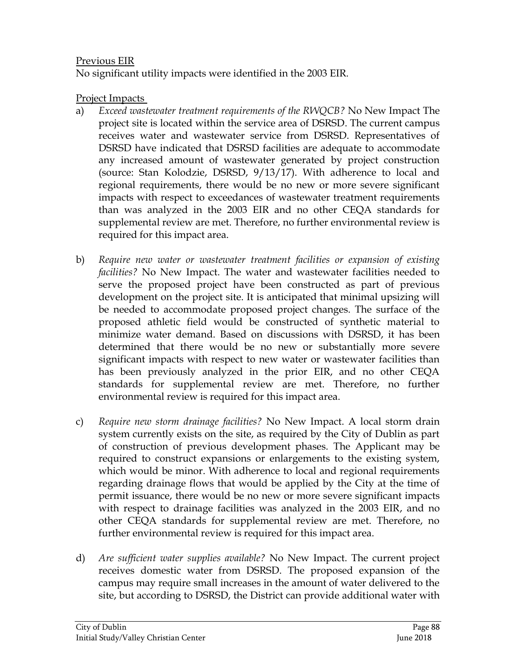### Previous EIR

No significant utility impacts were identified in the 2003 EIR.

### Project Impacts

- a) *Exceed wastewater treatment requirements of the RWQCB?* No New Impact The project site is located within the service area of DSRSD. The current campus receives water and wastewater service from DSRSD. Representatives of DSRSD have indicated that DSRSD facilities are adequate to accommodate any increased amount of wastewater generated by project construction (source: Stan Kolodzie, DSRSD, 9/13/17). With adherence to local and regional requirements, there would be no new or more severe significant impacts with respect to exceedances of wastewater treatment requirements than was analyzed in the 2003 EIR and no other CEQA standards for supplemental review are met. Therefore, no further environmental review is required for this impact area.
- b) *Require new water or wastewater treatment facilities or expansion of existing facilities?* No New Impact. The water and wastewater facilities needed to serve the proposed project have been constructed as part of previous development on the project site. It is anticipated that minimal upsizing will be needed to accommodate proposed project changes. The surface of the proposed athletic field would be constructed of synthetic material to minimize water demand. Based on discussions with DSRSD, it has been determined that there would be no new or substantially more severe significant impacts with respect to new water or wastewater facilities than has been previously analyzed in the prior EIR, and no other CEQA standards for supplemental review are met. Therefore, no further environmental review is required for this impact area.
- c) *Require new storm drainage facilities?* No New Impact. A local storm drain system currently exists on the site, as required by the City of Dublin as part of construction of previous development phases. The Applicant may be required to construct expansions or enlargements to the existing system, which would be minor. With adherence to local and regional requirements regarding drainage flows that would be applied by the City at the time of permit issuance, there would be no new or more severe significant impacts with respect to drainage facilities was analyzed in the 2003 EIR, and no other CEQA standards for supplemental review are met. Therefore, no further environmental review is required for this impact area.
- d) *Are sufficient water supplies available?* No New Impact. The current project receives domestic water from DSRSD. The proposed expansion of the campus may require small increases in the amount of water delivered to the site, but according to DSRSD, the District can provide additional water with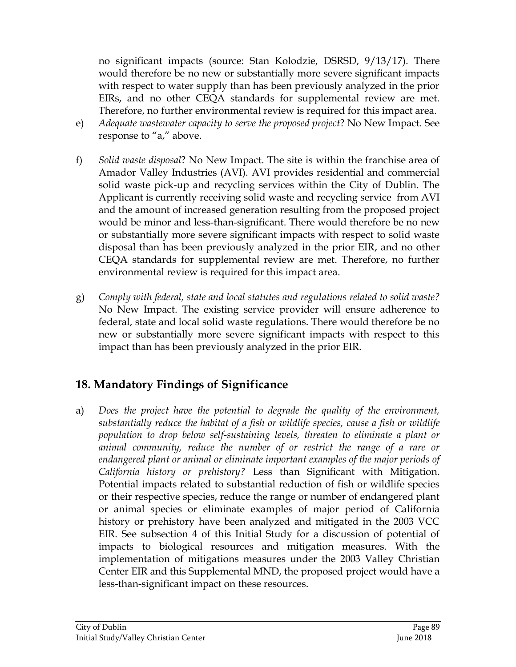no significant impacts (source: Stan Kolodzie, DSRSD, 9/13/17). There would therefore be no new or substantially more severe significant impacts with respect to water supply than has been previously analyzed in the prior EIRs, and no other CEQA standards for supplemental review are met. Therefore, no further environmental review is required for this impact area.

- e) *Adequate wastewater capacity to serve the proposed project*? No New Impact. See response to "a," above.
- f) *Solid waste disposal*? No New Impact. The site is within the franchise area of Amador Valley Industries (AVI). AVI provides residential and commercial solid waste pick-up and recycling services within the City of Dublin. The Applicant is currently receiving solid waste and recycling service from AVI and the amount of increased generation resulting from the proposed project would be minor and less-than-significant. There would therefore be no new or substantially more severe significant impacts with respect to solid waste disposal than has been previously analyzed in the prior EIR, and no other CEQA standards for supplemental review are met. Therefore, no further environmental review is required for this impact area.
- g) *Comply with federal, state and local statutes and regulations related to solid waste?* No New Impact. The existing service provider will ensure adherence to federal, state and local solid waste regulations. There would therefore be no new or substantially more severe significant impacts with respect to this impact than has been previously analyzed in the prior EIR.

# **18. Mandatory Findings of Significance**

a) *Does the project have the potential to degrade the quality of the environment, substantially reduce the habitat of a fish or wildlife species, cause a fish or wildlife population to drop below self-sustaining levels, threaten to eliminate a plant or animal community, reduce the number of or restrict the range of a rare or endangered plant or animal or eliminate important examples of the major periods of California history or prehistory?* Less than Significant with Mitigation. Potential impacts related to substantial reduction of fish or wildlife species or their respective species, reduce the range or number of endangered plant or animal species or eliminate examples of major period of California history or prehistory have been analyzed and mitigated in the 2003 VCC EIR. See subsection 4 of this Initial Study for a discussion of potential of impacts to biological resources and mitigation measures. With the implementation of mitigations measures under the 2003 Valley Christian Center EIR and this Supplemental MND, the proposed project would have a less-than-significant impact on these resources.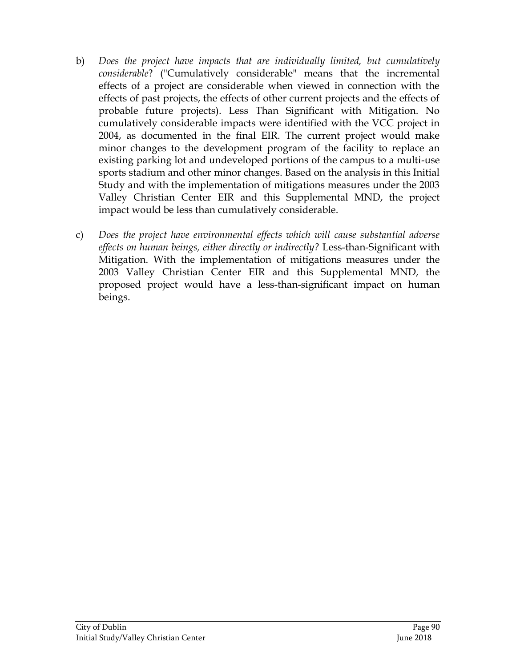- b) *Does the project have impacts that are individually limited, but cumulatively considerable*? ("Cumulatively considerable" means that the incremental effects of a project are considerable when viewed in connection with the effects of past projects, the effects of other current projects and the effects of probable future projects). Less Than Significant with Mitigation. No cumulatively considerable impacts were identified with the VCC project in 2004, as documented in the final EIR. The current project would make minor changes to the development program of the facility to replace an existing parking lot and undeveloped portions of the campus to a multi-use sports stadium and other minor changes. Based on the analysis in this Initial Study and with the implementation of mitigations measures under the 2003 Valley Christian Center EIR and this Supplemental MND, the project impact would be less than cumulatively considerable.
- c) *Does the project have environmental effects which will cause substantial adverse effects on human beings, either directly or indirectly?* Less-than-Significant with Mitigation. With the implementation of mitigations measures under the 2003 Valley Christian Center EIR and this Supplemental MND, the proposed project would have a less-than-significant impact on human beings.